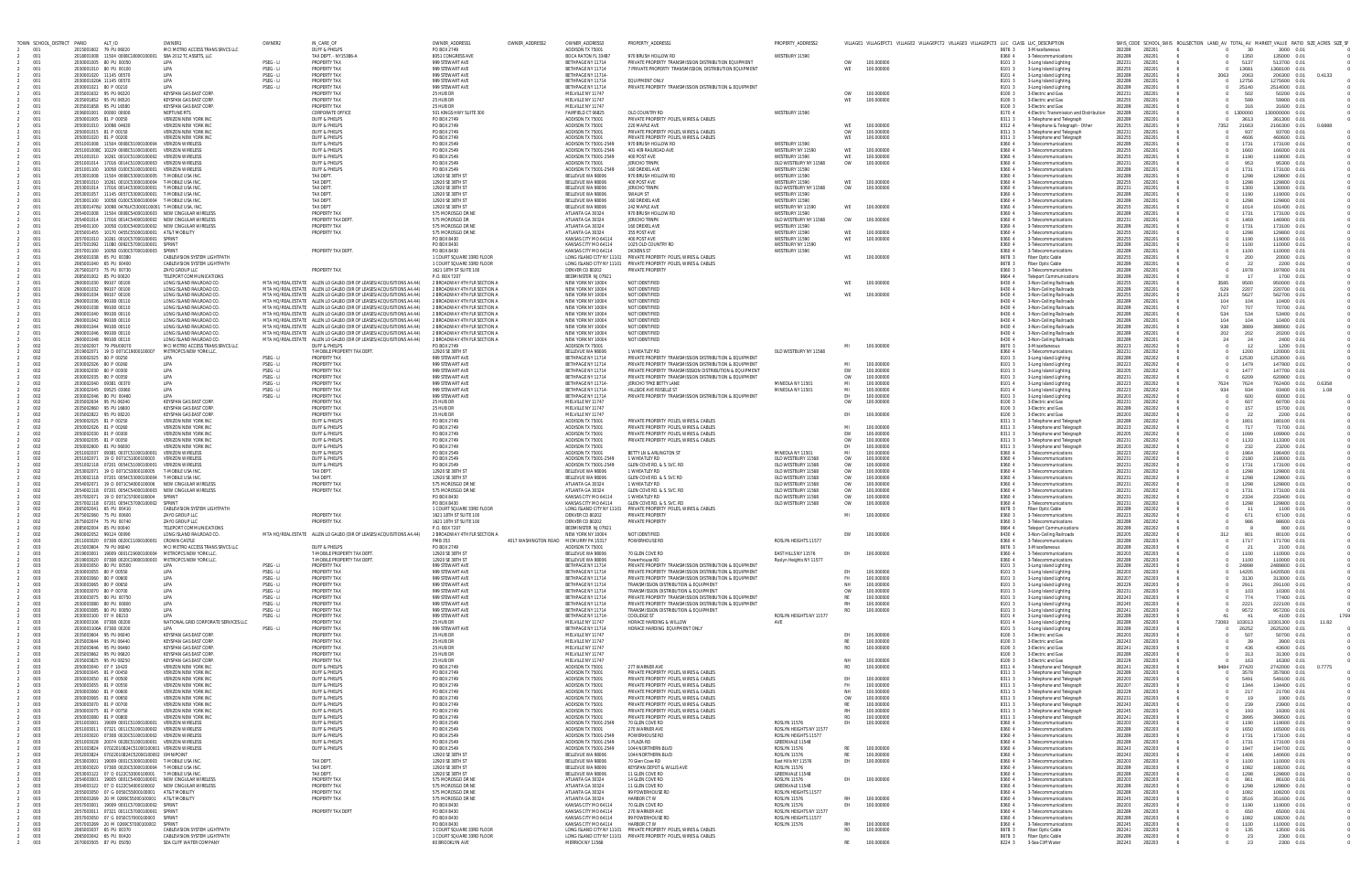| TOWN SCHOOL_DISTRICT PARID | ALT_ID                                                                                                                 | OWNER1                                                       | OWNER2                 | IN_CARE_OF                                                                                                                                    | OWNER ADDRESS*                                               | OWNER_ADDRESS2       | OWNER_ADDRESS3                                    | PROPERTY_ADDRESS1                                                                                                                    | PROPERTY_ADDRESS2                               |                        | VILLAGE1 VILLAGEPCT1 VILLAGE2 VILLAGEPCT2 VILLAGE3 VILLAGEPCT3 LUC CLASS LUC_DESCRIPTION |                  |                                                              |                                      | SWIS_CODE SCHOOL_SWIS ROLLSECTION LAND_AV TOTAL_AV MARKET_VALUE RATIO SIZE_ACRES SIZE_SF |               |                              |                |
|----------------------------|------------------------------------------------------------------------------------------------------------------------|--------------------------------------------------------------|------------------------|-----------------------------------------------------------------------------------------------------------------------------------------------|--------------------------------------------------------------|----------------------|---------------------------------------------------|--------------------------------------------------------------------------------------------------------------------------------------|-------------------------------------------------|------------------------|------------------------------------------------------------------------------------------|------------------|--------------------------------------------------------------|--------------------------------------|------------------------------------------------------------------------------------------|---------------|------------------------------|----------------|
| 001<br>001                 | 2015001602 79 PU 06020<br>2018001008  11504  0008C18000100001  SBA 2012 TC ASSETS, LLC                                 | MCLMETRO ACCESS TRANS SRVCS LLC                              |                        | DUFF & PHELPS<br>TAX DEPT. - NY15386-A                                                                                                        | PO BOX 2749<br>8051 CONGRESS AVE                             |                      | ADDISON TX 75001<br>BOCA RATON FL 33487           | 970 BRUSH HOLLOW RD                                                                                                                  | WESTBURY 11590                                  |                        |                                                                                          | 86763<br>8360 4  | 3-Miscellaneous<br>3-Telecommunications                      | 282289<br>282201<br>282289<br>282201 |                                                                                          | 30<br>1350    | 3000 0.01<br>135000 0.01     |                |
| 001<br>001                 | 2030001005 80 PU 00050                                                                                                 | LIPA                                                         | PSEG - LI              | PROPERTY TAX<br><b>PROPERTY TAX</b>                                                                                                           | 999 STEWART AVE<br>999 STEWART AVE                           |                      | BETHPAGE NY 11714<br>BETHPAGE NY 11714            | PRIVATE PROPERTY TRANSMISSION DISTRIBUTION EQUIPMENT<br>7 PRIVATE PROPERTY TRANSMISSION. DISTRIBUTION EQUIPMENT                      |                                                 | <b>OW</b><br>WE        | 100.000000<br>100.000000                                                                 | 8101 3           | 3-Long Island Lighting                                       | 282231<br>282201<br>282201           | 13681                                                                                    | 5137          | 513700 0.01<br>1368100 0.01  |                |
| 001                        | 2030001010 80 PU 00100<br>2030001020 11145 00570                                                                       | LIPA<br>LIPA                                                 | PSEG - LI<br>PSEG - LI | PROPERTY TAX                                                                                                                                  | 999 STFWART AVF                                              |                      | <b>BETHPAGE NY 11714</b>                          |                                                                                                                                      |                                                 |                        |                                                                                          | 8101 3<br>8101 4 | 3-Long Island Lighting<br>3-Long Island Lighting             | 282255<br>282289<br>282201           | 2063                                                                                     | 2063          | 206300 0.01                  | 0.4133         |
| 001<br>001                 | 2030001020A 11145 00570<br>2030001021 80 P 00210                                                                       | LIPA<br>LIPA                                                 | PSEG - LI<br>PSEG - LI | PROPERTY TAX<br>PROPERTY TAX                                                                                                                  | 999 STEWART AVE<br>999 STEWART AVE                           |                      | BETHPAGE NY 11714<br>BETHPAGE NY 11714            | EQUIPMENT ONLY<br>PRIVATE PROPERTY TRANSMISSION DISTRIBUTION & EQUIPMENT                                                             |                                                 |                        |                                                                                          | 8101 3<br>8101 3 | 3-Long Island Lighting<br>3-Long Island Lighting             | 282289<br>282201<br>282289<br>282201 | 25140                                                                                    | 12756         | 1275600 0.01<br>2514000 0.01 |                |
| 001                        | 2035001632 95 PU 06320                                                                                                 | KEYSPAN GAS EAST CORP.                                       |                        | <b>PROPERTY TAX</b>                                                                                                                           | 25 HUB DR                                                    |                      | MELVILLE NY 11747                                 |                                                                                                                                      |                                                 | <b>OW</b>              | 100.000000                                                                               | 8100 3           | 3-Electric and Gas                                           | 282231<br>282201                     |                                                                                          | 502           | 50200 0.01                   |                |
| 001<br>001                 | 2035001652 95 PU 06520<br>2035001658 95 PU 16580                                                                       | KEYSPAN GAS EAST CORP<br>KEYSPAN GAS EAST CORP               |                        | PROPERTY TAX<br>PROPERTY TAX                                                                                                                  | 25 HUB DR<br>25 HUB DR                                       |                      | MFI VII I F NY 11747<br>MELVILLE NY 11747         |                                                                                                                                      |                                                 | WF                     | 100.000000                                                                               | 8100 3<br>8100 3 | 3-Electric and Gas<br>3-Electric and Gas                     | 282255<br>282201<br>282289<br>282201 |                                                                                          | 599<br>316    | 59900 0.01<br>31600 0.01     |                |
| 001                        | 2036001001 00000 00000                                                                                                 | NEPTUNE RTS                                                  |                        | <b>CORPORATE OFFICI</b>                                                                                                                       | 501 KINGS HWY SUITE 300                                      |                      | FAIRFIELD CT 06825                                | OLD COUNTRY RD                                                                                                                       | WESTBURY 11590                                  |                        |                                                                                          | 8170 4           | 4-Electric Transmission and Distribution                     | 282289<br>282201                     | 1300000                                                                                  |               | 30000000 0.01                |                |
| 001<br>001                 | 2050001005 81 P 00050<br>2050001010 10098 04630                                                                        | <b>VERIZON NEW YORK IN</b><br>VERIZON NEW YORK IN            |                        | DUFF & PHELPS<br>DUFF & PHELPS                                                                                                                | PO BOX 2749<br><b>PO BOX 2749</b>                            |                      | ADDISON TX 75001<br>ADDISON TX 75001              | PRIVATE PROPERTY POLES, WIRES & CABLES<br>220 MAPLE AVE                                                                              |                                                 | WF                     | 100,000000                                                                               | 83113<br>8312 4  | 3-Telephone and Telegraph<br>4-Telephone & Telegraph - Other | 282289<br>282201<br>282255<br>282201 | 7352<br>21663                                                                            | 3613          | 361300 0.01<br>2166300 0.01  | 0.6888         |
| 001<br>001                 | 2050001015 81 P 00150<br>2050001020 81 P 00200                                                                         | VERIZON NEW YORK INC<br>VERIZON NEW YORK INC                 |                        | DUFF & PHELPS<br><b>DUFF &amp; PHELPS</b>                                                                                                     | PO BOX 2749<br>PO BOX 2749                                   |                      | ADDISON TX 75001<br>ADDISON TX 75001              | PRIVATE PROPERTY POLES, WIRES & CABLES<br>PRIVATE PROPERTY POLES, WIRES & CABLES                                                     |                                                 | <b>OW</b><br>WE        | 100.000000<br>100.000000                                                                 | 83113<br>8311 3  | 3-Telephone and Telegraph                                    | 282201<br>282231<br>282255<br>282201 |                                                                                          | 937<br>4606   | 93700 0.01<br>460600 0.01    |                |
| 001                        | 2051001008  11504  0008C51000100004  VERIZON WIRELESS                                                                  |                                                              |                        | DUFF & PHELPS                                                                                                                                 | PO BOX 2549                                                  |                      | ADDISON TX 75001-2549                             | 970 BRUSH HOLLOW RD                                                                                                                  | WESTBURY 11590                                  |                        |                                                                                          | 8360 4           | 3-Telephone and Telegraph<br>3-Telecommunications            | 282289<br>282201                     |                                                                                          | 1731          | 173100 0.01                  |                |
| 001<br>001                 | 2051001008C 10229 0008C51000100001 VERIZON WIRELESS<br>2051001010  10261  0010C51000100002  VERIZON WIRELESS           |                                                              |                        | DUFF & PHELPS<br>DUFF & PHELPS                                                                                                                | <b>PO BOX 2549</b><br>PO BOX 2549                            |                      | ADDISON TX 75001-2549<br>ADDISON TX 75001-2549    | 401 409 RAILROAD AVE<br>400 POST AVE                                                                                                 | WESTBURY NY 11590<br>WESTBURY 11590             | WE<br>WF               | 100,000000<br>100.000000                                                                 | 8360 4<br>8360 4 | 3-Telecommunications<br>3-Telecommunications                 | 282255<br>282201<br>282255<br>282201 |                                                                                          | 1660<br>1190  | 166000 0.01<br>119000 0.01   |                |
| 001                        | 2051001014  17016  0014C51000100003  VERIZON WIRELESS                                                                  |                                                              |                        | DUFF & PHELPS                                                                                                                                 | PO BOX 2549                                                  |                      | ADDISON TX 75001                                  | <b>JERICHO TRNPK</b>                                                                                                                 | OLD WESTBURY NY 11568                           | OW                     | 100.000000                                                                               | 8360             | 3-Telecommunications                                         | 282231<br>282201                     |                                                                                          | 953           | 95300 0.01                   |                |
| 001<br>001                 | 2051001100  10058  0100C51000100001  VERIZON WIRELESS<br>2053001008 11504 0008C53000100005 TJMORILEUSA INC             |                                                              |                        | DUFF & PHELPS<br>TAX DFPT.                                                                                                                    | PO BOX 2549<br>12920 SE 38TH ST                              |                      | ADDISON TX 75001-2549<br>BELLEVUE WA 98006        | 160 DREXEL AVE<br>970 BRUSH HOLLOW RD                                                                                                | WESTBURY 11590<br>WESTBURY 11590                |                        |                                                                                          | 8360 4<br>8360 4 | 3-Telecommunications<br>3-Telecommunications                 | 282289<br>282201<br>282289<br>282201 |                                                                                          | 1731<br>1298  | 173100 0.01<br>129800 0.01   |                |
| 001<br>001                 | 2053001010  10261  0010C53000100004  T-MOBILE USA INC<br>2053001014 17016 0014C53000100001 T-MOBILE USA INC            |                                                              |                        | TAX DEPT.<br><b>TAX DEPT</b>                                                                                                                  | 12920 SE 38TH ST<br>12920 SE 38TH ST                         |                      | BELLEVUE WA 98006<br>BELLEVUE WA 98006            | 400 POST AVE<br><b>JERICHO TRNPK</b>                                                                                                 | WESTBURY 11590<br>OLD WESTBURY NY 11568         | WF<br><b>OW</b>        | 100.000000<br>100.000000                                                                 | 8360 4<br>8360 4 | 3-Telecommunications<br>3-Telecommunications                 | 282255<br>282201<br>282231<br>282201 |                                                                                          | 1298<br>1300  | 129800 0.01<br>130000 0.01   |                |
| 001                        | 2053001057  11145  0057C53000100001  T-MOBILE USA INC                                                                  |                                                              |                        | <b>TAX DFPT</b>                                                                                                                               | 12920 SE 38TH ST                                             |                      | BELLEVUE WA 98006                                 | SWALM ST                                                                                                                             | WESTBURY 11590                                  |                        |                                                                                          | 8360 4           | 3-Telecommunications                                         | 282289<br>282201                     |                                                                                          | 1190          | 119000 0.01                  |                |
| 001<br>001                 | 2053001100  10058  0100C53000100004  T-MOBILE USA INC.<br>2053001476U 10098 0476UC53000100001 T-MOBILE USA. INC        |                                                              |                        | TAX DEPT.<br>TAX DEPT                                                                                                                         | 12920 SE 38TH ST<br>12920 SE 38TH S'                         |                      | BELLEVUE WA 98006<br>BELLEVUE WA 98006            | 160 DREXEL AVE<br>242 MAPLE AVE                                                                                                      | WESTBURY 11590<br>WESTBURY NY 11590             | WE                     | 100,000000                                                                               | 8360<br>8360     | 3-Telecommunications<br>3-Telecommunications                 | 282289<br>282201<br>282255<br>282201 |                                                                                          | 1298<br>1014  | 129800 0.01<br>101400 0.01   |                |
| 001<br>001                 | 2054001008  11504  0008C54000100003  NEW CINGULAR WIRELES<br>2054001014  17016  0014C54000100002  NEW CINGULAR WIRELES |                                                              |                        | PROPERTY TAX<br>PROPERTY TAX DEPT                                                                                                             | 575 MOROSGO DR N<br>575 MOROSGO DR                           |                      | ATLANTA GA 30324<br>ATLANTA GA 30324              | 970 BRUSH HOLLOW RD<br><b>JERICHO TRNPK</b>                                                                                          | WESTBURY 11590<br>OLD WESTBURY NY 11568         | <b>OW</b>              | 100.000000                                                                               | 8360 4<br>8360 4 | 3-Telecommunications<br>3-Telecommunications                 | 282289<br>282201<br>282231<br>282201 |                                                                                          | 1731<br>1469  | 173100 0.01<br>146900 0.01   |                |
| 001                        | 2054001100  10058  0100C54000100002  NEW CINGULAR WIRELESS                                                             |                                                              |                        | PROPERTY TAX                                                                                                                                  | 575 MOROSGO DR NE                                            |                      | ATLANTA GA 30324                                  | 160 DREXEL AVE                                                                                                                       | WESTBURY 11590                                  |                        |                                                                                          | 8360 4           | 3-Telecommunications                                         | 282289<br>282201                     |                                                                                          | 1731          | 173100 0.01                  |                |
| 001<br>001                 | 2055001455 10170 0455C55000100001 AT&T MOBILITY<br>2057001010  10261  0010C57000100001  SPRINT                         |                                                              |                        | PROPERTY TAX                                                                                                                                  | 575 MOROSGO DR NE<br>PO BOX 8430                             |                      | ATLANTA GA 30324<br>KANSAS CITY MO 64114          | 355 POST AVE<br>400 POST AVE                                                                                                         | WESTBURY 11590<br>WESTBURY 11590                | WE                     | 100.000000<br>100.000000                                                                 | 8360 4<br>8360 4 | 3-Telecommunications<br>3-Telecommunications                 | 282255<br>282201<br>282255<br>282201 |                                                                                          | 1298<br>1190  | 129800 0.01<br>119000 0.01   |                |
| 001                        | 2057001092 11080 0092C57000100001 SPRINT                                                                               |                                                              |                        |                                                                                                                                               | <b>PO BOX 8430</b>                                           |                      | KANSAS CITY MO 64114                              | 1025 OLD COUNTRY RD                                                                                                                  | WESTBURY NY 11590                               |                        |                                                                                          | 8360 4           | 3-Telecommunications                                         | 282289<br>282201                     |                                                                                          | 1100          | 110000 0.01                  |                |
| 001<br>001                 | 2057001100  10058  0100C57000100003  SPRINT<br>2065001038 65 PU 00380                                                  | CABLEVISION SYSTEM LIGHTPATH                                 |                        | PROPERTY TAX DEPT.                                                                                                                            | PO BOX 8430<br>1 COURT SQUARE 33RD FLOOR                     |                      | KANSAS CITY MO 64114<br>LONG ISLAND CITY NY 11101 | <b>DICKENS ST</b><br>PRIVATE PROPERTY POLES, WIRES & CABLES                                                                          | WESTBURY 11590                                  | WE                     | 100,000000                                                                               | 8360 4<br>8678 3 | 3-Telecommunications<br>Fiber Optic Cable                    | 282289<br>282201<br>282255<br>282201 |                                                                                          | 1100<br>200   | 110000 0.01<br>20000 0.01    |                |
| 001<br>001                 | 2065001040 65 PU 00400<br>2075001073 75 PU 00730                                                                       | CABLEVISION SYSTEM LIGHTPATH<br><b>ZAYO GROUP LLC</b>        |                        | PROPERTY TAX                                                                                                                                  | 1 COURT SQUARE 33RD FLOOR<br>1621 18TH ST SUITE 100          |                      | DENVER CO 80202                                   | LONG ISLAND CITY NY 11101 PRIVATE PROPERTY POLES, WIRES & CABLES<br><b>PRIVATE PROPERTY</b>                                          |                                                 |                        |                                                                                          | 8678 3<br>8360 3 | Fiber Optic Cable<br>3-Telecommunications                    | 282289<br>282201<br>282289<br>282201 |                                                                                          | - 22<br>1978  | 2200 0.01<br>197800 0.01     |                |
| 001                        | 2085001002 85 PU 00020                                                                                                 | TELEPORT COMMUNICATIONS                                      |                        |                                                                                                                                               | P.O. BOX 7207                                                |                      | BEDMINSTER NJ 07921                               |                                                                                                                                      |                                                 |                        |                                                                                          | 8664 4           | <b>Teleport Communications</b>                               | 282289<br>282201                     |                                                                                          |               | 1700 0.01                    |                |
| 001<br>001                 | 2900001030 99107 00100<br>2900001032 99107 00100                                                                       | LONG ISLAND RAILROAD CO.<br>LONG ISLAND RAILROAD CO.         |                        | MTA HO/REAL ESTATE ALLEN LO GALBO (DIR OF LEASES/ACQUISITIONS A4.44)<br>MTA HO/REAL ESTATE ALLEN LO GALBO (DIR OF LEASES/ACOUJISITIONS A4 44) | 2 BROADWAY 4TH FLR SECTION A<br>2 RROADWAY 4TH FLR SECTION A |                      | NEW YORK NY 10004<br>NEW YORK NY 10004            | NOT IDENTIFIED<br>NOT IDENTIFIED                                                                                                     |                                                 |                        | 100.000000                                                                               | 8430 4<br>8430 4 | 3-Non-Ceiling Railroads<br>3-Non-Ceiling Railroads           | 282255<br>282201<br>282289<br>282201 | 3585<br>529                                                                              | 9500<br>2207  | 950000 0.01<br>220700 0.01   |                |
| 001<br>001                 | 2900001034 99107 00100<br>2900001036 99108 00110                                                                       | LONG ISLAND RAILROAD CO.<br>LONG ISLAND RAILROAD CO.         |                        | MTA HO/REAL ESTATE ALLEN LO GALBO (DIR OF LEASES/ACQUISITIONS A4.44)<br>MTA HO/REAL ESTATE ALLEN LO GALBO (DIR OF LEASES/ACQUISITIONS A4.44)  | 2 BROADWAY 4TH FLR SECTION /<br>2 BROADWAY 4TH FLR SECTION A |                      | NFW YORK NY 10004<br>NEW YORK NY 10004            | NOT IDENTIFIED<br>NOT IDENTIFIED                                                                                                     |                                                 | WF                     | 100,000000                                                                               | 8430 4<br>8430 4 | 3-Non-Ceiling Railroads<br>3-Non-Ceiling Railroads           | 282255<br>282201<br>282289<br>282201 | 2123<br>104                                                                              | 5627<br>104   | 562700 0.01<br>10400 0.01    |                |
| 001                        | 2900001038 99108 00110                                                                                                 | LONG ISLAND RAILROAD CO.                                     |                        | MTA HQ/REAL ESTATE ALLEN LO GALBO (DIR OF LEASES/ACQUISITIONS A4.44)                                                                          | 2 BROADWAY 4TH FLR SECTION A                                 |                      | NEW YORK NY 10004                                 | NOT IDENTIFIED                                                                                                                       |                                                 |                        |                                                                                          | 8430 4           | 3-Non-Ceiling Railroads                                      | 282289<br>282201                     | 707                                                                                      | 707           | 70700 0.01                   |                |
| 001<br>001                 | 2900001040 99108 00110<br>2900001042 99108 00110                                                                       | LONG ISLAND RAILROAD CO.<br>LONG ISLAND RAILROAD CO.         |                        | MTA HO/REAL ESTATE ALLEN LO GALBO (DIR OF LEASES/ACQUISITIONS A4.44)<br>MTA HO/REAL ESTATE ALLEN LO GALBO (DIR OF LEASES/ACOUJISITIONS A4 44) | 2 BROADWAY 4TH FLR SECTION /<br>2 BROADWAY 4TH FLR SECTION A |                      | NEW YORK NY 10004<br>NFW YORK NY 10004            | NOT IDENTIFIED<br>NOT IDENTIFIED                                                                                                     |                                                 |                        |                                                                                          | 8430 4<br>8430 4 | 3-Non-Ceiling Railroads<br>3-Non-Ceiling Railroads           | 282289<br>282201<br>282201<br>282289 | 534<br>104                                                                               | 534<br>104    | 53400 0.01<br>10400 0.01     |                |
| 001                        | 2900001044 99108 00110                                                                                                 | LONG ISLAND RAILROAD CO.                                     |                        | MTA HO/REAL ESTATE ALLEN LO GALBO (DIR OF LEASES/ACQUISITIONS A4.44)                                                                          | 2 BROADWAY 4TH FLR SECTION /                                 |                      | NEW YORK NY 10004                                 | NOT IDENTIFIED                                                                                                                       |                                                 |                        |                                                                                          | 8430 4           | 3-Non-Ceiling Railroads                                      | 282201<br>282289                     | 938                                                                                      | 3889          | 388900 0.01                  |                |
| 001<br>001                 | 2900001046 99108 00110<br>2900001048 99108 00110                                                                       | LONG ISLAND RAILROAD CO.<br>LONG ISLAND RAILROAD CO.         |                        | MTA HO/REAL ESTATE ALLEN LO GALBO (DIR OF LEASES/ACQUISITIONS A4.44)<br>MTA HO/REAL ESTATE ALLEN LO GALBO (DIR OF LEASES/ACQUISITIONS A4.44)  | 2 BROADWAY 4TH FLR SECTION A<br>2 BROADWAY 4TH FLR SECTION A |                      | NEW YORK NY 10004<br>NEW YORK NY 10004            | NOT IDENTIFIED<br>NOT IDENTIFIED                                                                                                     |                                                 |                        |                                                                                          | 8430 4<br>8430 4 | 3-Non-Ceiling Railroads<br>3-Non-Ceiling Railroads           | 282289<br>282201<br>282289<br>282201 | 202<br>24                                                                                | 202<br>- 24   | 20200 0.01<br>2400 0.01      |                |
| 002                        | 2015002007 79 P9U00070                                                                                                 | MCLMETRO ACCESS TRANS SRVCS LLC                              |                        | DUFF & PHELPS                                                                                                                                 | PO BOX 2749                                                  |                      | ADDISON TX 75001                                  |                                                                                                                                      |                                                 | MI                     | 100,000000                                                                               | 8670 3           | 3-Miscellaneous                                              | 282223<br>282202                     |                                                                                          | - 12          | 1200 0.01                    |                |
| 002<br>002                 | 2019002071 19 D 0071C19000100007<br>2030002025 80 P 00250                                                              | METROPCS NEW YORK LLC<br>LIPA                                | PSEG - LI              | T-MOBILE PROPERTY TAX DEPT.<br>PROPERTY TAX                                                                                                   | 12920 SE 38TH ST<br>999 STEWART AVE                          |                      | BELLEVUE WA 98006<br>BETHPAGE NY 11714            | 1 WHEATLEY RD<br>PRIVATE PROPERTY TRANSMISSION DISTRIBUTION & EQUIPMENT                                                              | OLD WESTBURY NY 11568                           |                        |                                                                                          | 8360 4<br>8101 3 | 3-Telecommunications<br>3-Long Island Lighting               | 282231<br>282202<br>282289<br>282202 |                                                                                          | 1200<br>12530 | 120000 0.01<br>1253000 0.01  |                |
| 002<br>002                 | 2030002026 80 P 00260<br>2030002030 80 P 00300                                                                         | LIPA<br>LIPA                                                 | PSEG - LI<br>PSEG - LI | PROPERTY TAX<br>PROPERTY TAX                                                                                                                  | 999 STEWART AVE<br>999 STFWART AVF                           |                      | BETHPAGE NY 11714<br><b>BETHPAGE NY 11714</b>     | PRIVATE PROPERTY TRANSMISSION DISTRIBUTION & EQUIPMENT<br>PRIVATE PROPERTY TRANSMISSSION DISTRIBUTION & FOURMENT                     |                                                 | MI<br>FW.              | 100,000000<br>100,000000                                                                 | 8101 3<br>8101:  | 3-Long Island Lighting<br>3-Long Island Lighting             | 282223<br>282202<br>282205<br>282202 |                                                                                          | 1479<br>1477  | 147900 0.01<br>147700 0.01   |                |
| 002                        | 2030002035 80 P 00350                                                                                                  | LIPA                                                         | PSEG - LI              | PROPERTY TAX                                                                                                                                  | 999 STEWART AVE                                              |                      | BETHPAGE NY 11714                                 | PRIVATE PROPERTY TRANSMISSION DISTRIBUTION & EQUIPMENT                                                                               |                                                 | <b>OW</b>              | 100.000000                                                                               | 8101 3           | 3-Long Island Lighting                                       | 282231<br>282202                     |                                                                                          | 6209          | 620900 0.01                  |                |
| 002<br>002                 | 2030002040 09381 00370<br>2030002045 09525 03060                                                                       | LIPA<br>LIPA                                                 | PSEG - LI<br>PSEG - LI | PROPERTY TAX<br>PROPERTY TAX                                                                                                                  | 999 STEWART AVE<br>999 STEWART AVE                           |                      | BETHPAGE NY 11714-<br>BETHPAGE NY 11714           | JERICHO TPKE BETTY LANE<br>HILLSIDE AVE ROSELLE ST                                                                                   | MINEOLA NY 11501<br>MINEOLA NY 11501            | MI<br>MI               | 100.000000<br>100.000000                                                                 | 8101 4<br>8101 4 | 3-Long Island Lighting<br>3-Long Island Lighting             | 282223<br>282202<br>282223<br>282202 | 7624<br>934                                                                              | 7624<br>934   | 762400 0.01<br>93400 0.01    | 0.6358<br>1.08 |
| 002                        | 2030002046 80 PU 00460                                                                                                 | <b>I IPA</b>                                                 | PSEG - LI              | PROPERTY TAX                                                                                                                                  | 999 STEWART AVE                                              |                      | BETHPAGE NY 11714                                 | PRIVATE PROPERTY TRANSMISSION DISTRIBUTION & EQUIPMENT                                                                               |                                                 | FH.                    | 100,000000                                                                               | 8101 3           | 3-Long Island Lighting                                       | 282203<br>282202                     |                                                                                          | 600           | 60000 0.01                   |                |
| 002<br>002                 | 2035002634 95 PU 06340<br>2035002660 95 PU 16600                                                                       | KEYSPAN GAS EAST CORP<br>KEYSPAN GAS EAST COR                |                        | PROPERTY TAX<br>PROPERTY TA:                                                                                                                  | 25 HUB DR<br>25 HUB DR                                       |                      | MELVILLE NY 11747<br>MELVILLE NY 11747            |                                                                                                                                      |                                                 | <b>OW</b>              | 100.000000                                                                               | 8100 3<br>8100 3 | 3-Electric and Gas<br>3-Electric and Gas                     | 282231<br>282202<br>282289<br>282202 |                                                                                          | 607<br>157    | 60700 0.01<br>15700 0.01     |                |
| 002<br>002                 | 2035002822 95 PU 08220<br>2050002025 81 P 00250                                                                        | KEYSPAN GAS EAST COR<br>VERIZON NEW YORK IN                  |                        | <b>PROPERTY TAX</b><br>DUFF & PHELPS                                                                                                          | 25 HUB DR<br><b>PO BOX 2749</b>                              |                      | MELVILLE NY 11747<br>ADDISON TX 75001             | PRIVATE PROPERTY POLES, WIRES & CABLES                                                                                               |                                                 | EH                     | 100.000000                                                                               | 8100 3<br>8311 3 | 3-Electric and Gas                                           | 282203<br>282202<br>282202<br>282289 |                                                                                          | - 22<br>1801  | 2200 0.01<br>180100 0.01     |                |
| 002                        | 2050002026 81 P 00260                                                                                                  | VERIZON NEW YORK INC                                         |                        | DUFF & PHELPS                                                                                                                                 | PO BOX 2749                                                  |                      | ADDISON TX 75001                                  | PRIVATE PROPERTY POLES, WIRES & CABLES                                                                                               |                                                 | MI                     | 100.000000                                                                               | 83113            | 3-Telephone and Telegraph<br>3-Telephone and Telegraph       | 282202<br>282223                     |                                                                                          | 717           | 71700 0.01                   |                |
| 002<br>002                 | 2050002030 81 P 00300<br>2050002035 81 P 00350                                                                         | VERIZON NEW YORK INC<br><b>VERIZON NEW YORK ING</b>          |                        | <b>DUFF &amp; PHELPS</b><br>DUFF & PHELPS                                                                                                     | PO BOX 2749<br>PO BOX 2749                                   |                      | ADDISON TX 75001<br>ADDISON TX 75001              | PRIVATE PROPERTY POLES, WIRES & CABLES<br>PRIVATE PROPERTY POLES, WIRES & CABLES                                                     |                                                 | EW<br><b>OW</b>        | 100.000000<br>100.000000                                                                 | 8311 3<br>83113  | 3-Telephone and Telegraph<br>3-Telephone and Telegraph       | 282205<br>282202<br>282231<br>282202 |                                                                                          | 1099<br>1133  | 109900 0.01<br>113300 0.01   |                |
| 002                        | 2050002600 81 PU 06000                                                                                                 | VERIZON NEW YORK IN                                          |                        | DUFF & PHELPS                                                                                                                                 | PO BOX 2749                                                  |                      | ADDISON TX 75001                                  |                                                                                                                                      |                                                 | FH.                    | 100,000000                                                                               | 8311 3           | 3-Telephone and Telegraph                                    | 282203<br>282202                     |                                                                                          | 232           | 23200 0.01                   |                |
| 002<br>002                 | 2051002037  09381  0037C51000100001  VERIZON WIRELESS<br>2051002071 19 D 0071C51000100003                              | <b>VERIZON WIRELESS</b>                                      |                        | DUFF & PHELPS<br>DUFF & PHELPS                                                                                                                | PO BOX 2549<br>PO BOX 2549                                   |                      | ADDISON TX 75001<br>ADDISON TX 75001-2549         | BETTY LN & ARLINGTON ST<br>1 WHEATLEY RD                                                                                             | MINEOLA NY 11501<br>OLD WESTBURY 11568          | MI<br>OW               | 100.000000<br>100.000000                                                                 | 8360 4<br>8360 4 | 3-Telecommunications<br>3-Telecommunications                 | 282223<br>282202<br>282231<br>282202 |                                                                                          | 1964<br>2180  | 196400 0.01<br>218000 0.01   |                |
| 002<br>002                 | 2051002118  07201  0054C51000100001  VERIZON WIRELESS<br>2053002071 19 D 0071C53000100005 T-MOBILE USA INC.            |                                                              |                        | DUFF & PHELPS<br>TAX DEPT.                                                                                                                    | PO BOX 2549<br>12920 SE 38TH ST                              |                      | ADDISON TX 75001-2549<br>BELLEVUE WA 98006        | GLEN COVE RD. & S. SVC. RD<br>1 WHEATLEY RD                                                                                          | OLD WESTBURY 11568<br>OLD WESTBURY 11568        | <b>OW</b><br><b>OW</b> | 100,000000<br>100.000000                                                                 | 8360 4<br>8360 4 | 3-Telecommunications<br>3-Telecommunications                 | 282231<br>282202<br>282231<br>282202 |                                                                                          | 1731<br>1298  | 173100 0.01<br>129800 0.01   |                |
| 002                        | 2053002118  07201  0054C53000100004  T-MOBILE USA INC                                                                  |                                                              |                        | TAX DEPT.                                                                                                                                     | 12920 SE 38TH ST                                             |                      | BELLEVUE WA 98006                                 | GLEN COVE RD. & S. SVC RD                                                                                                            | OLD WESTBURY 11568                              | <b>OW</b>              | 100.000000                                                                               | 8360 4           | 3-Telecommunications                                         | 282231<br>282202                     |                                                                                          | 1298          | 129800 0.01                  |                |
| 002<br>002                 | 2054002071 19 D 0071C54000100006 NEW CINGULAR WIRELESS<br>2054002118  07201  0054C54000100003  NEW CINGULAR WIRELESS   |                                                              |                        | <b>PROPERTY TAX</b><br>PROPERTY TAX                                                                                                           | 575 MOROSGO DR N<br>575 MOROSGO DR N                         |                      | ATLANTA GA 30324<br>ATLANTA GA 30324              | 1 WHEATLEY RD<br>GLEN COVE RD. & S. SVC. RD                                                                                          | OLD WESTBURY 11568<br>OLD WESTBURY 11568        | OW<br>OW               | 100.000000<br>100,000000                                                                 | 8360 4<br>8360 4 | 3-Telecommunications<br>3-Telecommunications                 | 282231<br>282202<br>282231<br>282202 |                                                                                          | 1298<br>1731  | 129800 0.01<br>173100 0.01   |                |
| 002<br>002                 | 2057002071 19 D 0071C57000100004 SPRINT<br>2057002118  07201  0054C57000100002  SPRINT                                 |                                                              |                        |                                                                                                                                               | PO BOX 8430<br>PO BOX 8430                                   |                      | KANSAS CITY MO 64114<br>KANSAS CITY MO 64114      | 1 WHEATLEY RD<br>GLEN COVE RD. & S. SVC. RD                                                                                          | OLD WESTBURY 11568                              | OW<br><b>OW</b>        | 100.000000<br>100.000000                                                                 | 8360 4<br>8360   | 3-Telecommunications<br>3-Telecommunications                 | 282231<br>282202<br>282231<br>282202 |                                                                                          | 2334<br>1298  | 233400 0.01<br>129800 0.01   |                |
| 002                        | 2065002041 65 PU 00410                                                                                                 | CABLEVISION SYSTEM LIGHTPATH                                 |                        |                                                                                                                                               | 1 COURT SQUARE 33RD FLOOR                                    |                      |                                                   | LONG ISLAND CITY NY 11101 PRIVATE PROPERTY POLES, WIRES & CABLES                                                                     | OLD WESTBURY 11568                              |                        |                                                                                          | 8678 3           | Fiber Optic Cable                                            | 282289<br>282202                     |                                                                                          | - 11          | 1100 0.01                    |                |
| 002<br>002                 | 2075002060 75 PU 00600<br>2075002074 75 PU 00740                                                                       | ZAYO GROUP LLC<br>ZAYO GROUP LLC                             |                        | PROPERTY TAX<br>PROPERTY TAX                                                                                                                  | 1621 18TH ST SUITE 100<br>1621 18TH ST SUITE 100             |                      | DENVER CO 80202<br><b>DENVER CO 80202</b>         | PRIVATE PROPERT<br>PRIVATE PROPERTY                                                                                                  |                                                 | MI                     | 100.000000                                                                               | 8360<br>8360 3   | 3-Telecommunications<br>3-Telecommunications                 | 282223<br>282202<br>282202<br>282289 |                                                                                          | 671<br>986    | 67100 0.01<br>98600 0.01     |                |
| 002                        | 2085002004 85 PU 00040                                                                                                 | TELEPORT COMMUNICATIONS                                      |                        |                                                                                                                                               | P.O. BOX 7207                                                |                      | BEDMINSTER NJ 07921                               |                                                                                                                                      |                                                 |                        |                                                                                          | 8664 4           | <b>Teleport Communications</b>                               | 282289<br>282202                     |                                                                                          |               | 800 0.01                     |                |
| 002                        | 2900002052 99124 00090                                                                                                 | LONG ISLAND RAILROAD CO.<br>CROWN CASTLI                     |                        | MTA HO/REAL ESTATE ALLEN LO GALBO (DIR OF LEASES/ACQUISITIONS A4.44) 2 BROADWAY 4TH FLR SECTION A                                             | PMB 353                                                      | 4017 WASHINGTON ROAD | NEW YORK NY 10004<br>MCMURRY PA 1531              | NOT IDENTIFIED<br><b>POWERHOUSE RI</b>                                                                                               | ROSLYN HEIGHTS 1157                             | EW                     | 100.000000                                                                               | 8430 4<br>8360 - | 3-Non-Ceiling Railroads<br>3-Telecommunication               | 282205<br>282202<br>R2289<br>28220.  | 312                                                                                      | 801<br>1717   | 80100 0.01<br>171700 0.0     |                |
| 003<br>003                 | 2015003604 79 PU 06040<br>2019003001  19009  0001C19000100004  METROPCS NEW YORK LLC                                   | MCI METRO ACCESS TRANS SRVCS LLC                             |                        | DUFF & PHELPS<br>T-MOBILE PROPERTY TAX DEPT                                                                                                   | PO BOX 2749<br>12920 SE 38TH ST                              |                      | ADDISON TX 75001<br>BELLEVUE WA 98006             | 70 GLEN COVE RD                                                                                                                      | EAST HILLS NY 11576                             | EH                     | 100.000000                                                                               | 8676 3<br>8360 4 | 3-Miscellaneous<br>3-Telecommunications                      | 282289<br>282203<br>282203<br>282203 |                                                                                          | 21<br>1100    | 2100 0.01<br>110000 0.01     |                |
| 003                        | 2019003020  07308  0020C19000100003  METROPCS NEW YORK LLC                                                             |                                                              |                        | T-MOBILE PROPERTY TAX DEPT                                                                                                                    | 12920 SE 38TH ST                                             |                      | BELLEVUE WA 98006                                 | Powerhouse RD                                                                                                                        | Roslyn Heights NY 11577                         |                        |                                                                                          | 8360 4           | 3-Telecommunications                                         | 282289<br>282203                     |                                                                                          | 1100          | 110000 0.01                  |                |
| 003<br>003                 | 2030003050 80 PU 00500<br>2030003055 80 P 00550                                                                        | <b>I IPA</b><br>LIPA                                         | PSEG - LI<br>PSEG - LI | <b>PROPERTY TAX</b><br>PROPERTY TAX                                                                                                           | 999 STEWART AVE<br>999 STEWART AVE                           |                      | BETHPAGE NY 11714<br>BETHPAGE NY 11714            | PRIVATE PROPERTY TRANSMISSION DISTRIBUTION & FOURMEN<br>PRIVATE PROPERTY TRANSMISSION DISTRIBUTION & EQUIPMENT                       |                                                 | FH.                    | 100.000000                                                                               | 8101 3<br>8101 3 | 3-Long Island Lighting<br>3-Long Island Lighting             | 282289<br>282203<br>282203<br>282203 | 24898                                                                                    | 14205         | 2489800 0.01<br>1420500 0.01 |                |
| 003                        | 2030003060 80 P 00600                                                                                                  | LIPA                                                         | PSEG - LI              | PROPERTY TAX                                                                                                                                  | 999 STEWART AVE                                              |                      | BETHPAGE NY 11714                                 | PRIVATE PROPERTY TRANSMISSION DISTRIBUTION & FOURPMENT                                                                               |                                                 | FH.                    | 100.000000                                                                               | 8101 3           | 3-Long Island Lighting                                       | 282207<br>282203                     |                                                                                          | 3130          | 313000 0.01                  |                |
| 003<br>003                 | 2030003065 80 P 00650<br>2030003070 80 P 00700                                                                         | LIPA<br><b>I IPA</b>                                         | PSEG - LI<br>PSEG - LI | <b>PROPERTY TAX</b><br><b>PROPERTY TAX</b>                                                                                                    | 999 STEWART AVE<br>999 STFWART AVF                           |                      | BETHPAGE NY 11714<br>BETHPAGE NY 11714            | TRANSMISSION DISTRIBUTION & EQUIPMENT<br>TRANSMISSION DISTRIBUTION & EQUIPMENT                                                       |                                                 | NH<br><b>OW</b>        | 100.000000<br>100.000000                                                                 | 8101 3<br>8101 3 | 3-Long Island Lighting<br>3-Long Island Lighting             | 282229<br>282203<br>282231<br>282203 |                                                                                          | 2911<br>103   | 291100 0.01<br>10300 0.01    |                |
| 003<br>003                 | 2030003075 80 PU 00750<br>2030003080 80 PU 00800                                                                       | LIPA<br>LIPA                                                 | PSEG - LI<br>PSEG - LI | PROPERTY TAX<br>PROPERTY TAX                                                                                                                  | 999 STEWART AVE<br>999 STEWART AVE                           |                      | BETHPAGE NY 11714<br>BETHPAGE NY 11714            | PRIVATE PROPERTY TRANSMISSION DISTRIBUTION & EQUIPMENT<br>PRIVATE PROPERTY TRANSMISSION DISTRIBUTION & EQUIPMENT                     |                                                 | RF                     | 100.000000<br>100.000000                                                                 | 8101 3<br>8101 3 | 3-Long Island Lighting<br>3-Long Island Lighting             | 282203<br>282243<br>282245<br>282203 |                                                                                          | 774<br>2221   | 77400 0.01<br>222100 0.01    |                |
| 003                        | 2030003085 80 PU 00850                                                                                                 | LIPA                                                         | PSEG - LI              | PROPERTY TAX                                                                                                                                  | 999 STEWART AVE                                              |                      | BETHPAGE NY 11714                                 | TRANSMISSION DISTRIBUTION & EQUIPMENT                                                                                                |                                                 | <b>RO</b>              | 100.000000                                                                               | 8101 3           | 3-Long Island Lighting                                       | 282241<br>282203                     |                                                                                          | 9572          | 957200 0.01                  |                |
| 003<br>003                 | 2030003100 07 H 08210<br>2030003106 07308 00200                                                                        | <b>I IPA</b><br>NATIONAL GRID CORPORATE SERVICES LLC         | PSEG - LI              | <b>PROPERTY TAX</b><br>PROPERTY TAX                                                                                                           | 999 STEWART AVE<br>25 HUB DR                                 |                      | BETHPAGE NY 11714-<br>MELVILLE NY 11747           | <b>COOLIDGE ST</b><br>HORACE HARDING & WILLOW                                                                                        | ROSLYN HEIGHTS NY 11577                         |                        |                                                                                          | 8101 4<br>8101 4 | 3-Long Island Lighting<br>3-Long Island Lighting             | 282289<br>282203<br>282289<br>282203 | 41<br>72083<br>103013                                                                    | 41            | 4100 0.01<br>10301300 0.01   | 11.82          |
| 003<br>003                 | 2030003106A 07308 00200<br>2035003604 95 PU 06040                                                                      | LIPA<br>KEYSPAN GAS EAST CORP.                               | PSEG - LI              | PROPERTY TAX<br><b>PROPERTY TAX</b>                                                                                                           | 999 STEWART AVE<br>25 HUB DR                                 |                      | BETHPAGE NY 11714<br>MELVILLE NY 11747            | HORACE HARDING EQUIPMENT ONLY                                                                                                        |                                                 | EH                     | 100.000000                                                                               | 8101 3<br>8100 3 | 3-Long Island Lighting<br>3-Electric and Gas                 | 282289<br>282203<br>282203<br>282203 | 26252                                                                                    | 507           | 2625200 0.01<br>50700 0.01   |                |
| 003                        | 2035003644 95 PU 06440                                                                                                 | <b>KEYSPAN GAS EAST CORE</b>                                 |                        | PROPERTY TAX                                                                                                                                  | 25 HUB DR                                                    |                      | MELVILLE NY 11747                                 |                                                                                                                                      |                                                 |                        | 100.000000                                                                               | 8100 3           | 3-Electric and Gas                                           | 282243<br>282203                     |                                                                                          | 39            | 3900 0.01                    |                |
| 003<br>003                 | 2035003646 95 PU 06460<br>2035003662 95 PU 06620                                                                       | KEYSPAN GAS EAST CORP<br><b>KEYSPAN GAS EAST CORE</b>        |                        | PROPERTY TAX<br>PROPERTY TAX                                                                                                                  | 25 HUB DR<br>25 HUB DR                                       |                      | MELVILLE NY 11747<br>MELVILLE NY 11747            |                                                                                                                                      |                                                 | R <sub>O</sub>         | 100.000000                                                                               | 8100 3<br>8100 3 | 3-Electric and Gas<br>3-Electric and Ga:                     | 282241<br>282203<br>282289<br>282203 |                                                                                          | 436<br>313    | 43600 0.01<br>31300 0.01     |                |
| 003                        | 2035003825 95 PU 08250                                                                                                 | <b>KEYSPAN GAS EAST CORE</b>                                 |                        | <b>PROPERTY TAX</b>                                                                                                                           | 25 HUB DR                                                    |                      | MELVILLE NY 11747                                 |                                                                                                                                      |                                                 | <b>NH</b>              | 100.000000                                                                               | 8100 3           | 3-Electric and Gas                                           | 282229<br>282203                     |                                                                                          | 163           | 16300 0.01                   |                |
| 003<br>003                 | 2050003040 07 F 10420<br>2050003045 81 P 00450                                                                         | VERIZON NEW YORK INC<br>VERIZON NEW YORK INC                 |                        | DUFF & PHELPS<br>DUFF & PHELPS                                                                                                                | PO BOX 2749<br>PO BOX 2749                                   |                      | ADDISON TX 75001<br>ADDISON TX 75001              | 277 WARNER AVE<br>PRIVATE PROPERTY POLES, WIRES & CABLES                                                                             |                                                 | <b>RO</b>              | 100.000000                                                                               | 83114<br>83113   | 3-Telephone and Telegraph<br>3-Telephone and Telegraph       | 282203<br>282241<br>282289<br>282203 | 9484                                                                                     | 27420<br>3578 | 2742000 0.01<br>357800 0.01  | 0.7775         |
| 003<br>003                 | 2050003050 81 P 00500<br>2050003055 81 P 00550                                                                         | VERIZON NEW YORK INC<br>VERIZON NEW YORK INC                 |                        | DUFF & PHELPS<br>DUFF & PHELPS                                                                                                                | PO BOX 2749<br>PO BOX 2749                                   |                      | ADDISON TX 75001<br>ADDISON TX 75001              | PRIVATE PROPERTY POLES, WIRES & CABLES<br>PRIVATE PROPERTY POLES, WIRES & CABLES                                                     |                                                 | EH.<br>FH.             | 100.000000<br>100.000000                                                                 | 8311 3<br>8311 3 | 3-Telephone and Telegraph<br>3-Telephone and Telegraph       | 282203<br>282203<br>282207<br>282203 | 549                                                                                      | 1344          | 549100 0.01<br>134400 0.01   |                |
| 003                        | 2050003060 81 P 00600                                                                                                  | VERIZON NEW YORK INC                                         |                        | DUFF & PHELPS                                                                                                                                 | PO BOX 2749                                                  |                      | ADDISON TX 75001                                  | PRIVATE PROPERTY POLES, WIRES & CABLES                                                                                               |                                                 | <b>NH</b>              | 100,000000                                                                               | 83113            | 3-Telephone and Telegraph                                    | 282229<br>282203                     |                                                                                          | 217           | 21700 0.01                   |                |
| 003<br>003                 | 2050003065 81 P 00650<br>2050003070 81 P 00700                                                                         | VERIZON NEW YORK INC<br><b>VERIZON NEW YORK IN</b>           |                        | DUFF & PHELPS<br>DUFF & PHELPS                                                                                                                | PO BOX 2749<br>PO BOX 2749                                   |                      | ADDISON TX 75001<br>ADDISON TX 75001              | PRIVATE PROPERTY POLES, WIRES & CABLES<br>PRIVATE PROPERTY POLES, WIRES & CABLES                                                     |                                                 | OW                     | 100.000000<br>100.000000                                                                 | 8311 3<br>83113  | 3-Telephone and Telegraph<br>3-Telephone and Telegraph       | 282203<br>282231<br>282243<br>282203 |                                                                                          | 19<br>239     | 1900 0.01<br>23900 0.01      |                |
| 003                        | 2050003075 81 P 00750                                                                                                  | <b>VERIZON NEW YORK ING</b>                                  |                        | DUFF & PHELPS                                                                                                                                 | PO BOX 2749                                                  |                      | ADDISON TX 75001                                  | PRIVATE PROPERTY POLES, WIRES & CABLES                                                                                               |                                                 | RH                     | 100.000000                                                                               | 83113            | 3-Telephone and Telegraph                                    | 282245<br>282203                     |                                                                                          | 193           | 19300 0.01                   |                |
| 003<br>003                 | 2050003080 81 P 00800<br>2051003001  19009  0001C51000100001  VERIZON WIRELESS                                         | VERIZON NEW YORK IN                                          |                        | DUFF & PHELPS<br><b>DUFF &amp; PHELPS</b>                                                                                                     | PO BOX 2749<br>PO BOX 2549                                   |                      | ADDISON TX 75001<br>ADDISON TX 75001-2549         | PRIVATE PROPERTY POLES, WIRES & CABLES<br>70 GLEN COVE RD                                                                            | ROSLYN 11576                                    | RO.<br>EH              | 100.000000<br>100.000000                                                                 | 83113<br>8360 4  | 3-Telephone and Telegraph<br>3-Telecommunications            | 282203<br>282241<br>282203<br>282203 |                                                                                          | 3995<br>1190  | 399500 0.01<br>119000 0.01   |                |
| 003<br>003                 | 2051003011  07321  0011C51000100002  VERIZON WIRELESS<br>2051003020  07308  0020C51000100002  VERIZON WIRELESS         |                                                              |                        | DUFF & PHELPS<br>DUFF & PHELPS                                                                                                                | PO BOX 2549<br>PO BOX 2549                                   |                      | ADDISON TX 75001<br>ADDISON TX 75001-2549         | 270 WARNER AVE<br>POWERHOUSE RD                                                                                                      | ROSLYN HEIGHTS NY 11577<br>ROSLYN HEIGHTS 11577 |                        |                                                                                          | 8360 4<br>8360 4 | 3-Telecommunications<br>3-Telecommunications                 | 282289<br>282203<br>282289<br>282203 |                                                                                          | 1650<br>1731  | 165000 0.01<br>173100 0.01   |                |
| 003                        |                                                                                                                        |                                                              |                        | DUFF & PHELPS                                                                                                                                 | PO BOX 2549                                                  |                      | ADDISON TX 75001-2549                             | 1 PLAZA RD                                                                                                                           | GREENVALE 11548                                 |                        |                                                                                          | 8360 4           | 3-Telecommunications                                         | 282289<br>282203                     |                                                                                          | 1731          | 173100 0.01                  |                |
| 003<br>003                 | 2051003824  07022010824C51000100001  VERIZON WIRELESS<br>2052003824 07022010824C52000100002 OMNIPOINT                  |                                                              |                        | DUFF & PHELPS                                                                                                                                 | PO BOX 2549<br>12920 SE 38TH ST                              |                      | ADDISON TX 75001-2549<br>BELLEVUE WA 98006        | 1044 NORTHERN BLVD<br>1044 NORTHERN BLVD                                                                                             | ROSLYN 11576<br>ROSLYN 11576                    | <b>RE</b><br>RF        | 100.000000<br>100.000000                                                                 | 8360 4<br>8360 4 | 3-Telecommunications<br>3-Telecommunications                 | 282243<br>282203<br>282243<br>282203 |                                                                                          | 1947<br>1406  | 194700 0.01<br>140600 0.01   |                |
| 003<br>003                 | 2053003001  19009  0001C53000100003  T-MOBILE USA INC<br>2053003020  07308  0020C53000100004  T-MOBILE USA INC         |                                                              |                        | TAX DFPT.<br>TAX DEPT.                                                                                                                        | 12920 SE 38TH ST<br>12920 SE 38TH ST                         |                      | BELLEVUE WA 98006<br>BELLEVUE WA 98006            | 70 Glen Cove RD<br>KEYSPAN DEPOT & WILLIS AVE                                                                                        | East Hills NY 11576<br>ROSLYN 11576             | EH                     | 100.000000                                                                               | 8360 4<br>8360 4 | 3-Telecommunications<br>3-Telecommunications                 | 282203<br>282203<br>282289<br>282203 |                                                                                          | 1100<br>1082  | 110000 0.01<br>108200 0.01   |                |
| 003                        | 2053003122  07  D  0122C53000100001  T-MOBILE USA INC                                                                  |                                                              |                        | TAX DEPT.                                                                                                                                     | 12920 SE 38TH ST                                             |                      | BELLEVUE WA 98006                                 | 11 GLEN COVE RD                                                                                                                      | GREENVALE 11548                                 |                        |                                                                                          | 8360 4           | 3-Telecommunications                                         | 282289<br>282203                     |                                                                                          | 1298          | 129800 0.01                  |                |
| 003<br>003                 | 2054003001  19005  0001C54000100001  NEW CINGULAR WIRELESS<br>2054003122 07 D 0122C54000100002 NEW CINGULAR WIRELESS   |                                                              |                        | <b>PROPERTY TAX</b><br>PROPERTY TAX                                                                                                           | 575 MOROSGO DR N<br>575 MOROSGO DR N                         |                      | ATLANTA GA 30324<br>ATLANTA GA 30324              | 14 GLEN COVE RD<br>11 GLEN COVE RD                                                                                                   | ROSLYN 11576<br>GREENVALE 11548                 | EH                     | 100.000000                                                                               | 8360 4<br>8360 4 | 3-Telecommunications<br>3-Telecommunications                 | 282203<br>282203<br>282289<br>282203 |                                                                                          | 861<br>1298   | 86100 0.01<br>129800 0.01    |                |
| 003                        | 2055003050 07 G 0050C55000100001 AT&T MOBILITY                                                                         |                                                              |                        | PROPERTY TAX                                                                                                                                  | 575 MOROSGO DR NE                                            |                      | ATLANTA GA 30324                                  | 99 POWERHOUSE RD                                                                                                                     | ROSLYN HEIGHTS 11577                            |                        |                                                                                          | 8360 4           | 3-Telecommunications                                         | 282289<br>282203                     |                                                                                          | 1082          | 108200 0.01                  |                |
| 003<br>003                 | 2055003269 20 M 0269C55000100001 AT&T MOBILITY<br>2057003001  19009  0001C57000100002  SPRINT                          |                                                              |                        | PROPERTY TAX                                                                                                                                  | 575 MOROSGO DR NE<br>PO BOX 8430                             |                      | ATLANTA GA 30324<br>KANSAS CITY MO 64114          | <b>HARBOR CT W</b><br>70 GLEN COVE RD                                                                                                | ROSLYN 11576<br>ROSLYN 11576                    | <b>RH</b><br>EH        | 100,000000<br>100.000000                                                                 | 8360 4<br>8360 4 | 3-Telecommunications<br>3-Telecommunications                 | 282245<br>282203<br>282203<br>282203 |                                                                                          | 3516<br>1190  | 351600 0.01<br>119000 0.01   |                |
| 003<br>003                 | 2057003011  07321  0011C57000100001  SPRINT<br>2057003050 07 G 0050C57000100003 SPRINT                                 |                                                              |                        | PROPERTY TAX DEPT                                                                                                                             | PO BOX 8430<br>PO BOX 8430                                   |                      | KANSAS CITY MO 64114<br>KANSAS CITY MO 64114      | 270 WARNER AVE<br>99 POWERHOUSE RD                                                                                                   | ROSLYN HEIGHTS NY 11577<br>ROSLYN HEIGHTS 11577 |                        |                                                                                          | 8360 4<br>8360 4 | 3-Telecommunications<br>3-Telecommunications                 | 282289<br>282203<br>282289<br>282203 |                                                                                          | 650<br>1082   | 65000 0.01<br>108200 0.01    |                |
| 003                        | 2057003269 20 M 0269C57000100002 SPRINT                                                                                |                                                              |                        |                                                                                                                                               | PO BOX 8430                                                  |                      | KANSAS CITY MO 64114                              | <b>HARBOR CT W</b>                                                                                                                   | ROSLYN 11576                                    |                        | 100.000000                                                                               | 8360 4           | 3-Telecommunications                                         | 282245<br>282203                     |                                                                                          | 1100          | 110000 0.01                  |                |
| 003<br>003                 | 2065003037 65 PU 00370<br>2065003042 65 PU 00420                                                                       | CABLEVISION SYSTEM LIGHTPATH<br>CABLEVISION SYSTEM LIGHTPATH |                        |                                                                                                                                               | 1 COURT SQUARE 33RD FLOOR<br>1 COURT SQUARE 33RD FLOOR       |                      |                                                   | LONG ISLAND CITY NY 11101 PRIVATE PROPERTY POLES, WIRES & CABLES<br>LONG ISLAND CITY NY 11101 PRIVATE PROPERTY POLES. WIRES & CABLES |                                                 | RO.                    | 100.000000                                                                               | 8678 3<br>86783  | Fiber Optic Cable<br>Fiber Optic Cable                       | 282241<br>282203<br>282289<br>282203 |                                                                                          | 135<br>- 23   | 13500 0.01<br>2300 0.01      |                |
| 003                        | 2070003505 87 PU 05050                                                                                                 | SEA CLIFF WATER COMPANY                                      |                        |                                                                                                                                               | 60 BROOKLYN AVE                                              |                      | MERRICK NY 11566                                  |                                                                                                                                      |                                                 | RE                     | 100.000000                                                                               | 8224 3           | 3-Sea Cliff Water                                            | 282243<br>282203                     |                                                                                          | 23            | 2300 0.01                    |                |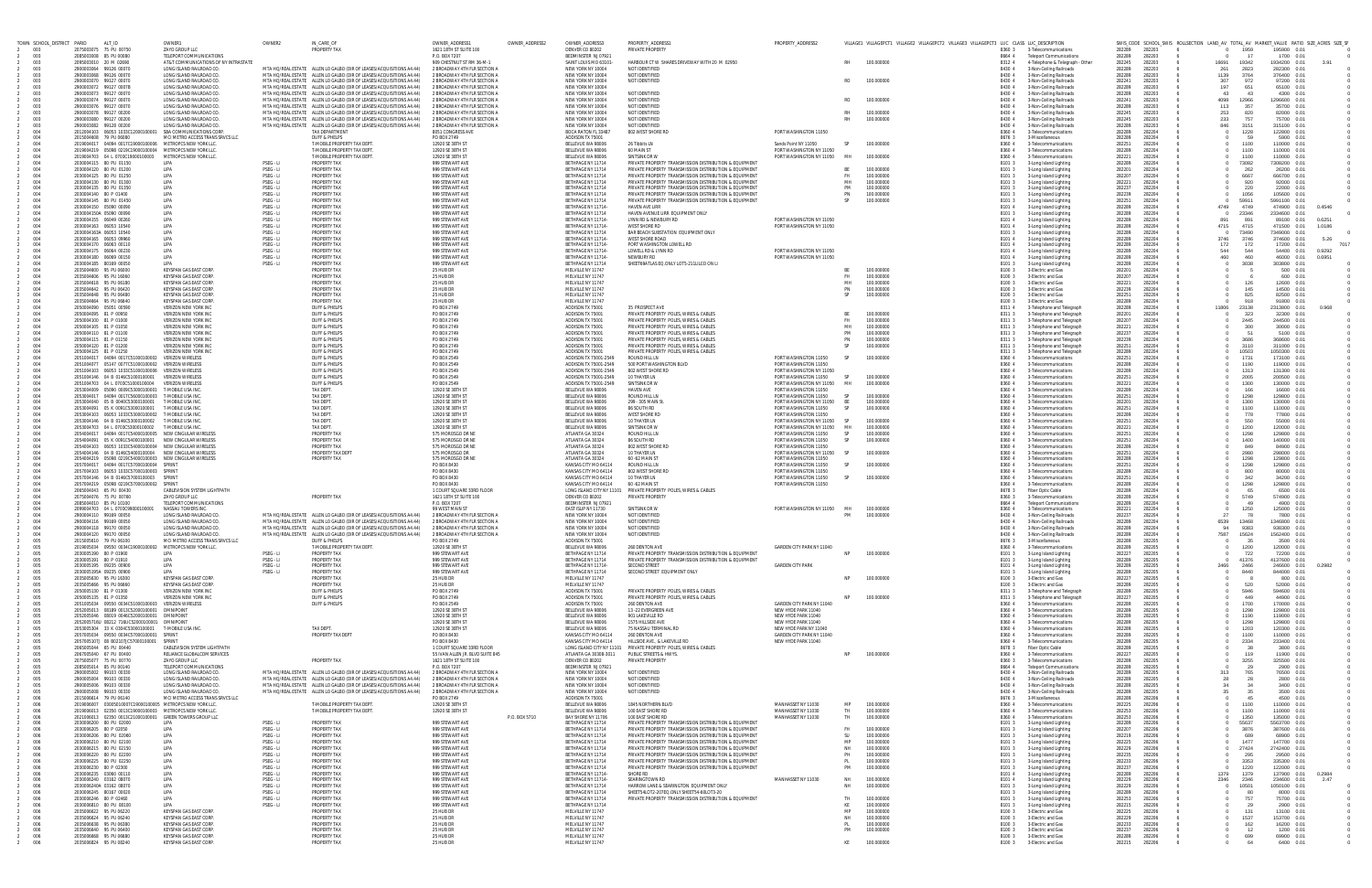| TOWN SCHOOL_DISTRICT PARID | ALT_ID                                                                                                                    | OWNER1                                                          | OWNER2                 | IN CARE OF                                                                                                                                                                                             | OWNER ADDRESS*                                                | OWNER_ADDRESS2 | OWNER_ADDRESS3                                 | PROPERTY ADDRESS1                                                                                                | PROPERTY_ADDRESS2                                          |                 | VILLAGE1 VILLAGEPCT1 VILLAGE2 VILLAGEPCT2 VILLAGE3 VILLAGEPCT3 LUC CLASS LUC_DESCRIPTION |                  |                                                            |                  |                  |              |                          |                             | SWIS_CODE SCHOOL_SWIS ROLLSECTION LAND_AV TOTAL_AV MARKET_VALUE RATIO SIZE_ACRES SIZE_SF |
|----------------------------|---------------------------------------------------------------------------------------------------------------------------|-----------------------------------------------------------------|------------------------|--------------------------------------------------------------------------------------------------------------------------------------------------------------------------------------------------------|---------------------------------------------------------------|----------------|------------------------------------------------|------------------------------------------------------------------------------------------------------------------|------------------------------------------------------------|-----------------|------------------------------------------------------------------------------------------|------------------|------------------------------------------------------------|------------------|------------------|--------------|--------------------------|-----------------------------|------------------------------------------------------------------------------------------|
| 2 003<br>003               | 2075003075 75 PU 00750<br>2085003008 85 PU 00080                                                                          | ZAYO GROUP LLC<br>TELEPORT COMMUNICATIONS                       |                        | <b>PROPERTY TAX</b>                                                                                                                                                                                    | 1621 18TH ST SUITE 100<br>P.O. BOX 7207                       |                | DENVER CO 80202<br><b>BEDMINSTER N107921</b>   | PRIVATE PROPERTY                                                                                                 |                                                            |                 |                                                                                          | 8360 3<br>8664 4 | 3-Telecommunications<br><b>Teleport Communications</b>     | 282289<br>282289 | 282203<br>282203 |              | 1959<br>$^{\circ}$<br>17 | 195900 0.01<br>1700 0.01    |                                                                                          |
| 003<br>003                 | 2095003010 20 M 02690<br>2900003064 99126 00070                                                                           | AT&T COMMUNICATIONS OF NY INTRASTATE<br>LONG ISLAND RAILROAD CC |                        | MTA HQ/REAL ESTATE ALLEN LO GALBO (DIR OF LEASES/ACQUISITIONS A4.44)                                                                                                                                   | 909 CHESTNUT ST RM 36-M-1<br>2 BROADWAY 4TH FLR SECTION A     |                | SAINT LOUIS MO 63101-<br>NEW YORK NY 10004     | HARBOUR CT W SHARES DRIVEWAY WITH 20 M 02950<br>NOT IDENTIFIED                                                   |                                                            |                 | 100.000000                                                                               | 8312 4<br>8430   | 4-Telephone & Telegraph - Other<br>3-Non-Ceiling Railroads | 282245<br>282289 | 282203<br>282203 | 16691<br>261 | 19342<br>2823            | 1934200 0.01<br>282300 0.01 | 3.91                                                                                     |
| 003                        | 2900003068 99126 00070                                                                                                    | LONG ISLAND RAILROAD CO<br>LONG ISLAND RAILROAD CO              |                        | MTA HO/REAL ESTATE ALLEN LO GALBO (DIR OF LEASES/ACQUISITIONS A4.44)                                                                                                                                   | 2 BROADWAY 4TH FLR SECTION A<br>2 BROADWAY 4TH FLR SECTION A  |                | NEW YORK NY 10004<br>NFW YORK NY 10004         | NOT IDENTIFIED<br>NOT IDENTIFIED                                                                                 |                                                            | RO.             | 100,000000                                                                               | 8430 4           | 3-Non-Ceiling Railroads                                    | 282289<br>282241 | 282203           | 1139<br>307  | 3764                     | 376400 0.01                 |                                                                                          |
| 003<br>003                 | 2900003070 99127 00070<br>2900003072 99127 0007B                                                                          | LONG ISLAND RAILROAD CO                                         |                        | MTA HO/REAL ESTATE ALLEN LO GALBO (DIR OF LEASES/ACQUISITIONS A4.44)<br>MTA HO/REAL ESTATE ALLEN LO GALBO (DIR OF LEASES/ACQUISITIONS A4.44)                                                           | 2 BROADWAY 4TH FLR SECTION A                                  |                | NEW YORK NY 10004                              |                                                                                                                  |                                                            |                 |                                                                                          | 8430 4<br>8430 4 | 3-Non-Ceiling Railroads<br>3-Non-Ceiling Railroads         | 282289           | 282203<br>282203 | 197          | 972<br>651               | 97200 0.01<br>65100 0.01    |                                                                                          |
| 003<br>003                 | 2900003073 99127 00070<br>2900003074 99127 00070                                                                          | LONG ISLAND RAILROAD CO.<br>LONG ISLAND RAILROAD CO             |                        | MTA HO/REAL ESTATE ALLEN LO GALBO (DIR OF LEASES/ACQUISITIONS A4.44)<br>MTA HO/REAL ESTATE ALLEN LO GALBO (DIR OF LEASES/ACQUISITIONS A4.44)                                                           | 2 BROADWAY 4TH FLR SECTION A<br>2 BROADWAY 4TH FLR SECTION A  |                | NEW YORK NY 10004<br>NEW YORK NY 10004         | NOT IDENTIFIED<br>NOT IDENTIFIED                                                                                 |                                                            | R <sub>O</sub>  | 100,000000                                                                               | 8430 4<br>8430 4 | 3-Non-Ceiling Railroads<br>3-Non-Ceiling Railroads         | 282289<br>282241 | 282203<br>282203 | 43<br>4098   | 43<br>12966              | 4300 0.01<br>1296600 0.01   |                                                                                          |
| 003                        | 2900003076 99127 00070                                                                                                    | LONG ISLAND RAILROAD CC                                         |                        | MTA HO/REAL ESTATE ALLEN LO GALBO (DIR OF LEASES/ACQUISITIONS A4.44)                                                                                                                                   | 2 BROADWAY 4TH FLR SECTION A                                  |                | NEW YORK NY 10004                              | NOT IDENTIFIED                                                                                                   |                                                            |                 |                                                                                          | 8430 4           | 3-Non-Ceiling Railroads                                    | 282289           | 282203           | 113          | 357                      | 35700 0.01                  |                                                                                          |
| 003<br>003                 | 2900003078 99127 00200<br>2900003080 99127 00200                                                                          | LONG ISLAND RAILROAD CO<br>LONG ISLAND RAILROAD CC              |                        | MTA HO/REAL ESTATE ALLEN LO GALBO (DIR OF LEASES/ACQUISITIONS A4.44)<br>MTA HO/REAL ESTATE ALLEN LO GALBO (DIR OF LEASES/ACQUISITIONS A4.44)                                                           | 2 BROADWAY 4TH FLR SECTION A<br>2 BROADWAY 4TH FLR SECTION A  |                | NEW YORK NY 10004<br>NEW YORK NY 10004         | NOT IDENTIFIED<br>NOT IDENTIFIED                                                                                 |                                                            |                 | 100.000000<br>100.000000                                                                 | 8430 4<br>8430 4 | 3-Non-Ceiling Railroads<br>3-Non-Ceiling Railroads         | 282245<br>282245 | 282203<br>282203 | 253<br>233   | 820<br>757               | 82000 0.01<br>75700 0.01    |                                                                                          |
| 003<br>004                 | 2900003082 99128 00200<br>2012004103  06053  1033C12000100001  SBA COMMUNICATIONS CORP.                                   | LONG ISLAND RAILROAD CC                                         |                        | MTA HO/REAL ESTATE ALLEN LO GALBO (DIR OF LEASES/ACQUISITIONS A4.44)<br><b>TAX DEPARTMENT</b>                                                                                                          | 2 BROADWAY 4TH FLR SECTION A<br>8051 CONGRESS AVE             |                | NEW YORK NY 10004<br>BOCA RATON FL 33487       | NOT IDENTIFIED<br>802 WEST SHORE RD                                                                              | PORT WASHINGTON 11050                                      |                 |                                                                                          | 8430 4<br>8360 4 | 3-Non-Ceiling Railroads<br>3-Telecommunications            | 282289<br>282289 | 282203<br>282204 | 846          | 3151<br>1228             | 315100 0.01<br>122800 0.01  |                                                                                          |
| 004                        | 2015004608 79 PU 06080                                                                                                    | MCI METRO ACCESS TRANS SRVCS LLC                                |                        | DUFF & PHELPS                                                                                                                                                                                          | PO BOX 2749                                                   |                | ADDISON TX 75001                               |                                                                                                                  |                                                            |                 |                                                                                          | 8676 3           | 3-Miscellaneous                                            | 282289           | 282204           |              | 59                       | 5900 0.01                   |                                                                                          |
| 004<br>004                 | 2019004017  04094  0017C19000100006  METROPCS NEW YORK LLC.<br>2019004219  05098  0219C19000100004  METROPCS NEW YORK LLC |                                                                 |                        | T-MOBILE PROPERTY TAX DEPT<br>T-MOBILE PROPERTY TAX DEPT                                                                                                                                               | 12920 SE 38TH ST<br>12920 SE 38TH ST                          |                | BELLEVUE WA 98006<br>BELLEVUE WA 98006         | 26 Tibbits LN<br>60 MAIN ST                                                                                      | Sands Point NY 11050<br>PORT WASHINGTON NY 11050           | SP              | 100.000000                                                                               | 8360 4<br>8360 4 | 3-Telecommunications<br>3-Telecommunications               | 282251<br>282289 | 282204<br>282204 |              | 1100<br>1100             | 110000 0.01<br>110000 0.01  |                                                                                          |
| 004<br>004                 | 2019004703  04 L  0703C19000100003  METROPCS NEW YORK LLC<br>2030004115 80 PU 01150                                       | LIPA                                                            | PSEG - LI              | T-MOBILE PROPERTY TAX DEPT<br>PROPERTY TAX                                                                                                                                                             | 12920 SE 38TH ST<br>999 STEWART AVE                           |                | BELLEVUE WA 98006<br>BETHPAGE NY 11714         | SINTSINK DR W<br>PRIVATE PROPERTY TRANSMISSION DISTRIBUTION & EQUIPMENT                                          | PORT WASHINGTON NY 11050                                   | MH              | 100,000000                                                                               | 8360 4<br>8101   | 3-Telecommunications                                       | 282221<br>282289 | 282204<br>282204 |              | 1100<br>73082            | 110000 0.01<br>7308200 0.01 |                                                                                          |
| 004                        | 2030004120 80 PU 01200                                                                                                    | LIPA                                                            | PSEG - LI              | PROPERTY TAX                                                                                                                                                                                           | 999 STEWART AVE                                               |                | BETHPAGE NY 11714                              | PRIVATE PROPERTY TRANSMISSION DISTRIBUTION & EQUIPMENT                                                           |                                                            |                 | 100,00000                                                                                | 8101             | 3-Long Island Lighting<br>3-Long Island Lighting           | 282201           | 282204           |              | 262                      | 26200 0.01                  |                                                                                          |
| 004<br>004                 | 2030004125 80 PU 01250<br>2030004130 80 PU 01300                                                                          | LIPA<br>LIPA                                                    | PSEG - LI<br>PSEG - LI | <b>PROPERTY TAX</b><br><b>PROPERTY TAX</b>                                                                                                                                                             | 999 STEWART AVE<br>999 STFWART AVE                            |                | BETHPAGE NY 11714<br>BETHPAGE NY 11714         | PRIVATE PROPERTY TRANSMISSION DISTRIBUTION & EQUIPMENT<br>PRIVATE PROPERTY TRANSMISSION DISTRIBUTION & FOUIPMENT |                                                            | - FH<br>MH      | 100,000000<br>100,000000                                                                 | 8101<br>8101     | 3-Long Island Lighting<br>3-Long Island Lighting           | 282207<br>282221 | 282204<br>282204 |              | 6667<br>-920             | 666700 0.01<br>92000 0.01   |                                                                                          |
| 004                        | 2030004135 80 PU 01350                                                                                                    | LIPA                                                            | PSEG - LI              | PROPERTY TAX                                                                                                                                                                                           | 999 STEWART AVE                                               |                | BETHPAGE NY 11714                              | PRIVATE PROPERTY TRANSMISSION DISTRIBUTION & EQUIPMENT                                                           |                                                            | PM              | 100.000000                                                                               | 8101 3           | 3-Long Island Lighting                                     | 282237           | 282204           |              | 220                      | 22000 0.01                  |                                                                                          |
| 004                        | 2030004140 80 P 01400<br>2030004145 80 PU 01450                                                                           | LIPA<br><b>IIPA</b>                                             | PSEG - LI<br>PSEG - LI | PROPERTY TAX<br><b>PROPERTY TAX</b>                                                                                                                                                                    | 999 STEWART AVE<br>999 STEWART AVE                            |                | BETHPAGE NY 11714<br>BETHPAGE NY 11714         | PRIVATE PROPERTY TRANSMISSION DISTRIBUTION & EQUIPMENT<br>PRIVATE PROPERTY TRANSMISSION DISTRIBUTION & EQUIPMENT |                                                            |                 | 100.000000<br>100,000000                                                                 | 8101<br>8101 3   | 3-Long Island Lighting<br>3-Long Island Lighting           | 282239<br>282251 | 282204<br>282204 |              | 1056<br>59911            | 105600 0.01<br>5991100 0.01 |                                                                                          |
| 00 <sub>1</sub><br>$00 -$  | 2030004150 05090 00090<br>2030004150A 05090 00090                                                                         | LIPA<br>LIPA                                                    | PSEG - LI<br>PSEG - LI | PROPERTY TAX<br><b>PROPERTY TAX</b>                                                                                                                                                                    | 999 STEWART AVE<br>999 STEWART AVE                            |                | BETHPAGE NY 11714-<br>BETHPAGE NY 11714        | <b>HAVEN AVE LIRR</b><br>HAVEN AVENUE LIRR EQUIPMENT ONLY                                                        |                                                            |                 |                                                                                          | 8101 4<br>8101   | 3-Long Island Lighting<br>3-Long Island Lighting           | 282289<br>282289 | 282204<br>282204 | 4749         | 4749<br>23346            | 474900 0.01<br>2334600 0.01 | 0.4546                                                                                   |
| 004                        | 2030004155 06049 00260                                                                                                    | LIPA                                                            | PSEG - LI              | <b>PROPERTY TAX</b>                                                                                                                                                                                    | 999 STEWART AVE                                               |                | BETHPAGE NY 11714-                             | LYNN RD & NEWBURY RD                                                                                             | PORT WASHINGTON NY 11050                                   |                 |                                                                                          | 8101 4           | 3-Long Island Lighting                                     | 282289           | 282204           | 891          | 891                      | 89100 0.01                  | 0.6251                                                                                   |
| നം<br>004                  | 2030004163 06053 10540<br>2030004163A 06053 10540                                                                         | LIPA<br>LIPA                                                    | PSEG - LI<br>PSEG - LI | PROPERTY TAX<br>PROPERTY TAX                                                                                                                                                                           | 999 STEWART AVE<br>999 STEWART AVE                            |                | BETHPAGE NY 11714-<br>BETHPAGE NY 11714        | WEST SHORE RD<br>BAR BEACH SUBSTATION EQUIPMENT ONLY                                                             | PORT WASHINGTON NY 11050                                   |                 |                                                                                          | 8101 4<br>8101 3 | 3-Long Island Lighting<br>3-Long Island Lighting           | 282289<br>282289 | 282204<br>282204 | 4715         | 4715<br>73490            | 471500 0.01<br>7349000 0.01 | 1.0186                                                                                   |
| 004                        | 2030004165 06053 09960                                                                                                    | LIPA<br>LIPA                                                    | PSEG - LI              | <b>PROPERTY TAX</b><br><b>PROPERTY TAX</b>                                                                                                                                                             | 999 STEWART AVE<br>999 STEWART AVE                            |                | BETHPAGE NY 11714-<br>BETHPAGE NY 11714-       | <b>WEST SHORE ROAD</b>                                                                                           |                                                            |                 |                                                                                          | 8101 4           | 3-Long Island Lighting                                     | 282289<br>282289 | 282204<br>282204 | 3746         | 3746                     | 374600 0.01                 | 5.26<br>7017                                                                             |
| 004                        | 2030004170 06063 00110<br>2030004175 06064 00230                                                                          | <b>IIPA</b>                                                     | PSEG - LI<br>PSEG-11   | <b>PROPERTY TAX</b>                                                                                                                                                                                    | 999 STEWART AVE                                               |                | <b>BFTHPAGF NY 11714-</b>                      | PORT WASHINGTON LOWELL RD<br>LOWELL RD & LYNN RD                                                                 | PORT WASHINGTON NY 11050                                   |                 |                                                                                          | 8101 4<br>8101 4 | 3-Long Island Lighting<br>3-Long Island Lighting           | 282289           | 282204           | 172<br>544   | 172<br>544               | 17200 0.01<br>54400 0.01    | 0.9292                                                                                   |
| 004<br>$00 -$              | 2030004180 06069 00150<br>2030004185 80169 00050                                                                          | LIPA<br>LIPA                                                    | PSEG - LI<br>PSEG - LI | PROPERTY TAX<br>PROPERTY TAX                                                                                                                                                                           | 999 STEWART AVE<br>999 STEWART AVE                            |                | BETHPAGE NY 11714-<br>BETHPAGE NY 11714        | NEWBURY RD<br>SHEET69ATLAS EQ.ONLY LOT5-211LILCO ON LI                                                           | PORT WASHINGTON NY 11050                                   |                 |                                                                                          | 8101 4<br>8101   | 3-Long Island Lighting<br>3-Long Island Lighting           | 282289<br>282289 | 282204<br>282204 | 460          | 460<br>3038              | 46000 0.01<br>303800 0.01   | 0.6951                                                                                   |
| 004                        | 2035004600 95 PU 06000                                                                                                    | <b>KEYSPAN GAS EAST CORP</b>                                    |                        | <b>PROPERTY TAX</b>                                                                                                                                                                                    | 25 HUB DR                                                     |                | MELVILLE NY 11747                              |                                                                                                                  |                                                            |                 | 100,000000                                                                               | 8100 3           | 3-Electric and Gas                                         | 282201           | 282204           |              |                          | 500 0.01                    |                                                                                          |
| 004<br>$00 -$              | 2035004606 95 PU 16060<br>2035004618 95 PU 06180                                                                          | KEYSPAN GAS EAST CORP.<br><b>KEYSPAN GAS EAST CORP</b>          |                        | <b>PROPERTY TAX</b><br>PROPERTY TAX                                                                                                                                                                    | 25 HUB DR<br>25 HUB DR                                        |                | MELVILLE NY 11747<br>MELVILLE NY 11747         |                                                                                                                  |                                                            | MH              | 100,000000<br>100.000000                                                                 | 8100 3<br>8100 3 | 3-Electric and Gas<br>3-Electric and Gas                   | 282207<br>282221 | 282204<br>282204 |              | 126                      | 600 0.01<br>12600 0.01      |                                                                                          |
| $00 -$<br>004              | 2035004642 95 PU 0642<br>2035004648 95 PU 06480                                                                           | <b>KEYSPAN GAS EAST CORE</b><br><b>KEYSPAN GAS EAST CORP</b>    |                        | PROPERTY TAX<br><b>PROPERTY TAX</b>                                                                                                                                                                    | 25 HUB DR<br>25 HUB DR                                        |                | MELVILLE NY 11747<br>MELVILLE NY 11747         |                                                                                                                  |                                                            | PN              | 100.000000<br>100.000000                                                                 | 8100 3<br>8100 3 | 3-Electric and Gas<br>3-Electric and Gas                   | 282239<br>282251 | 282204<br>282204 |              | 145<br>825               | 14500 0.01<br>82500 0.01    |                                                                                          |
| 004                        | 2035004664 95 PU 06640                                                                                                    | <b>KEYSPAN GAS EAST CORE</b>                                    |                        | <b>PROPERTY TAX</b>                                                                                                                                                                                    | 25 HUR DR                                                     |                | MFI VIII F NY 11747                            |                                                                                                                  |                                                            |                 |                                                                                          | 8100 3           | 3-Electric and Gas                                         | 282289           | 282204           |              | 918                      | 91800 0.01                  |                                                                                          |
| 004                        | 2050004090 05051 00590<br>2050004095 81 P 0095                                                                            | VERIZON NEW YORK INC<br><b>VERIZON NEW YORK IN</b>              |                        | <b>DUFF &amp; PHELPS</b><br>DUFF & PHELPS                                                                                                                                                              | PO BOX 2749<br>PO BOX 2749                                    |                | ADDISON TX 75001<br>ADDISON TX 7500            | 35 PROSPECT AVE<br>PRIVATE PROPERTY POLES, WIRES & CABLES                                                        |                                                            |                 | 100.000000                                                                               | 8311 4<br>8311   | 3-Telephone and Telegraph<br>3-Telephone and Telegraph     | 282289<br>282201 | 282204<br>282204 | 11806        | 23138<br>323             | 2313800 0.01<br>32300 0.01  |                                                                                          |
| 004                        | 2050004100 81 P 01000                                                                                                     | <b>VERIZON NEW YORK IN</b>                                      |                        | DUFF & PHELPS                                                                                                                                                                                          | PO BOX 2749                                                   |                | ADDISON TX 7500                                | PRIVATE PROPERTY POLES, WIRES & CABLES                                                                           |                                                            |                 | 100,000000                                                                               | 83113            | 3-Telephone and Telegraph                                  | 282207           | 282204           |              | 2445                     | 244500 0.01                 |                                                                                          |
| 004<br>$00 -$              | 2050004105 81 P 01050<br>2050004110 81 P 01100                                                                            | VERIZON NEW YORK INC<br>VERIZON NEW YORK INC                    |                        | <b>DUFF &amp; PHELPS</b><br><b>DUFF &amp; PHELPS</b>                                                                                                                                                   | PO BOX 2749<br>PO BOX 2749                                    |                | ADDISON TX 75001<br>ADDISON TX 75001           | PRIVATE PROPERTY POLES, WIRES & CABLES<br>PRIVATE PROPERTY POLES, WIRES & CABLES                                 |                                                            | MН<br><b>PM</b> | 100,000000<br>100.000000                                                                 | 8311 3<br>8311 3 | 3-Telephone and Telegraph<br>3-Telephone and Telegraph     | 282221<br>282237 | 282204<br>282204 |              | -300                     | 30000 0.01<br>5100 0.01     |                                                                                          |
| 004<br>004                 | 2050004115 81 P 01150<br>2050004120 81 P 01200                                                                            | VERIZON NEW YORK INC<br><b>VERIZON NEW YORK IN</b>              |                        | <b>DUFF &amp; PHELPS</b><br><b>DUFF &amp; PHELPS</b>                                                                                                                                                   | PO BOX 2749<br>PO BOX 2749                                    |                | ADDISON TX 75001<br>ADDISON TX 75001           | PRIVATE PROPERTY POLES, WIRES & CABLES<br>PRIVATE PROPERTY POLES, WIRES & CABLES                                 |                                                            | PN<br><b>SP</b> | 100.000000<br>100.000000                                                                 | 8311 3<br>8311 3 | 3-Telephone and Telegraph<br>3-Telephone and Telegraph     | 282239<br>282251 | 282204<br>282204 |              | 3686<br>3110             | 368600 0.01<br>311000 0.01  |                                                                                          |
| 004                        | 2050004125 81 P 01250                                                                                                     | VERIZON NEW YORK IN                                             |                        | <b>DUFF &amp; PHELPS</b>                                                                                                                                                                               | PO BOX 2749                                                   |                | ADDISON TX 75001                               | PRIVATE PROPERTY POLES, WIRES & CABLES                                                                           |                                                            |                 |                                                                                          | 8311             | 3-Telephone and Telegraph                                  | 282289           | 282204           |              | 10503                    | 1050300 0.01                |                                                                                          |
| 004<br>004                 | 2051004017  04094  0017C51000100002  VERIZON WIRELESS<br>2051004077  05147  0077C51000100002  VERIZON WIRELESS            |                                                                 |                        | <b>DUFF &amp; PHELPS</b><br><b>DUFF &amp; PHELPS</b>                                                                                                                                                   | PO BOX 2549<br>PO BOX 2549                                    |                | ADDISON TX 75001-2549<br>ADDISON TX 75001-2549 | ROUND HILL LN<br>500 PORT WASHINGTON BLVD                                                                        | PORT WASHINGTON 11050<br>PORT WASHINGTON 11050             | SP              | 100.000000                                                                               | 8360 4<br>8360   | 3-Telecommunications<br>3-Telecommunications               | 282251<br>282289 | 282204<br>282204 |              | 1731<br>1190             | 173100 0.01<br>119000 0.01  |                                                                                          |
| 004<br>004                 | 2051004103  06053  1033C51000100006  VERIZON WIRELES                                                                      | VERIZON WIRELES                                                 |                        | <b>DUFF &amp; PHELPS</b><br><b>DUFF &amp; PHELPS</b>                                                                                                                                                   | PO BOX 2549<br>PO BOX 2549                                    |                | ADDISON TX 75001-2549<br>ADDISON TX 75001-2549 | 802 WEST SHORE RD<br>10 THAYFR IN                                                                                | PORT WASHINGTON NY 11050<br>PORT WASHINGTON 11050          | SP              | 100,000000                                                                               | 8360 4<br>8360 4 | 3-Telecommunications<br>3-Telecommunications               | 282289<br>282251 | 282204<br>282204 |              | 1313<br>2005             | 131300 0.01<br>200500 0.01  |                                                                                          |
| 004                        | 2051004703  04 L 0703C51000100004                                                                                         | <b>VERIZON WIRELES</b>                                          |                        | <b>DUFF &amp; PHELPS</b>                                                                                                                                                                               | PO BOX 2549                                                   |                | ADDISON TX 75001-2549                          | SINTSINK DRW                                                                                                     | PORT WASHINGTON NY 11050                                   | MH              | 100,000000                                                                               | 8360 4           | 3-Telecommunications                                       | 282221           | 282204           |              | 1300                     | 130000 0.01                 |                                                                                          |
| $00 -$<br>004              | 2053004009  05090  0009C53000100001  T-MOBILE USA INC<br>2053004017  04094  0017C56000100003  T-MOBILE USA IN             |                                                                 |                        | TAX DEPT.<br>TAX DEPT.                                                                                                                                                                                 | 12920 SE 38TH ST<br>12920 SE 38TH ST                          |                | BELLEVUE WA 98006<br>BELLEVUE WA 98006         | <b>HAVEN AVE</b><br>ROUND HILL LN                                                                                | PORT WASHINGTON 11050<br>PORT WASHINGTON 11050             | SP              | 100,000000                                                                               | 8360 4<br>8360 4 | 3-Telecommunications<br>3-Telecommunications               | 282289<br>282251 | 282204<br>282204 |              | 166<br>1298              | 16600 0.01<br>129800 0.01   |                                                                                          |
| 004                        | 2053004040  05  B 0040C53000100001                                                                                        | T-MOBILE USA IN                                                 |                        | <b>TAX DFPT</b>                                                                                                                                                                                        | 12920 SE 38TH ST                                              |                | BELLEVUE WA 98006                              | 299 - 305 MAIN S                                                                                                 | PORT WASHINGTON NY 11050                                   | <b>BF</b>       | 100,000000                                                                               | 8360 4           | 3-Telecommunications                                       | 282201           | 282204           |              | 1300                     | 130000 0.01                 |                                                                                          |
| 004<br>004                 | 2053004091  05 K 0091C53000100001<br>2053004103  06053  1033C53000100002  T-MOBILE USA IN                                 | T-MOBILE USA INC                                                |                        | TAX DEPT.<br><b>TAX DEPT</b>                                                                                                                                                                           | 12920 SE 38TH ST<br>12920 SE 38TH ST                          |                | BELLEVUE WA 98006<br>BELLEVUE WA 98006         | 86 SOUTH RD<br><b>WEST SHORE RI</b>                                                                              | PORT WASHINGTON 11050<br>PORT WASHINGTON 1105              | <b>SP</b>       | 100.000000                                                                               | 8360 4<br>8360 4 | 3-Telecommunications<br>3-Telecommunications               | 282251<br>282289 | 282204<br>282204 |              | 1100<br>778              | 110000 0.01<br>77800 0.01   |                                                                                          |
| 004<br>004                 | 2053004146  04  B  0146C53000100002  T-MOBILE USA INC<br>2053004703  04 L  0703C53000100002  T-MOBILE USA IN              |                                                                 |                        | <b>TAX DEPT</b><br><b>TAX DFPT</b>                                                                                                                                                                     | 12920 SE 38TH ST<br>12920 SE 38TH ST                          |                | BELLEVUE WA 98006<br>BELLEVUE WA 98006         | 10 THAYER LN<br>SINTSINK DR W                                                                                    | PORT WASHINGTON NY 11050 SP<br>PORT WASHINGTON NY 11050 MH |                 | 100,000000<br>100,000000                                                                 | 8360 4<br>8360 4 | 3-Telecommunications<br>3-Telecommunications               | 282251<br>282221 | 282204<br>282204 |              | 550<br>1200              | 55000 0.01<br>120000 0.01   |                                                                                          |
| 004                        | 2054004017  04094  0017C54000100005  NEW CINGULAR WIRELESS                                                                |                                                                 |                        | PROPERTY TAX                                                                                                                                                                                           | 575 MOROSGO DR NE                                             |                | ATLANTA GA 30324                               | ROUND HILL LN                                                                                                    | PORT WASHINGTON 11050                                      | <b>SP</b>       | 100,000000                                                                               | 8360 4           | 3-Telecommunications                                       | 282251           | 282204           |              | 1298                     | 129800 0.01                 |                                                                                          |
| $00 -$<br>004              | 2054004091  05 K 0091C54000100001  NEW CINGULAR WIRELESS<br>2054004103  06053  1033C54000100004  NEW CINGULAR WIRELESS    |                                                                 |                        | PROPERTY TAX<br><b>PROPERTY TAX</b>                                                                                                                                                                    | 575 MOROSGO DR NE<br>575 MOROSGO DR NE                        |                | ATLANTA GA 30324<br>ATLANTA GA 30324           | 86 SOUTH RD<br>802 WEST SHORE RD                                                                                 | PORT WASHINGTON 11050<br>PORT WASHINGTON 11050             | SP              | 100.000000                                                                               | 8360 4<br>8360 4 | 3-Telecommunications<br>3-Telecommunications               | 282251<br>282289 | 282204<br>282204 |              | 1400<br>849              | 140000 0.01<br>84900 0.01   |                                                                                          |
| 004                        | 2054004146 04 B 0146C54000100004 NEW CINGULAR WIRELESS                                                                    |                                                                 |                        | PROPERTY TAX DEP                                                                                                                                                                                       | 575 MOROSGO DR                                                |                | ATLANTA GA 30324                               | 10 THAYFR IN                                                                                                     | PORT WASHINGTON NY 11050                                   | SP              | 100,000000                                                                               | 8360 4           | 3-Telecommunications                                       | 282251           | 282204           |              | 2980                     | 298000 0.01                 |                                                                                          |
| 004<br>004                 | 2054004219  05098  0219C54000100003  NEW CINGULAR WIRELESS<br>2057004017  04094  0017C57000100004  SPRINT                 |                                                                 |                        | <b>PROPERTY TAX</b>                                                                                                                                                                                    | 575 MOROSGO DR NE<br>PO BOX 8430                              |                | ATLANTA GA 30324<br>KANSAS CITY MO 6411        | 60 - 62 MAIN ST<br>ROUND HILL LN                                                                                 | PORT WASHINGTON 11050<br>PORT WASHINGTON 11050             | SP <sub>3</sub> | 100,000000                                                                               | 8360<br>8360 4   | 3-Telecommunications<br>3-Telecommunications               | 282289<br>282251 | 282204<br>282204 |              | 1298<br>1298             | 129800 0.01<br>129800 0.01  |                                                                                          |
| 004<br>004                 | 2057004103  06053  1033C57000100003  SPRINT<br>2057004146  04  B  0146C57000100003  SPRINT                                |                                                                 |                        |                                                                                                                                                                                                        | PO BOX 8430<br>PO BOX 8430                                    |                | KANSAS CITY MO 64114<br>KANSAS CITY MO 64114   | 802 WEST SHORE RD<br>10 THAYER LN                                                                                | PORT WASHINGTON 11050<br>PORT WASHINGTON 11050             | SP              | 100.000000                                                                               | 8360 4<br>8360 4 | 3-Telecommunications<br>3-Telecommunications               | 282289<br>282251 | 282204<br>282204 |              | -800<br>342              | 80000 0.01<br>34200 0.01    |                                                                                          |
| $00 -$                     | 2057004219  05098  0219C57000100002  SPRINT                                                                               |                                                                 |                        |                                                                                                                                                                                                        | PO BOX 8430                                                   |                | KANSAS CITY MO 64114                           | 60 - 62 MAIN ST                                                                                                  | PORT WASHINGTON 11050                                      |                 |                                                                                          | 8360 4           | 3-Telecommunications                                       | 282289           | 282204           |              | 1298                     | 129800 0.01                 |                                                                                          |
| 004<br>004                 | 2065004043 65 PU 00430<br>2075004076 75 PU 00760                                                                          | CABLEVISION SYSTEM LIGHTPATH<br><b>ZAYO GROUP LLC</b>           |                        | <b>PROPERTY TAX</b>                                                                                                                                                                                    | 1 COURT SQUARE 33RD FLOOR<br>1621 18TH ST SUITE 100           |                | DENVER CO 80202                                | LONG ISLAND CITY NY 11101 PRIVATE PROPERTY POLES, WIRES & CABLES<br>PRIVATE PROPERTY                             |                                                            |                 |                                                                                          | 8678 3<br>8360 3 | Fiber Optic Cable<br>3-Telecommunications                  | 282289<br>282289 | 282204<br>282204 |              | 65<br>5749               | 6500 0.01<br>574900 0.01    |                                                                                          |
| 004<br>00 <sub>1</sub>     | 2085004010 85 PU 10100<br>2099004703  04 L 0703C99000100001                                                               | TELEPORT COMMUNICATIONS<br>NASSAU TOWERS INC                    |                        |                                                                                                                                                                                                        | P.O. BOX 7207<br>99 WEST MAIN S                               |                | BEDMINSTER NJ 07921<br>EAST ISLIP NY 11730     | SINTSINK DRW                                                                                                     | PORT WASHINGTON NY 11050                                   | MH              | 100,00000                                                                                | 8664 4<br>8360 4 | <b>Teleport Communication</b><br>3-Telecommunications      | 282289<br>282221 | 282204<br>282204 |              | 49<br>1250               | 4900 0.01<br>125000 0.01    |                                                                                          |
| 004                        | 2900004110 99169 00050                                                                                                    | LONG ISLAND RAILROAD CC                                         |                        | MTA HO/REAL ESTATE ALLEN LO GALBO (DIR OF LEASES/ACQUISITIONS A4.44)                                                                                                                                   | 2 BROADWAY 4TH FLR SECTION /                                  |                | NEW YORK NY 10004                              | NOT IDENTIFIED                                                                                                   |                                                            | PM              | 100,000000                                                                               | 8430 4           | 3-Non-Ceiling Railroads                                    | 282237           | 282204           |              | - 78                     | 7800 0.01                   |                                                                                          |
| നം                         | 2900004116 99169 00050<br>2900004118 99170 00050                                                                          | LONG ISLAND RAILROAD CC<br>LONG ISLAND RAILROAD CO.             |                        | MTA HO/REAL ESTATE ALLEN LO GALBO (DIR OF LEASES/ACQUISITIONS A4.44) 2 BROADWAY 4TH FLR SECTION A<br>MTA HO/REAL ESTATE ALLEN LO GALBO (DIR OF LEASES/ACQUISITIONS A4.44) 2 BROADWAY 4TH FLR SECTION A |                                                               |                | NFW YORK NY 10004<br>NEW YORK NY 10004         | NOT IDENTIFIED<br>NOT IDENTIFIED                                                                                 |                                                            |                 |                                                                                          | 8430 4<br>8430 4 | 3-Non-Ceiling Railroads<br>3-Non-Ceiling Railroads         | 282289<br>282289 | 282204<br>282204 | 6539         | 13468<br>9383            | 1346800 0.01<br>938300 0.01 |                                                                                          |
| 004                        | 2900004120 99170 00050<br>015005610 79 PU 06100                                                                           | LONG ISLAND RAILROAD CO.<br>MCI METRO ACCESS TRANS SRVCS LI     |                        | MTA HO/REAL ESTATE ALLEN LO GALBO (DIR OF LEASES/ACQUISITIONS A4.44) 2 BROADWAY 4TH FLR SECTION A<br>DUFF & PHELPS                                                                                     | PO BOX 2749                                                   |                | NEW YORK NY 10004<br>ADDISON TX 7500           | NOT IDENTIFIED                                                                                                   |                                                            |                 |                                                                                          | 8430 4<br>8676   | 3-Non-Ceiling Railroads<br>3-Miscellaneou                  | 282289<br>282289 | 282204<br>28220  | 7587         | 15624                    | 1562400 0.01<br>3500        | 0.01                                                                                     |
| 005                        | 2019005034  09550  0034C19000100002  METROPCS NEW YORK LLC.                                                               |                                                                 |                        | T-MOBILE PROPERTY TAX DEPT                                                                                                                                                                             | 12920 SE 38TH ST                                              |                | BELLEVUE WA 98006                              | 260 DENTON AVF                                                                                                   | GARDEN CITY PARK NY 11040                                  |                 |                                                                                          | 8360 4           | 3-Telecommunications                                       | 282289           | 282205           |              | 1200                     | 120000 0.01                 |                                                                                          |
| 005<br>005                 | 2030005190 80 P 01900<br>2030005191 80 P 01910                                                                            | LIPA<br>LIPA                                                    | PSEG - LI<br>PSEG - LI | PROPERTY TAX<br>PROPERTY TAX                                                                                                                                                                           | 999 STEWART AVE<br>999 STEWART AVE                            |                | BETHPAGE NY 11714<br>BETHPAGE NY 11714         | PRIVATE PROPERTY TRANSMISSION DISTRIBUTION & EQUIPMENT<br>PRIVATE PROPERTY TRANSMISSION DISTRIBUTION & FOURPMENT |                                                            | <b>NP</b>       | 100.000000                                                                               | 8101 3<br>8101   | 3-Long Island Lighting<br>3-Long Island Lighting           | 282227<br>282289 | 282205<br>282205 |              | 722<br>41376             | 72200 0.01<br>4137600 0.01  |                                                                                          |
| 005                        | 2030005195 09235 00900<br>2030005195A 09235 00900                                                                         | LIPA                                                            | PSEG - LI              | <b>PROPERTY TAX</b><br>PROPERTY TAX                                                                                                                                                                    | 999 STEWART AVE<br>999 STEWART AVE                            |                | BETHPAGE NY 11714-<br>BETHPAGE NY 11714        | <b>SECOND STREET</b><br>SECOND STREET EQUIPMENT ONLY                                                             | <b>GARDEN CITY PARK</b>                                    |                 |                                                                                          | 8101 4           | 3-Long Island Lighting                                     | 282289<br>282289 | 282205<br>282205 | 2466         | 2466                     | 246600 0.01<br>844000 0.01  | 0.2982                                                                                   |
| 005<br>005                 | 2035005630 95 PU 16300                                                                                                    | LIPA<br><b>KEYSPAN GAS EAST CORP</b>                            | PSEG - LI              | PROPERTY TAX                                                                                                                                                                                           | 25 HUB DR                                                     |                | MELVILLE NY 11747                              |                                                                                                                  |                                                            |                 | 100.000000                                                                               | 8101 3<br>8100 3 | 3-Long Island Lighting<br>3-Electric and Gas               | 282227           | 282205           |              | 8440                     | 800 0.01                    |                                                                                          |
| 005<br>005                 | 2035005666 95 PU 0666<br>2050005130 81 P 01300                                                                            | KEYSPAN GAS EAST CORP.<br><b>VERIZON NEW YORK INC</b>           |                        | PROPERTY TAX<br><b>DUFF &amp; PHELPS</b>                                                                                                                                                               | 25 HUB DR<br>PO BOX 2749                                      |                | MELVILLE NY 11747<br>ADDISON TX 75001          | PRIVATE PROPERTY POLES, WIRES & CABLES                                                                           |                                                            |                 |                                                                                          | 8100 3<br>8311 3 | 3-Electric and Gas<br>3-Telephone and Telegraph            | 282289<br>282289 | 282205<br>282205 |              | 520<br>5946              | 52000 0.01<br>594600 0.01   |                                                                                          |
| 005                        | 2050005135 81 P 01350                                                                                                     | VERIZON NEW YORK INC                                            |                        | <b>DUFF &amp; PHELPS</b>                                                                                                                                                                               | PO BOX 2749                                                   |                | ADDISON TX 75001                               | PRIVATE PROPERTY POLES, WIRES & CABLES                                                                           |                                                            |                 | 100,000000                                                                               | 8311 3           | 3-Telephone and Telegraph                                  | 282227           | 282205           |              | 449                      | 44900 0.01                  |                                                                                          |
| 005<br>005                 | 2051005034  09550  0034C51000100003  VERIZON WIRELESS<br>2052005013  08189  0013C52000100001  OMNIPOINT                   |                                                                 |                        | <b>DUFF &amp; PHELPS</b>                                                                                                                                                                               | PO BOX 2549<br>12920 SE 38TH ST                               |                | ADDISON TX 75001<br>BELLEVUE WA 98006          | 260 DENTON AVE<br>13 - 22 EVERGREEN AVE                                                                          | GARDEN CITY PARK NY 11040<br>NEW HYDE PARK 11040           |                 |                                                                                          | 8360 4<br>8360 4 | 3-Telecommunications<br>3-Telecommunications               | 282289<br>282289 | 282205<br>282205 |              | 1700<br>1298             | 170000 0.01<br>129800 0.01  |                                                                                          |
| 005<br>005                 | 2052005046 08019 0046C52000100001 OMNIPOINT<br>2052005716U 08212 716UC52000100001 OMNIPOINT                               |                                                                 |                        |                                                                                                                                                                                                        | 12920 SE 38TH ST<br>12920 SE 38TH ST                          |                | BELLEVUE WA 98006<br>BELLEVUE WA 98006         | 901 LAKEVILLE RD<br>1575 HILLSIDE AVE                                                                            | NEW HYDE PARK 11040<br>NEW HYDE PARK 11040                 |                 |                                                                                          | 8360 4<br>8360 4 | 3-Telecommunications<br>3-Telecommunications               | 282289<br>282289 | 282205<br>282205 |              | 1190<br>1298             | 119000 0.01<br>129800 0.01  |                                                                                          |
| 005                        | 2053005304 33 K 0304C53000100001 T-MOBILE USA INC.                                                                        |                                                                 |                        | TAX DEPT.                                                                                                                                                                                              | 12920 SE 38TH ST                                              |                | BELLEVUE WA 98006                              | 75 NASSAU TERMINAL RD                                                                                            | NEW HYDE PARK NY 11040                                     |                 |                                                                                          | 8360 4           | 3-Telecommunications                                       | 282289           | 282205           |              | 1203                     | 120300 0.01                 |                                                                                          |
| 005<br>005                 | 2057005034  09550  0034C57000100001  SPRINT<br>2057005107J 08 B02107JC57000100001 SPRINT                                  |                                                                 |                        | PROPERTY TAX DEPT                                                                                                                                                                                      | PO BOX 8430<br>PO BOX 8430                                    |                | KANSAS CITY MO 64114<br>KANSAS CITY MO 64114   | 260 DENTON AVE<br>HILLSIDE AVE., & LAKEVILLE RD                                                                  | GARDEN CITY PARK NY 11040<br>NEW HYDE PARK 11040           |                 |                                                                                          | 8360 4<br>8360 4 | 3-Telecommunications<br>3-Telecommunications               | 282289<br>282289 | 282205<br>282205 |              | 1100<br>2334             | 110000 0.01<br>233400 0.01  |                                                                                          |
| 005<br>005                 | 2065005044 65 PU 00440<br>2067005040 67 PU 00400                                                                          | CABLEVISION SYSTEM LIGHTPATH<br>RELIANCE GLOBALCOM SERVICES     |                        |                                                                                                                                                                                                        | 1 COURT SQUARE 33RD FLOOR<br>55 IVAN ALLEN JR. BLVD SUITE 845 |                | ATLANTA GA 30308-3011                          | LONG ISLAND CITY NY 11101 PRIVATE PROPERTY POLES. WIRES & CABLES<br>PUBLIC STREETS & HWYS.                       |                                                            |                 | 100.000000                                                                               | 8678 3<br>8360 4 | Fiber Optic Cable<br>3-Telecommunications                  | 282289<br>282227 | 282205<br>282205 |              | - 38<br>119              | 3800 0.01<br>11900 0.01     |                                                                                          |
| 005                        | 2075005077 75 PU 00770                                                                                                    | ZAYO GROUP LLC                                                  |                        | PROPERTY TAX                                                                                                                                                                                           | 1621 18TH ST SUITE 100                                        |                | DENVER CO 80202                                | PRIVATE PROPERTY                                                                                                 |                                                            |                 |                                                                                          | 8360             | 3-Telecommunications                                       | 282289           | 282205           |              | 3255                     | 325500 0.01                 |                                                                                          |
| 005<br>005                 | 2085005014 85 PU 00140<br>2900005002 99103 00330                                                                          | TELEPORT COMMUNICATIONS<br>LONG ISLAND RAILROAD CO.             |                        | MTA HO/REAL ESTATE ALLEN LO GALBO (DIR OF LEASES/ACQUISITIONS A4.44)                                                                                                                                   | P.O. BOX 7207<br>2 BROADWAY 4TH FLR SECTION A                 |                | BEDMINSTER NJ 07921<br>NEW YORK NY 10004       | NOT IDENTIFIED                                                                                                   |                                                            |                 |                                                                                          | 8664 4<br>8430 4 | <b>Teleport Communications</b><br>3-Non-Ceiling Railroads  | 282289<br>282289 | 282205<br>282205 | 313          | -29<br>765               | 2900 0.01<br>76500 0.01     |                                                                                          |
| 005                        | 2900005004 99103 00330                                                                                                    | LONG ISLAND RAILROAD CO.                                        |                        | MTA HO/REAL ESTATE ALLEN LO GALBO (DIR OF LEASES/ACQUISITIONS A4.44)                                                                                                                                   | 2 BROADWAY 4TH FLR SECTION A                                  |                | NEW YORK NY 10004                              | NOT IDENTIFIED                                                                                                   |                                                            |                 |                                                                                          | 8430 4           | 3-Non-Ceiling Railroads                                    | 282289           | 282205           | -28          | -28                      | 2800 0.01                   |                                                                                          |
| 005<br>005                 | 2900005006 99103 00330<br>2900005008 99103 00330                                                                          | LONG ISLAND RAILROAD CC<br>LONG ISLAND RAILROAD CO              |                        | MTA HO/REAL ESTATE ALLEN LO GALBO (DIR OF LEASES/ACQUISITIONS A4.44)<br>MTA HO/REAL ESTATE ALLEN LO GALBO (DIR OF LEASES/ACQUISITIONS A4.44)                                                           | 2 BROADWAY 4TH FLR SECTION A<br>2 BROADWAY 4TH FLR SECTION A  |                | NEW YORK NY 10004<br>NEW YORK NY 10004         | NOT IDENTIFIED<br>NOT IDENTIFIED                                                                                 |                                                            |                 |                                                                                          | 8430 4<br>8430 4 | 3-Non-Ceiling Railroads<br>3-Non-Ceiling Railroads         | 282289<br>282289 | 282205<br>282205 | 35           | 34<br>-35                | 3400 0.01<br>3500 0.01      |                                                                                          |
| 006<br>006                 | 2015006614 79 PU 06140<br>2019006007 03005010007C19000100005 METROPCS NEW YORK LLC.                                       | MCLMETRO ACCESS TRANS SRVCS LLC.                                |                        | T-MOBILE PROPERTY TAX DEPT.                                                                                                                                                                            | PO BOX 2749<br>12920 SE 38TH ST                               |                | ADDISON TX 75001<br>BELLEVUE WA 98006          | 1845 NORTHERN BLVD                                                                                               | MANHASSET NY 11030                                         | MP              | 100.000000                                                                               | 8676 3<br>8360 4 | 3-Miscellaneous<br>3-Telecommunications                    | 282289<br>282225 | 282206<br>282206 |              | 45<br>1100               | 4500 0.01<br>110000 0.01    |                                                                                          |
| 006                        | 2019006013  02350  0013C19000100003  METROPCS NEW YORK LLC                                                                |                                                                 |                        | T-MOBILE PROPERTY TAX DEPT.                                                                                                                                                                            | 12920 SE 38TH ST                                              |                | BELLEVUE WA 98006                              | 100 EAST SHORE RD                                                                                                | MANHASSET NY 11030                                         | TH              | 100,000000                                                                               | 8360 4           | 3-Telecommunications                                       | 282253           | 282206           |              | 1100                     | 110000 0.01                 |                                                                                          |
| 006<br>006                 | 2021006013  02350  0013C21000100001  GREEN TOWERS GROUP LLO<br>2030006200 80 PU 02000                                     | LIPA                                                            | PSEG - LI              | PROPERTY TAX                                                                                                                                                                                           | 999 STEWART AVE                                               | P.O. BOX 5710  | BAY SHORE NY 11706<br>BETHPAGE NY 11714        | 100 EAST SHORE RD<br>PRIVATE PROPERTY TRANSMISSION DISTRIBUTION & EQUIPMENT                                      | MANHASSET NY 11030                                         | TH              | 100.000000                                                                               | 8360 4<br>8101 3 | 3-Telecommunications<br>3-Long Island Lighting             | 282253<br>282289 | 282206<br>282206 |              | 1350<br>55637            | 135000 0.01<br>5563700 0.01 |                                                                                          |
| 006                        | 2030006205 80 P 02050                                                                                                     | LIPA                                                            | PSEG - LI              | PROPERTY TAX<br><b>PROPERTY TAX</b>                                                                                                                                                                    | 999 STEWART AVE<br>999 STEWART AVE                            |                | BETHPAGE NY 11714<br>BETHPAGE NY 11714         | PRIVATE PROPERTY TRANSMISSION DISTRIBUTION & EQUIPMENT<br>PRIVATE PROPERTY TRANSMISSION DISTRIBUTION & EQUIPMENT |                                                            | <b>FH</b>       | 100.000000<br>100.000000                                                                 | 8101 3           | 3-Long Island Lighting                                     | 282207           | 282206           |              | 3876<br>689              | 387600 0.01<br>68900 0.01   |                                                                                          |
| 006<br>006                 | 2030006206 80 PU 02060<br>2030006210 80 PU 02100                                                                          | LIPA<br>LIPA                                                    | PSEG - LI<br>PSEG - LI | PROPERTY TAX                                                                                                                                                                                           | 999 STFWART AVE                                               |                | BETHPAGE NY 11714                              | PRIVATE PROPERTY TRANSMISSION DISTRIBUTION & EQUIPMENT                                                           |                                                            | MP              | 100,000000                                                                               | 8101 3<br>8101 3 | 3-Long Island Lighting<br>3-Long Island Lighting           | 282219<br>282225 | 282206<br>282206 |              | 1477                     | 147700 0.01                 |                                                                                          |
| 006<br>006                 | 2030006215 80 PU 02150<br>2030006220 80 PU 02200                                                                          | LIPA<br>LIPA                                                    | PSEG - LI<br>PSEG - LI | PROPERTY TAX<br>PROPERTY TAX                                                                                                                                                                           | 999 STEWART AVE<br>999 STEWART AVE                            |                | BETHPAGE NY 11714<br>BETHPAGE NY 11714         | PRIVATE PROPERTY TRANSMISSION DISTRIBUTION & EQUIPMENT<br>PRIVATE PROPERTY TRANSMISSION DISTRIBUTION & EQUIPMENT |                                                            | NH<br>PH        | 100.000000<br>100.000000                                                                 | 8101 3<br>8101   | 3-Long Island Lighting<br>3-Long Island Lighting           | 282229<br>282235 | 282206<br>282206 |              | 27424<br>295             | 2742400 0.01<br>29500 0.01  |                                                                                          |
| 006                        | 2030006225 80 PU 02250                                                                                                    | LIPA                                                            | PSEG - LI              | <b>PROPERTY TAX</b>                                                                                                                                                                                    | 999 STEWART AVE                                               |                | BETHPAGE NY 11714                              | PRIVATE PROPERTY TRANSMISSION DISTRIBUTION & EQUIPMENT                                                           |                                                            |                 | 100.000000                                                                               | 8101 3           | 3-Long Island Lighting                                     | 282233           | 282206           |              | 3353                     | 335300 0.01                 |                                                                                          |
| 006<br>006                 | 2030006230 80 P 02300<br>2030006235 03060 00110                                                                           | LIPA<br>LIPA                                                    | PSEG - LI<br>PSEG - LI | <b>PROPERTY TAX</b><br>PROPERTY TAX                                                                                                                                                                    | 999 STEWART AVE<br>999 STEWART AVE                            |                | BETHPAGE NY 11714<br>BETHPAGE NY 11714-        | PRIVATE PROPERTY TRANSMISSION DISTRIBUTION & EQUIPMENT<br>SHORE RD                                               |                                                            | <b>PM</b>       | 100.000000                                                                               | 8101<br>8101 4   | 3-Long Island Lighting<br>3-Long Island Lighting           | 282237<br>282289 | 282206<br>282206 | 1379         | 1220<br>1379             | 122000 0.01<br>137900 0.01  | 0.2984                                                                                   |
| 006<br>006                 | 2030006240 03162 08070<br>2030006240A 03162 08070                                                                         | LIPA<br>LIPA                                                    | PSEG - LI<br>PSEG - LI | <b>PROPERTY TAX</b><br><b>PROPERTY TAX</b>                                                                                                                                                             | 999 STEWART AVE<br>999 STEWART AVE                            |                | BETHPAGE NY 11714-<br>BETHPAGE NY 11714        | SEARINGTOWN RD<br>HARROW LANE & SEARINGTON EQUIPMENT ONLY                                                        | MANHASSET NY 11030                                         | NH<br>NΗ        | 100,000000<br>100,000000                                                                 | 8101 4<br>8101 3 | 3-Long Island Lighting<br>3-Long Island Lighting           | 282229<br>282229 | 282206<br>282206 | 2346         | 2346<br>10501            | 234600 0.01<br>1050100 0.01 | 2.47                                                                                     |
| 006                        | 2030006245 80167 00020                                                                                                    | <b>IIPA</b>                                                     | PSEG - LI              | PROPERTY TAX                                                                                                                                                                                           | 999 STEWART AVE                                               |                | BETHPAGE NY 11714                              | SHEET54LOT2-207EQ.ONLY SHEET54-60LOT3-20                                                                         |                                                            |                 |                                                                                          | 8101             | 3-Long Island Lighting                                     | 282289           | 282206           |              | - 80                     | 8000 0.01                   |                                                                                          |
| 006<br>006                 | 2030006246 80 P 02460<br>2030006810 80 PU 08100                                                                           | LIPA<br>LIPA                                                    | PSEG - LI<br>PSEG - LI | PROPERTY TAX<br><b>PROPERTY TAX</b>                                                                                                                                                                    | 999 STEWART AVE<br>999 STEWART AVE                            |                | BETHPAGE NY 11714<br>BETHPAGE NY 11714         | PRIVATE PROPERTY TRANSMISSION DISTRIBUTION & EQUIPMENT                                                           |                                                            |                 | 100.000000<br>100.000000                                                                 | 8101 3<br>8101   | 3-Long Island Lighting<br>3-Long Island Lighting           | 282253<br>282215 | 282206<br>282206 |              | 757<br>-29               | 75700 0.01<br>2900 0.01     |                                                                                          |
| 006                        | 2035006622 95 PU 06220<br>2035006624 95 PU 06240                                                                          | <b>KEYSPAN GAS EAST CORE</b><br>KEYSPAN GAS EAST CORP.          |                        | <b>PROPERTY TAX</b><br><b>PROPERTY TAX</b>                                                                                                                                                             | 25 HUB DR<br>25 HUB DR                                        |                | MELVILLE NY 11747<br>MELVILLE NY 11747         |                                                                                                                  |                                                            | MP              | 100,000000<br>100,000000                                                                 | 8100 3<br>8100 3 | 3-Electric and Gas                                         | 282225<br>282229 | 282206<br>282206 |              | - 131<br>1537            | 13100 0.01<br>153700 0.01   |                                                                                          |
| 006<br>006                 | 2035006638 95 PU 06380                                                                                                    | <b>KEYSPAN GAS EAST CORP</b>                                    |                        | PROPERTY TAX                                                                                                                                                                                           | 25 HUB DR                                                     |                | MELVILLE NY 11747                              |                                                                                                                  |                                                            |                 | 100.000000                                                                               | 8100 3           | 3-Electric and Gas<br>3-Electric and Gas                   | 282233           | 282206           |              | 162                      | 16200 0.01                  |                                                                                          |
| 006<br>006                 | 2035006640 95 PU 0640<br>2035006668 95 PU 06680                                                                           | <b>KEYSPAN GAS EAST CORP</b><br>KEYSPAN GAS EAST CORP.          |                        | <b>PROPERTY TAX</b><br><b>PROPERTY TAX</b>                                                                                                                                                             | 25 HUB DR<br>25 HUB DR                                        |                | MELVILLE NY 1174<br>MELVILLE NY 11747          |                                                                                                                  |                                                            | PM              | 100.000000                                                                               | 8100 3<br>8100 3 | 3-Electric and Gas<br>3-Electric and Gas                   | 282237<br>282289 | 282206<br>282206 |              | 12<br>699                | 1200 0.01<br>69900 0.01     |                                                                                          |
| 006                        | 2035006824 95 PU 08240                                                                                                    | <b>KEYSPAN GAS EAST CORP</b>                                    |                        | PROPERTY TAX                                                                                                                                                                                           | 25 HUB DR                                                     |                | MELVILLE NY 11747                              |                                                                                                                  |                                                            | KE              | 100.000000                                                                               | 8100 3           | 3-Electric and Gas                                         | 282215           | 282206           |              | 64                       | 6400 0.01                   |                                                                                          |

| CLASS<br>3                       | LUC_DESCRIPTION<br>3-Telecommunications                | SWIS_CODE<br>282289 | SCHOOL_SWIS<br>282203 | ROLLSECTION LAND_AV<br>6 | 0            | TOTAL_AV<br>1959 | MARKET_VALUE<br>195900 | 0.01         | RATIO SIZE_ACRES SIZE_SF | $\mathbf 0$                 |
|----------------------------------|--------------------------------------------------------|---------------------|-----------------------|--------------------------|--------------|------------------|------------------------|--------------|--------------------------|-----------------------------|
| 4                                | <b>Teleport Communications</b>                         | 282289              | 282203                | 6                        | 0            | 17               | 1700                   | 0.01         |                          | 0                           |
| 4                                | 4-Telephone & Telegraph - Other                        | 282245              | 282203                | 6                        | 16691        | 19342            | 1934200                | 0.01         | 3.91                     |                             |
| 4<br>4                           | 3-Non-Ceiling Railroads<br>3-Non-Ceiling Railroads     | 282289<br>282289    | 282203<br>282203      | 6<br>6                   | 261<br>1139  | 2823<br>3764     | 282300<br>376400       | 0.01<br>0.01 |                          | $\mathbf 0$<br>$\mathbf 0$  |
| $\overline{4}$                   | 3-Non-Ceiling Railroads                                | 282241              | 282203                | 6                        | 307          | 972              | 97200                  | 0.01         |                          | $\mathbf 0$                 |
| $\overline{4}$<br>4              | 3-Non-Ceiling Railroads<br>3-Non-Ceiling Railroads     | 282289<br>282289    | 282203<br>282203      | 6<br>6                   | 197<br>43    | 651<br>43        | 65100<br>4300          | 0.01<br>0.01 |                          | $\mathbf 0$<br>0            |
| 4                                | 3-Non-Ceiling Railroads                                | 282241              | 282203                | 6                        | 4098         | 12966            | 1296600                | 0.01         |                          | 0                           |
| 4                                | 3-Non-Ceiling Railroads                                | 282289              | 282203<br>282203      | 6                        | 113          | 357              | 35700                  | 0.01         |                          | $\mathbf 0$                 |
| 4<br>4                           | 3-Non-Ceiling Railroads<br>3-Non-Ceiling Railroads     | 282245<br>282245    | 282203                | 6<br>6                   | 253<br>233   | 820<br>757       | 82000<br>75700         | 0.01<br>0.01 |                          | $\mathbf 0$<br>0            |
| 4                                | 3-Non-Ceiling Railroads                                | 282289              | 282203                | 6                        | 846          | 3151             | 315100                 | 0.01         |                          | 0                           |
| $\overline{4}$<br>3              | 3-Telecommunications<br>3-Miscellaneous                | 282289<br>282289    | 282204<br>282204      | 6<br>6                   | 0<br>0       | 1228<br>59       | 122800<br>5900         | 0.01<br>0.01 |                          | $\mathbf{0}$<br>$\mathbf 0$ |
| 4                                | 3-Telecommunications                                   | 282251              | 282204                | 6                        | 0            | 1100             | 110000                 | 0.01         |                          | $\mathbf 0$                 |
| 4                                | 3-Telecommunications                                   | 282289              | 282204                | 6                        | 0            | 1100             | 110000                 | 0.01         |                          | $\mathbf 0$                 |
| 4<br>3                           | 3-Telecommunications<br>3-Long Island Lighting         | 282221<br>282289    | 282204<br>282204      | 6<br>6                   | 0<br>0       | 1100<br>73082    | 110000<br>7308200      | 0.01<br>0.01 |                          | $\mathbf 0$<br>$\mathbf 0$  |
| 3                                | 3-Long Island Lighting                                 | 282201              | 282204                | 6                        | 0            | 262              | 26200                  | 0.01         |                          | $\mathbf 0$                 |
| 3<br>3                           | 3-Long Island Lighting                                 | 282207<br>282221    | 282204<br>282204      | 6                        | 0<br>0       | 6667<br>920      | 666700                 | 0.01<br>0.01 |                          | $\mathbf 0$<br>$\mathbf 0$  |
| 3                                | 3-Long Island Lighting<br>3-Long Island Lighting       | 282237              | 282204                | 6<br>6                   | 0            | 220              | 92000<br>22000         | 0.01         |                          | $\mathbf 0$                 |
| 3                                | 3-Long Island Lighting                                 | 282239              | 282204                | 6                        | 0            | 1056             | 105600                 | 0.01         |                          | $\mathbf 0$                 |
| 3<br>4                           | 3-Long Island Lighting<br>3-Long Island Lighting       | 282251<br>282289    | 282204<br>282204      | 6<br>6                   | 0<br>4749    | 59911<br>4749    | 5991100<br>474900      | 0.01<br>0.01 | 0.4546                   | $\mathbf 0$                 |
| 3                                | 3-Long Island Lighting                                 | 282289              | 282204                | 6                        | 0            | 23346            | 2334600                | 0.01         |                          | 0                           |
| 4<br>$\overline{4}$              | 3-Long Island Lighting                                 | 282289              | 282204                | 6                        | 891          | 891              | 89100                  | 0.01         | 0.6251                   |                             |
| 3                                | 3-Long Island Lighting<br>3-Long Island Lighting       | 282289<br>282289    | 282204<br>282204      | 6<br>6                   | 4715<br>0    | 4715<br>73490    | 471500<br>7349000      | 0.01<br>0.01 | 1.0186                   | 0                           |
| 4                                | 3-Long Island Lighting                                 | 282289              | 282204                | 6                        | 3746         | 3746             | 374600                 | 0.01         | 5.26                     |                             |
| 4<br>4                           | 3-Long Island Lighting                                 | 282289<br>282289    | 282204<br>282204      | 6<br>6                   | 172<br>544   | 172<br>544       | 17200<br>54400         | 0.01<br>0.01 | 0.9292                   | 7017                        |
| 4                                | 3-Long Island Lighting<br>3-Long Island Lighting       | 282289              | 282204                | 6                        | 460          | 460              | 46000                  | 0.01         | 0.6951                   |                             |
| 3                                | 3-Long Island Lighting                                 | 282289              | 282204                | 6                        | 0            | 3038             | 303800                 | 0.01         |                          | $\mathbf 0$                 |
| 3<br>3                           | 3-Electric and Gas<br>3-Electric and Gas               | 282201<br>282207    | 282204<br>282204      | 6<br>6                   | 0<br>0       | 5<br>6           | 500<br>600             | 0.01<br>0.01 |                          | $\mathbf 0$<br>$\mathbf 0$  |
| 3                                | 3-Electric and Gas                                     | 282221              | 282204                | 6                        | 0            | 126              | 12600                  | 0.01         |                          | $\mathbf 0$                 |
| 3                                | 3-Electric and Gas                                     | 282239              | 282204                | 6                        | 0            | 145              | 14500                  | 0.01         |                          | $\mathbf 0$                 |
| 3<br>3                           | 3-Electric and Gas<br>3-Electric and Gas               | 282251<br>282289    | 282204<br>282204      | 6<br>6                   | 0<br>0       | 825<br>918       | 82500<br>91800         | 0.01<br>0.01 |                          | 0<br>0                      |
| 4                                | 3-Telephone and Telegraph                              | 282289              | 282204                | 6                        | 11806        | 23138            | 2313800                | 0.01         | 0.968                    |                             |
| 3<br>3                           | 3-Telephone and Telegraph<br>3-Telephone and Telegraph | 282201<br>282207    | 282204<br>282204      | 6<br>6                   | 0<br>0       | 323<br>2445      | 32300<br>244500        | 0.01<br>0.01 |                          | $\mathbf 0$<br>0            |
| 3                                | 3-Telephone and Telegraph                              | 282221              | 282204                | 6                        | 0            | 300              | 30000                  | 0.01         |                          | $\mathbf{0}$                |
| 3                                | 3-Telephone and Telegraph                              | 282237              | 282204                | 6                        | 0            | 51               | 5100                   | 0.01         |                          | $\mathbf 0$                 |
| 3<br>3                           | 3-Telephone and Telegraph<br>3-Telephone and Telegraph | 282239<br>282251    | 282204<br>282204      | 6<br>6                   | 0<br>0       | 3686<br>3110     | 368600<br>311000       | 0.01<br>0.01 |                          | $\mathbf 0$<br>0            |
| 3                                | 3-Telephone and Telegraph                              | 282289              | 282204                | 6                        | 0            | 10503            | 1050300                | 0.01         |                          | $\mathbf 0$                 |
| 4<br>4                           | 3-Telecommunications<br>3-Telecommunications           | 282251<br>282289    | 282204<br>282204      | 6<br>6                   | 0<br>0       | 1731<br>1190     | 173100<br>119000       | 0.01<br>0.01 |                          | $\mathbf 0$<br>$\mathbf 0$  |
| 4                                | 3-Telecommunications                                   | 282289              | 282204                | 6                        | 0            | 1313             | 131300                 | 0.01         |                          | $\mathbf 0$                 |
| $\overline{4}$                   | 3-Telecommunications                                   | 282251              | 282204                | 6                        | 0            | 2005             | 200500                 | 0.01         |                          | $\mathbf 0$                 |
| $\overline{4}$<br>4              | 3-Telecommunications<br>3-Telecommunications           | 282221<br>282289    | 282204<br>282204      | 6<br>6                   | 0<br>0       | 1300<br>166      | 130000<br>16600        | 0.01<br>0.01 |                          | $\mathbf 0$<br>0            |
| 4                                | 3-Telecommunications                                   | 282251              | 282204                | 6                        | 0            | 1298             | 129800                 | 0.01         |                          | 0                           |
| 4                                | 3-Telecommunications                                   | 282201              | 282204                | 6                        | 0            | 1300             | 130000                 | 0.01         |                          | $\mathbf 0$                 |
| 4<br>4                           | 3-Telecommunications<br>3-Telecommunications           | 282251<br>282289    | 282204<br>282204      | 6<br>6                   | 0<br>0       | 1100<br>778      | 110000<br>77800        | 0.01<br>0.01 |                          | $\mathbf 0$<br>0            |
| 4                                | 3-Telecommunications                                   | 282251              | 282204                | 6                        | 0            | 550              | 55000                  | 0.01         |                          | 0                           |
| $\overline{4}$<br>$\overline{4}$ | 3-Telecommunications<br>3-Telecommunications           | 282221<br>282251    | 282204<br>282204      | 6<br>6                   | 0<br>0       | 1200<br>1298     | 120000<br>129800       | 0.01<br>0.01 |                          | $\mathbf 0$<br>$\mathbf 0$  |
| 4                                | 3-Telecommunications                                   | 282251              | 282204                | 6                        | 0            | 1400             | 140000                 | 0.01         |                          | $\mathbf 0$                 |
| 4                                | 3-Telecommunications                                   | 282289              | 282204                | 6                        | 0            | 849              | 84900                  | 0.01         |                          | 0                           |
| 4<br>4                           | 3-Telecommunications<br>3-Telecommunications           | 282251<br>282289    | 282204<br>282204      | 6<br>6                   | 0<br>0       | 2980<br>1298     | 298000<br>129800       | 0.01<br>0.01 |                          | $\mathbf 0$<br>$\mathbf 0$  |
| 4                                | 3-Telecommunications                                   | 282251              | 282204                | 6                        | 0            | 1298             | 129800                 | 0.01         |                          | $\mathbf 0$                 |
| $\overline{4}$<br>$\overline{4}$ | 3-Telecommunications<br>3-Telecommunications           | 282289<br>282251    | 282204<br>282204      | 6<br>6                   | 0<br>0       | 800<br>342       | 80000<br>34200         | 0.01<br>0.01 |                          | $\mathbf 0$<br>$\mathbf 0$  |
| 4                                | 3-Telecommunications                                   | 282289              | 282204                | 6                        | 0            | 1298             | 129800                 | 0.01         |                          | 0                           |
| 3                                | Fiber Optic Cable                                      | 282289              | 282204                | 6                        | 0            | 65               | 6500                   | 0.01         |                          | 0                           |
| 3<br>4                           | 3-Telecommunications<br><b>Teleport Communications</b> | 282289<br>282289    | 282204<br>282204      | 6<br>6                   | 0<br>0       | 5749<br>49       | 574900<br>4900         | 0.01<br>0.01 |                          | $\mathbf 0$<br>$\mathbf 0$  |
| 4                                | 3-Telecommunications                                   | 282221              | 282204                | 6                        | 0            | 1250             | 125000                 | 0.01         |                          | 0                           |
| 4                                | 3-Non-Ceiling Railroads                                | 282237              | 282204                | 6                        | 27           | 78               | 7800                   | 0.01         |                          | 0                           |
| $\overline{4}$<br>$\overline{4}$ | 3-Non-Ceiling Railroads<br>3-Non-Ceiling Railroads     | 282289<br>282289    | 282204<br>282204      | 6<br>6                   | 6539<br>94   | 13468<br>9383    | 1346800<br>938300      | 0.01<br>0.01 |                          | $\mathbf 0$<br>$\mathbf 0$  |
| 4                                | 3-Non-Ceiling Railroads                                | 282289              | 282204                | 6                        | 7587         | 15624            | 1562400                | 0.01         |                          | 0                           |
| 3<br>4                           | 3-Miscellaneous<br>3-Telecommunications                | 282289<br>282289    | 282205<br>282205      | 6<br>6                   | 0<br>0       | 35<br>1200       | 3500<br>120000         | 0.01<br>0.01 |                          | $\mathbf 0$<br>$\mathbf 0$  |
| 3                                | 3-Long Island Lighting                                 | 282227              | 282205                | 6                        | 0            | 722              | 72200                  | 0.01         |                          | $\mathbf 0$                 |
| 3                                | 3-Long Island Lighting                                 | 282289              | 282205                | 6                        | 0            | 41376            | 4137600                | 0.01         |                          | 0                           |
| 4<br>3                           | 3-Long Island Lighting<br>3-Long Island Lighting       | 282289<br>282289    | 282205<br>282205      | 6<br>6                   | 2466<br>0    | 2466<br>8440     | 246600<br>844000       | 0.01<br>0.01 | 0.2982                   | $\mathbf 0$                 |
| 3                                | 3-Electric and Gas                                     | 282227              | 282205                | 6                        | 0            | 8                | 800                    | 0.01         |                          | $\mathbf 0$                 |
| 3<br>3                           | 3-Electric and Gas<br>3-Telephone and Telegraph        | 282289<br>282289    | 282205<br>282205      | 6<br>6                   | 0<br>0       | 520<br>5946      | 52000<br>594600        | 0.01<br>0.01 |                          | 0<br>0                      |
| 3                                | 3-Telephone and Telegraph                              | 282227              | 282205                | 6                        | 0            | 449              | 44900                  | 0.01         |                          | $\pmb{0}$                   |
| 4                                | 3-Telecommunications                                   | 282289              | 282205                | 6                        | 0            | 1700             | 170000                 | 0.01         |                          | $\mathbf 0$                 |
| 4<br>4                           | 3-Telecommunications<br>3-Telecommunications           | 282289<br>282289    | 282205<br>282205      | 6<br>6                   | 0<br>0       | 1298<br>1190     | 129800<br>119000       | 0.01<br>0.01 |                          | 0<br>0                      |
| $\overline{4}$                   | 3-Telecommunications                                   | 282289              | 282205                | 6                        | 0            | 1298             | 129800                 | 0.01         |                          | $\mathbf 0$                 |
| $\overline{4}$<br>4              | 3-Telecommunications                                   | 282289              | 282205<br>282205      | 6                        | 0<br>0       | 1203<br>1100     | 120300                 | 0.01<br>0.01 |                          | $\mathbf 0$                 |
| 4                                | 3-Telecommunications<br>3-Telecommunications           | 282289<br>282289    | 282205                | 6<br>6                   | 0            | 2334             | 110000<br>233400       | 0.01         |                          | 0<br>0                      |
| 3                                | Fiber Optic Cable                                      | 282289              | 282205                | 6                        | 0            | 38               | 3800                   | 0.01         |                          | $\mathbf 0$                 |
| 4                                | 3-Telecommunications                                   | 282227              | 282205                | 6                        | 0            | 119              | 11900                  | 0.01         |                          | $\mathbf 0$                 |
| 3<br>4                           | 3-Telecommunications<br><b>Teleport Communications</b> | 282289<br>282289    | 282205<br>282205      | 6<br>6                   | 0<br>0       | 3255<br>29       | 325500<br>2900         | 0.01<br>0.01 |                          | 0<br>0                      |
| $\overline{4}$                   | 3-Non-Ceiling Railroads                                | 282289              | 282205                | 6                        | 313          | 765              | 76500                  | 0.01         |                          | $\mathbf 0$                 |
| $\overline{4}$<br>4              | 3-Non-Ceiling Railroads                                | 282289<br>282289    | 282205<br>282205      | 6                        | 28<br>34     | 28<br>34         | 2800<br>3400           | 0.01<br>0.01 |                          | $\mathbf 0$<br>0            |
| 4                                | 3-Non-Ceiling Railroads<br>3-Non-Ceiling Railroads     | 282289              | 282205                | 6<br>6                   | 35           | 35               | 3500                   | 0.01         |                          | 0                           |
| 3                                | 3-Miscellaneous                                        | 282289              | 282206                | 6                        | $^{\circ}$   | 45               | 4500                   | 0.01         |                          | $\pmb{0}$                   |
| 4<br>4                           | 3-Telecommunications<br>3-Telecommunications           | 282225<br>282253    | 282206<br>282206      | 6<br>6                   | 0<br>0       | 1100<br>1100     | 110000<br>110000       | 0.01<br>0.01 |                          | $\mathbf 0$<br>0            |
| 4                                | 3-Telecommunications                                   | 282253              | 282206                | 6                        | 0            | 1350             | 135000                 | 0.01         |                          | 0                           |
| 3                                | 3-Long Island Lighting                                 | 282289              | 282206                | 6                        | 0            | 55637            | 5563700                | 0.01         |                          | $\mathbf 0$                 |
| 3<br>3                           | 3-Long Island Lighting<br>3-Long Island Lighting       | 282207<br>282219    | 282206<br>282206      | 6<br>6                   | 0<br>0       | 3876<br>689      | 387600<br>68900        | 0.01<br>0.01 |                          | 0<br>0                      |
| 3                                | 3-Long Island Lighting                                 | 282225              | 282206                | 6                        | 0            | 1477             | 147700                 | 0.01         |                          | $\mathbf 0$                 |
| 3<br>3                           | 3-Long Island Lighting                                 | 282229              | 282206<br>282206      | 6                        | 0<br>0       | 27424<br>295     | 2742400                | 0.01<br>0.01 |                          | $\mathbf 0$<br>0            |
| 3                                | 3-Long Island Lighting<br>3-Long Island Lighting       | 282235<br>282233    | 282206                | 6<br>6                   | 0            | 3353             | 29500<br>335300        | 0.01         |                          | 0                           |
| 3                                | 3-Long Island Lighting                                 | 282237              | 282206                | 6                        | 0            | 1220             | 122000                 | 0.01         |                          | $\mathbf 0$                 |
| 4<br>4                           | 3-Long Island Lighting<br>3-Long Island Lighting       | 282289<br>282229    | 282206<br>282206      | 6<br>6                   | 1379<br>2346 | 1379<br>2346     | 137900<br>234600       | 0.01<br>0.01 | 0.2984<br>2.47           |                             |
| 3                                | 3-Long Island Lighting                                 | 282229              | 282206                | 6                        | 0            | 10501            | 1050100                | 0.01         |                          | 0                           |
| 3                                | 3-Long Island Lighting                                 | 282289              | 282206                | 6                        | 0            | 80               | 8000                   | 0.01         |                          | $\pmb{0}$                   |
| 3<br>3                           | 3-Long Island Lighting<br>3-Long Island Lighting       | 282253<br>282215    | 282206<br>282206      | 6<br>6                   | 0<br>0       | 757<br>29        | 75700<br>2900          | 0.01<br>0.01 |                          | $\mathbf 0$<br>0            |
| 3                                | 3-Electric and Gas                                     | 282225              | 282206                | 6                        | 0            | 131              | 13100                  | 0.01         |                          | 0                           |
| 3<br>3                           | 3-Electric and Gas<br>3-Electric and Gas               | 282229<br>282233    | 282206<br>282206      | 6<br>6                   | 0<br>0       | 1537<br>162      | 153700<br>16200        | 0.01<br>0.01 |                          | $\mathbf 0$<br>$\mathbf 0$  |
| 3                                | 3-Electric and Gas                                     | 282237              | 282206                | 6                        | 0            | 12               | 1200                   | 0.01         |                          | $\mathbf 0$                 |
| 3                                | 3-Electric and Gas                                     | 282289              | 282206                | 6                        | 0            | 699              | 69900                  | 0.01         |                          | 0                           |
| 3                                | 3-Electric and Gas                                     | 282215              | 282206                | 6                        | 0            | 64               | 6400                   | 0.01         |                          | 0                           |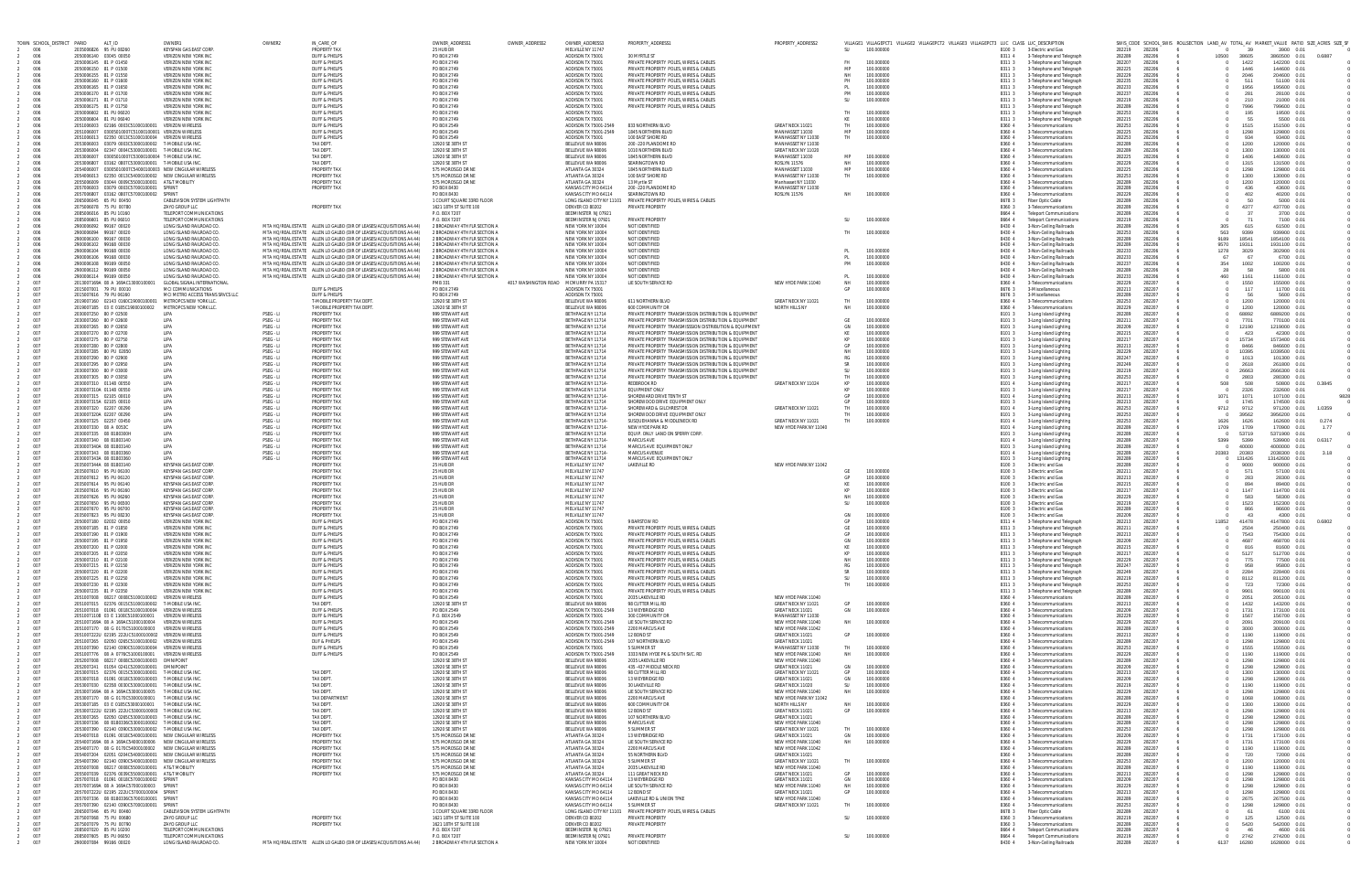|            | TOWN SCHOOL_DISTRICT PARID |                                                        | ALT_ID                                                                                                                  | OWNER1                                                       | OWNER2                 | IN_CARE_OF                                                                                                                                   | OWNER_ADDRESS1                                               | OWNER_ADDRESS2                        | OWNER_ADDRESS3                                 | PROPERTY_ADDRESS1                                                                                                 | PROPERTY_ADDRESS2                              |                  | VILLAGE1 VILLAGEPCT1 VILLAGE2 VILLAGEPCT2 VILLAGE3 VILLAGEPCT3 LUC CLASS LUC_DESCRIPTION |                  |                                                                  | SWIS_CODE SCHOOL_SWIS ROLLSECTION LAND_AV TOTAL_AV MARKET_VALUE RATIO SIZE_ACRES SIZE_SF |              |                |                              |        |
|------------|----------------------------|--------------------------------------------------------|-------------------------------------------------------------------------------------------------------------------------|--------------------------------------------------------------|------------------------|----------------------------------------------------------------------------------------------------------------------------------------------|--------------------------------------------------------------|---------------------------------------|------------------------------------------------|-------------------------------------------------------------------------------------------------------------------|------------------------------------------------|------------------|------------------------------------------------------------------------------------------|------------------|------------------------------------------------------------------|------------------------------------------------------------------------------------------|--------------|----------------|------------------------------|--------|
| 006<br>006 |                            | 2035006826 95 PU 08260<br>2050006140 03045 00050       |                                                                                                                         | KEYSPAN GAS FAST CORP<br>VERIZON NEW YORK INC                |                        | PROPERTY TA)<br><b>DUFF &amp; PHELPS</b>                                                                                                     | 25 HUB DR<br>PO BOX 2749                                     |                                       | MELVILLE NY 11747<br>ADDISON TX 75001          | 30 MYRTI F ST                                                                                                     |                                                | SU               | 100.000000                                                                               | 8100 3<br>83114  | 3-Electric and Gas<br>3-Telephone and Telegraph                  | 282206<br>282219<br>282289<br>282206                                                     | - 0<br>10500 | 39<br>38605    | 3900 0.01<br>3860500 0.01    |        |
| 006        |                            | 2050006145 81 P 01450                                  |                                                                                                                         | <b>VERIZON NEW YORK IN</b>                                   |                        | DUFF & PHELPS                                                                                                                                | PO BOX 2749                                                  |                                       | ADDISON TX 75001                               | PRIVATE PROPERTY POLES, WIRES & CABLES                                                                            |                                                | FH.              | 100,000000                                                                               | 8311 3           | 3-Telephone and Telegraph                                        | 282207<br>282206                                                                         |              | 1422           | 142200 0.01                  |        |
| 006<br>006 |                            | 2050006150 81 P 01500<br>2050006155 81 P 01550         |                                                                                                                         | VERIZON NEW YORK INC<br><b>VERIZON NEW YORK INC</b>          |                        | <b>DUFF &amp; PHELPS</b><br>DUFF & PHELPS                                                                                                    | PO BOX 2749<br><b>PO BOX 2749</b>                            |                                       | ADDISON TX 75001<br>ADDISON TX 75001           | PRIVATE PROPERTY POLES, WIRES & CABLES<br>PRIVATE PROPERTY POLES, WIRES & CABLES                                  |                                                | MP<br>NН         | 100,000000<br>100,000000                                                                 | 8311 3<br>8311 3 | 3-Telephone and Telegraph<br>3-Telephone and Telegraph           | 282225<br>282206<br>282229<br>282206                                                     |              | 1446<br>2046   | 144600 0.01<br>204600 0.01   |        |
| 006        |                            | 2050006160 81 P 01600                                  |                                                                                                                         | VERIZON NEW YORK INC                                         |                        | DUFF & PHELPS                                                                                                                                | PO BOX 2749                                                  |                                       | ADDISON TX 75001                               | PRIVATE PROPERTY POLES, WIRES & CABLES                                                                            |                                                | PH               | 100,000000                                                                               | 8311 3           | 3-Telephone and Telegraph                                        | 282235<br>282206                                                                         |              | 511            | 51100 0.01                   |        |
| 006<br>006 |                            | 2050006165 81 P 01650<br>2050006170 81 P 01700         |                                                                                                                         | <b>VERIZON NEW YORK IN</b><br><b>VERIZON NEW YORK INC</b>    |                        | DUFF & PHELPS<br><b>DUFF &amp; PHELPS</b>                                                                                                    | PO BOX 2749<br>PO BOX 2749                                   |                                       | ADDISON TX 75001<br>ADDISON TX 75001           | PRIVATE PROPERTY POLES, WIRES & CABLE<br>PRIVATE PROPERTY POLES, WIRES & CABLE                                    |                                                | <b>PM</b>        | 100,000000<br>100,000000                                                                 | 8311 3<br>83113  | 3-Telephone and Telegraph<br>3-Telephone and Telegraph           | 282233<br>282206<br>282237<br>282206                                                     |              | 1956<br>281    | 195600 0.01<br>28100 0.01    |        |
| 006        |                            | 2050006171 81 P 01710                                  |                                                                                                                         | <b>VERIZON NEW YORK INC</b>                                  |                        | DUFF & PHELPS                                                                                                                                | PO BOX 2749                                                  |                                       | ADDISON TX 75001                               | PRIVATE PROPERTY POLES, WIRES & CABLE:                                                                            |                                                | SU.              | 100,000000                                                                               | 8311 3           | 3-Telephone and Telegraph                                        | 282206<br>282219                                                                         |              | 210            | 21000 0.01                   |        |
| 006<br>006 |                            | 2050006175 81 P 01750<br>2050006602 81 PU 06020        |                                                                                                                         | VERIZON NEW YORK INC<br>VERIZON NEW YORK INC                 |                        | DUFF & PHELPS<br><b>DUFF &amp; PHELPS</b>                                                                                                    | PO BOX 2749<br>PO BOX 2749                                   |                                       | ADDISON TX 75001<br>ADDISON TX 75001           | PRIVATE PROPERTY POLES, WIRES & CABLES                                                                            |                                                |                  | 100,000000                                                                               | 8311 3<br>8311 3 | 3-Telephone and Telegraph<br>3-Telephone and Telegraph           | 282289<br>282206<br>282253<br>282206                                                     |              | 7996<br>195    | 799600 0.01<br>19500 0.01    |        |
| 006        |                            | 2050006604 81 PU 06040                                 |                                                                                                                         | <b>VERIZON NEW YORK IN</b>                                   |                        | <b>DUFF &amp; PHELPS</b>                                                                                                                     | PO BOX 2749                                                  |                                       | ADDISON TX 75001                               |                                                                                                                   |                                                | KF               | 100,000000                                                                               | 8311 3           | 3-Telephone and Telegraph                                        | 282215<br>282206                                                                         |              | 55             | 5500 0.01                    |        |
| 006<br>006 |                            |                                                        | 2051006003 02166 0003C51000100001 VERIZON WIRELESS<br>2051006007  03005010007C51000100001  VERIZON WIRELESS             |                                                              |                        | DUFF & PHELPS<br>DUFF & PHELPS                                                                                                               | PO BOX 2549<br>PO BOX 2549                                   |                                       | ADDISON TX 75001-2549<br>ADDISON TX 75001-2549 | 833 NORTHERN BLVD<br>1845 NORTHERN BLVD                                                                           | GREAT NECK 11021<br>MANHASSET 11030            | TH.<br>MP        | 100.000000<br>100,000000                                                                 | 8360 4<br>8360 4 | 3-Telecommunications<br>3-Telecommunications                     | 282253<br>282206<br>282225<br>282206                                                     |              | 1515<br>1298   | 151500 0.01<br>129800 0.01   |        |
| 006        |                            |                                                        | 2051006013  02350  0013C51000100004  VERIZON WIRELESS                                                                   |                                                              |                        | DUFF & PHELPS                                                                                                                                | PO BOX 2549                                                  |                                       | ADDISON TX 75001                               | 100 EAST SHORE RD                                                                                                 | MANHASSET NY 11030                             | TH               | 100,000000                                                                               | 8360 4           | 3-Telecommunications                                             | 282253<br>282206                                                                         |              | 934            | 93400 0.01                   |        |
| 006        |                            |                                                        | 2053006003 03079 0003C53000100002 T-MOBILE USA INC<br>2053006004 02347 0004C53000100001 TJMORILE USA INC                |                                                              |                        | TAX DEPT.                                                                                                                                    | 12920 SE 38TH S                                              |                                       | BELLEVUE WA 98006                              | 200 - 220 PLANDOME RD<br>1010 NORTHERN BLVD                                                                       | MANHASSET NY 11030<br>GREAT NECK NY 11020      |                  |                                                                                          | 8360 4           | 3-Telecommunications                                             | 282289<br>282206<br>282206                                                               |              | 1200<br>1300   | 120000 0.01<br>130000 0.01   |        |
| 006<br>006 |                            |                                                        | 2053006007 03005010007C53000100004 T-MOBILE USA INC.                                                                    |                                                              |                        | <b>TAX DEPT</b><br>TAX DEPT.                                                                                                                 | 12920 SE 38TH ST<br>12920 SE 38TH ST                         |                                       | BELLEVUE WA 98006<br>BELLEVUE WA 98006         | 1845 NORTHERN BLVD                                                                                                | MANHASSET 11030                                | MP               | 100.000000                                                                               | 8360 4<br>8360 4 | 3-Telecommunications<br>3-Telecommunications                     | 282289<br>282225<br>282206                                                               |              | 1406           | 140600 0.01                  |        |
| 006        |                            |                                                        | 2053006807 03162 0807C53000100001 T-MOBILE USA INC.                                                                     |                                                              |                        | TAX DEPT.                                                                                                                                    | 12920 SE 38TH ST                                             |                                       | BELLEVUE WA 98006                              | SEARINGTOWN RD                                                                                                    | <b>ROSLYN 11576</b>                            | <b>NH</b>        | 100,000000                                                                               | 8360 4           | 3-Telecommunications                                             | 282229<br>282206                                                                         |              | 1315           | 131500 0.01                  |        |
| 006<br>006 |                            |                                                        | 2054006007 03005010007C54000100003 NFW CINGULAR WIRELES<br>2054006013 02350 0013C54000100002 NEW CINGULAR WIRELES       |                                                              |                        | PROPERTY TAX<br>PROPERTY TA)                                                                                                                 | 575 MOROSGO DR NI<br>575 MOROSGO DR NI                       |                                       | ATLANTA GA 30324<br>ATLANTA GA 30324           | 1845 NORTHERN BLVD<br>100 EAST SHORE RD                                                                           | MANHASSET 11030<br>MANHASSET NY 11030          | MP<br>TH         | 100,000000<br>100.000000                                                                 | 8360 4<br>8360 4 | 3-Telecommunications<br>3-Telecommunications                     | 282225<br>282206<br>282253<br>282206                                                     |              | 1298<br>1300   | 129800 0.01<br>130000 0.01   |        |
| 006        |                            |                                                        | 2055006009  03044  0009C55000100001  AT&T MOBILIT                                                                       |                                                              |                        | PROPERTY TAX                                                                                                                                 | 575 MOROSGO DR NE                                            |                                       | ATLANTA GA 30324                               | 13 Myrtle ST                                                                                                      | Manhasset NY 11030                             |                  |                                                                                          | 8360 4           | 3-Telecommunications                                             | 282289<br>282206                                                                         |              | 1200           | 120000 0.01                  |        |
| 006<br>006 |                            |                                                        | 2057006003 03079 0003C57000100001 SPRINT<br>2057006807 03162 0807C57000100002 SPRINT                                    |                                                              |                        | PROPERTY TAX                                                                                                                                 | PO BOX 8430<br>PO BOX 8430                                   |                                       | KANSAS CITY MO 64114<br>KANSAS CITY MO 64114   | 200 - 220 PLANDOME RD<br>SEARINGTOWN RD                                                                           | MANHASSET NY 11030<br>ROSLYN 11576             | NH               | 100.000000                                                                               | 8360<br>8360 4   | 3-Telecommunications<br>3-Telecommunications                     | 282289<br>282206<br>282229<br>282206                                                     |              | 436<br>402     | 43600 0.01<br>40200 0.01     |        |
| 006        |                            | 2065006045 65 PU 00450                                 |                                                                                                                         | CABLEVISION SYSTEM LIGHTPATH                                 |                        |                                                                                                                                              | 1 COURT SQUARE 33RD FLOOR                                    |                                       |                                                | LONG ISLAND CITY NY 11101 PRIVATE PROPERTY POLES. WIRES & CABLES                                                  |                                                |                  |                                                                                          | 8678 3           | Fiber Optic Cable                                                | 282289<br>282206                                                                         |              | -50            | 5000 0.01                    |        |
| 006<br>006 |                            | 2075006078 75 PU 00780<br>2085006016 85 PU 10160       |                                                                                                                         | <b>ZAYO GROUP LLC</b><br><b>TELEPORT COMMUNICATIONS</b>      |                        | PROPERTY TAX                                                                                                                                 | 1621 18TH ST SUITE 100<br>P.O. BOX 7207                      |                                       | <b>DENVER CO 80202</b><br>BEDMINSTER NJ 07921  | PRIVATE PROPERT                                                                                                   |                                                |                  |                                                                                          | 8360 3<br>8664   | 3-Telecommunications<br><b>Teleport Communications</b>           | 282289<br>282206<br>282289<br>282206                                                     |              | 4377<br>-37    | 437700 0.01<br>3700 0.01     |        |
| 006        |                            | 2085006601 85 PU 06010                                 |                                                                                                                         | TELEPORT COMMUNICATIONS                                      |                        |                                                                                                                                              | P.O. BOX 7207                                                |                                       | BEDMINSTER NJ 07921                            | PRIVATE PROPERTY                                                                                                  |                                                | SU.              | 100.000000                                                                               | 8664 4           | <b>Teleport Communications</b>                                   | 282219<br>282206                                                                         |              | 71             | 7100 0.01                    |        |
| 006<br>006 |                            | 2900006092 99167 00020<br>2900006094 99167 00020       |                                                                                                                         | LONG ISLAND RAILROAD CO.<br>LONG ISLAND RAILROAD CO          |                        | MTA HO/REAL ESTATE ALLEN LO GALBO (DIR OF LEASES/ACQUISITIONS A4.44)<br>MTA HQ/REAL ESTATE ALLEN LO GALBO (DIR OF LEASES/ACQUISITIONS A4.44) | 2 BROADWAY 4TH FLR SECTION A<br>2 BROADWAY 4TH FLR SECTION A |                                       | NEW YORK NY 10004<br>NEW YORK NY 10004         | NOT IDENTIFIED<br>NOT IDENTIFIED                                                                                  |                                                |                  | 100.000000                                                                               | 8430 4<br>8430 4 | 3-Non-Ceiling Railroads<br>3-Non-Ceiling Railroads               | 282289<br>282206<br>282253<br>282206                                                     | 305<br>563   | 615<br>9399    | 61500 0.01<br>939900 0.01    |        |
| 006        |                            | 2900006100 99167 00030                                 |                                                                                                                         | LONG ISLAND RAILROAD CO.                                     |                        | MTA HO/REAL ESTATE ALLEN LO GALBO (DIR OF LEASES/ACQUISITIONS A4.44)                                                                         | 2 BROADWAY 4TH FLR SECTION A                                 |                                       | NEW YORK NY 10004                              | NOT IDENTIFIED                                                                                                    |                                                |                  |                                                                                          | 8430 4           | 3-Non-Ceiling Railroads                                          | 282289<br>282206                                                                         | 9189         | 18541          | 1854100 0.01                 |        |
| 006<br>006 |                            | 2900006102 99168 00030<br>2900006104 99168 00030       |                                                                                                                         | LONG ISLAND RAILROAD CO<br>LONG ISLAND RAILROAD CO.          |                        | MTA HO/REAL ESTATE ALLEN LO GALBO (DIR OF LEASES/ACQUISITIONS A4.44)<br>MTA HO/REAL ESTATE ALLEN LO GALBO (DIR OF LEASES/ACQUISITIONS A4.44) | 2 BROADWAY 4TH FLR SECTION A<br>2 BROADWAY 4TH FLR SECTION A |                                       | NEW YORK NY 10004<br>NEW YORK NY 10004         | NOT IDENTIFIED<br>NOT IDENTIFIED                                                                                  |                                                | PI               | 100.000000                                                                               | 8430 4<br>8430 4 | 3-Non-Ceiling Railroads<br>3-Non-Ceiling Railroads               | 282206<br>282289<br>282233<br>282206                                                     | 9570<br>1278 | 19311<br>3029  | 1931100 0.01<br>302900 0.01  |        |
| 006        |                            | 2900006106 99168 00030                                 |                                                                                                                         | LONG ISLAND RAILROAD CO                                      |                        | MTA HQ/REAL ESTATE ALLEN LO GALBO (DIR OF LEASES/ACQUISITIONS A4.44)                                                                         | 2 BROADWAY 4TH FLR SECTION A                                 |                                       | NEW YORK NY 10004                              | NOT IDENTIFIED                                                                                                    |                                                |                  | 100,000000                                                                               | 8430 4           | 3-Non-Ceiling Railroads                                          | 282233<br>282206                                                                         | 67           | 67             | 6700 0.01                    |        |
| 006<br>006 |                            | 2900006108 99169 00050<br>2900006112 - 99169 00050     |                                                                                                                         | LONG ISLAND RAILROAD CO<br>LONG ISLAND RAILROAD CO           |                        | MTA HO/REAL ESTATE ALLEN LO GALBO (DIR OF LEASES/ACQUISITIONS A4.44)<br>MTA HO/REAL ESTATE ALLEN LO GALBO (DIR OF LEASES/ACQUISITIONS A4.44) | 2 BROADWAY 4TH FLR SECTION A<br>2 BROADWAY 4TH FLR SECTION 4 |                                       | NEW YORK NY 10004<br>NEW YORK NY 10004         | NOT IDENTIFIED<br>NOT IDENTIFIED                                                                                  |                                                | <b>PM</b>        | 100.000000                                                                               | 8430 4<br>8430 4 | 3-Non-Ceiling Railroads<br>3-Non-Ceiling Railroads               | 282237<br>282206<br>282289<br>282206                                                     | 354<br>28    | 1002<br>-58    | 100200 0.01<br>5800 0.01     |        |
| 006        |                            | 2900006114 99169 00050                                 |                                                                                                                         | LONG ISLAND RAILROAD CO.                                     |                        | MTA HO/REAL ESTATE ALLEN LO GALBO (DIR OF LEASES/ACQUISITIONS A4.44)                                                                         | 2 BROADWAY 4TH FLR SECTION A                                 |                                       | NEW YORK NY 10004                              | NOT IDENTIFIED                                                                                                    |                                                | PI               | 100.000000                                                                               | 8430 4           | 3-Non-Ceiling Railroads                                          | 282233<br>282206                                                                         | 460          | 1161           | 116100 0.01                  |        |
| 007<br>007 |                            | 2015007001 79 PU 00010                                 | 2013007169A 08 A 169AC13000100001                                                                                       | <b>GLOBAL SIGNAL INTERNATIONAL</b><br>MCI COMMUNICATION:     |                        |                                                                                                                                              | <b>PMB 331</b><br>PO BOX 2749                                | 4017 WASHINGTON ROAD MCMURRY PA 15317 | ADDISON TX 75001                               | LIE SOUTH SERVICE RE                                                                                              | NEW HYDE PARK 11040                            | GP               | 100,000000<br>100.000000                                                                 | 8360             | 3-Telecommunications<br>3-Miscellaneous                          | 282229<br>282207<br>282213<br>282207                                                     |              | 1550<br>117    | 155000 0.01<br>11700 0.01    |        |
| 007        |                            | 2015007616 79 PU 06160                                 |                                                                                                                         | MCLMETRO ACCESS TRANS SRVCS LLC                              |                        | DUFF & PHELPS<br>DUFF & PHELPS                                                                                                               | PO BOX 2749                                                  |                                       | ADDISON TX 75001                               |                                                                                                                   |                                                |                  |                                                                                          | 8676 3<br>86763  | 3-Miscellaneous                                                  | 282207<br>282289                                                                         |              | -56            | 5600 0.01                    |        |
| 007        |                            |                                                        | 2019007160  02143  0160C19000100001  METROPCS NEW YORK LL                                                               |                                                              |                        | T-MOBILE PROPERTY TAX DEPT                                                                                                                   | 12920 SE 38TH ST                                             |                                       | BELLEVUE WA 98006                              | 611 NORTHERN BLVD                                                                                                 | GREAT NECK NY 11021                            | TH.              | 100.000000                                                                               | 8360 4           | 3-Telecommunications                                             | 282207<br>282253                                                                         |              | 1200           | 120000 0.01                  |        |
| 007<br>007 |                            | 2030007250 80 P 02500                                  |                                                                                                                         | <b>I IPA</b>                                                 | PSEG - LI              | T-MOBILE PROPERTY TAX DEPT.<br><b>PROPERTY TAX</b>                                                                                           | 12920 SE 38TH ST<br>999 STEWART AVE                          |                                       | BELLEVUE WA 98006<br>BETHPAGE NY 11714         | 600 COMMUNITY DR<br>PRIVATE PROPERTY TRANSMISSION DISTRIBUTION & EQUIPMENT                                        | NORTH HILLS NY                                 | <b>NH</b>        | 100,000000                                                                               | 8360 4<br>8101 3 | 3-Telecommunications<br>3-Long Island Lighting                   | 282229<br>282207<br>282289<br>282207                                                     |              | 1200<br>68892  | 120000 0.01<br>6889200 0.01  |        |
| 007        |                            | 2030007260 80 P 02600                                  |                                                                                                                         | <b>I IPA</b>                                                 | PSEG - LI              | PROPERTY TA)                                                                                                                                 | 999 STFWART AVF                                              |                                       | BETHPAGE NY 11714                              | PRIVATE PROPERTY TRANSMISSION DISTRIBUTION & EQUIPMENT                                                            |                                                | GF               | 100,000000                                                                               | 8101 3           | 3-Long Island Lighting                                           | 282207<br>282211                                                                         |              | 7701           | 770100 0.01                  |        |
| 007<br>007 |                            | 2030007265 80 P 02650<br>2030007270 80 P 02700         |                                                                                                                         | LIPA<br>LIPA                                                 | PSEG - LI<br>PSEG - LI | PROPERTY TAX<br>PROPERTY TAX                                                                                                                 | 999 STEWART AVE<br>999 STEWART AVE                           |                                       | BETHPAGE NY 11714<br>BETHPAGE NY 11714         | PRIVATE PROPERTY TRANSMISSSION DISTRIBUTION & EQUIPMENT<br>PRIVATE PROPERTY TRANSMISSION DISTRIBUTION & EQUIPMENT |                                                | GN<br>KE         | 100,000000<br>100,000000                                                                 | 8101 3<br>8101 3 | 3-Long Island Lighting<br>3-Long Island Lighting                 | 282209<br>282207<br>282215<br>282207                                                     |              | 12190<br>423   | 1219000 0.01<br>42300 0.01   |        |
| 007        |                            | 2030007275 80 P 02750                                  |                                                                                                                         | LIPA                                                         | PSEG - LI              | PROPERTY TAX                                                                                                                                 | 999 STEWART AVE                                              |                                       | BETHPAGE NY 11714                              | PRIVATE PROPERTY TRANSMISSION DISTRIBUTION & EQUIPMENT                                                            |                                                | KP               | 100,000000                                                                               | 8101 3           | 3-Long Island Lighting                                           | 282217<br>282207                                                                         |              | 15734          | 1573400 0.01                 |        |
| 007<br>007 |                            | 2030007280 80 P 02800<br>2030007285 80 PU 02850        |                                                                                                                         | <b>I IPA</b><br>LIPA                                         | PSEG - LI<br>PSEG - LI | PROPERTY TAX<br>PROPERTY TAX                                                                                                                 | 999 STFWART AVF<br>999 STEWART AVE                           |                                       | BETHPAGE NY 11714<br>BETHPAGE NY 11714         | PRIVATE PROPERTY TRANSMISSION DISTRIBUTION & FOURPMENT<br>PRIVATE PROPERTY TRANSMISSION DISTRIBUTION & EQUIPMENT  |                                                | GP               | 100,000000<br>100,000000                                                                 | 8101 3<br>8101 3 | 3-Long Island Lighting<br>3-Long Island Lighting                 | 282207<br>282213<br>282207<br>282229                                                     |              | 8466<br>10395  | 846600 0.01<br>1039500 0.01  |        |
| 007        |                            | 2030007290 80 P 02900                                  |                                                                                                                         | LIPA                                                         | PSEG - LI              | PROPERTY TAX                                                                                                                                 | 999 STEWART AVE                                              |                                       | BETHPAGE NY 11714                              | PRIVATE PROPERTY TRANSMISSION DISTRIBUTION & EQUIPMENT                                                            |                                                |                  | 100,000000                                                                               | 8101 3           | 3-Long Island Lighting                                           | 282247<br>282207                                                                         |              | 1013           | 101300 0.01                  |        |
| 007<br>007 |                            | 2030007295 80 P 02950<br>2030007300 80 P 03000         |                                                                                                                         | <b>I IPA</b><br><b>I IPA</b>                                 | PSEG - LI<br>PSEG - LI | <b>PROPERTY TAX</b><br>PROPERTY TA)                                                                                                          | 999 STEWART AVE<br>999 STFWART AVF                           |                                       | BETHPAGE NY 11714<br>BETHPAGE NY 11714         | PRIVATE PROPERTY TRANSMISSION DISTRIBUTION & EQUIPMENT<br>PRIVATE PROPERTY TRANSMISSION DISTRIBUTION & EQUIPMENT  |                                                | <b>SR</b><br>-SU | 100,000000<br>100,000000                                                                 | 8101 3<br>8101 3 | 3-Long Island Lighting<br>3-Long Island Lighting                 | 282249<br>282207<br>282207<br>282219                                                     |              | 2618<br>26663  | 261800 0.01<br>2666300 0.01  |        |
| 007        |                            | 2030007305 80 P 03050                                  |                                                                                                                         | LIPA                                                         | PSEG - LI              | PROPERTY TAX                                                                                                                                 | 999 STEWART AVE                                              |                                       | BETHPAGE NY 11714                              | PRIVATE PROPERTY TRANSMISSION DISTRIBUTION & EQUIPMENT                                                            |                                                | <b>TH</b>        | 100.000000                                                                               | 8101 3           | 3-Long Island Lighting                                           | 282253<br>282207                                                                         |              | 2803           | 280300 0.01                  |        |
| 007<br>007 |                            | 2030007310 01148 00550<br>2030007310A 01148 00550      |                                                                                                                         | LIPA<br>LIPA                                                 | PSEG - LI<br>PSEG - LI | PROPERTY TAX<br>PROPERTY TAX                                                                                                                 | 999 STEWART AVE<br>999 STEWART AVE                           |                                       | BETHPAGE NY 11714-<br>BETHPAGE NY 11714        | <b>REDBROOK RD</b><br>EQUIPMENT ONLY                                                                              | GREAT NECK NY 11024                            | KP<br>KP         | 100,000000<br>100,000000                                                                 | 8101 4<br>8101 3 | 3-Long Island Lighting<br>3-Long Island Lighting                 | 282217<br>282207<br>282217<br>282207                                                     | 508          | 508<br>2326    | 50800 0.01<br>232600 0.01    | 0.3845 |
| 007        |                            | 2030007315 02105 00010                                 |                                                                                                                         | <b>I IPA</b>                                                 | PSEG - LI              | PROPERTY TA)                                                                                                                                 | 999 STFWART AVE                                              |                                       | BETHPAGE NY 11714-                             | SHOREWARD DRIVE TENTH ST                                                                                          |                                                | GP               | 100,000000                                                                               | 8101 4           | 3-Long Island Lighting                                           | 282207<br>282213                                                                         | 1071         | 1071           | 107100 0.01                  | 9828   |
| 007<br>007 |                            | 2030007315A 02105 00010<br>2030007320 02207 00290      |                                                                                                                         | LIPA<br>LIPA                                                 | PSEG - LI<br>PSEG - LI | PROPERTY TAX<br>PROPERTY TAX                                                                                                                 | 999 STEWART AVE<br>999 STEWART AVE                           |                                       | BETHPAGE NY 11714<br>BETHPAGE NY 11714-        | SHOREWOOD DRIVE EQUIPMENT ONLY<br>SHOREWARD & GILCHREST DR                                                        |                                                | GP<br>TH.        | 100,000000<br>100,000000                                                                 | 8101 3<br>8101 4 | 3-Long Island Lighting                                           | 282207<br>282213<br>282253<br>282207                                                     |              | 1745<br>9712   | 174500 0.01<br>971200 0.01   | 1.0359 |
| 007        |                            | 2030007320A 02207 00290                                |                                                                                                                         | <b>I IPA</b>                                                 | PSEG - LI              | PROPERTY TAX                                                                                                                                 | 999 STEWART AVE                                              |                                       | BETHPAGE NY 11714                              | SHOREWOOD DRIVE EQUIPMENT ONLY                                                                                    | GREAT NECK NY 11021                            | TH.              | 100,000000                                                                               | 8101 3           | 3-Long Island Lighting<br>3-Long Island Lighting                 | 282253<br>282207                                                                         | 9712         | 39562          | 3956200 0.01                 |        |
| 007        |                            | 2030007325 02257 03450                                 |                                                                                                                         | <b>I IPA</b>                                                 | PSEG - LI              | PROPERTY TA)                                                                                                                                 | 999 STFWART AVF                                              |                                       | BETHPAGE NY 11714-                             | SUSOUFHANNA & MIDDLENECK RD                                                                                       | GREAT NECK NY 11021                            | TH               | 100.000000                                                                               | 8101 4           | 3-Long Island Lighting                                           | 282253<br>282207                                                                         | 1626         | 1626           | 162600 0.01                  | 0.274  |
| 007<br>007 |                            | 2030007330 08 A 0053C<br>2030007335 08 B180300H        |                                                                                                                         | LIPA<br>LIPA                                                 | PSEG - LI<br>PSEG - LI | PROPERTY TAX<br>PROPERTY TAX                                                                                                                 | 999 STEWART AVE<br>999 STEWART AVE                           |                                       | BETHPAGE NY 11714-<br>BETHPAGE NY 11714        | NEW HYDE PARK RD<br>EQUIP. ONLY LAND ON SPERRY CORP                                                               | NEW HYDE PARK NY 11040                         |                  |                                                                                          | 8101 4<br>8101 3 | 3-Long Island Lighting<br>3-Long Island Lighting                 | 282289<br>282207<br>282289<br>282207                                                     | 1709         | 1709<br>53719  | 170900 0.01<br>5371900 0.01  | 1.77   |
| 007        |                            | 2030007340 08 B1803140                                 |                                                                                                                         | LIPA                                                         | PSEG - LI              | PROPERTY TAX                                                                                                                                 | 999 STEWART AVE                                              |                                       | BETHPAGE NY 11714-                             | <b>MARCUS AVE</b>                                                                                                 |                                                |                  |                                                                                          | 8101 4           | 3-Long Island Lighting                                           | 282289<br>282207                                                                         | 5399         | 5399           | 539900 0.01                  | 0.6317 |
| 007<br>007 |                            | 2030007340A 08 B1803140<br>2030007343 08 B1803360      |                                                                                                                         | <b>I IPA</b><br><b>I IPA</b>                                 | PSEG - LI<br>PSEG - LI | PROPERTY TAX<br>PROPERTY TAX                                                                                                                 | 999 STFWART AVF<br>999 STEWART AVE                           |                                       | BETHPAGE NY 11714<br>BETHPAGE NY 11714-        | MARCUS AVE EQUIPMENT ONLY<br>MARCUS AVENUE                                                                        |                                                |                  |                                                                                          | 8101 3<br>8101 4 | 3-Long Island Lighting<br>3-Long Island Lighting                 | 282207<br>282289<br>282207<br>282289                                                     | 20383        | 40000<br>20383 | 4000000 0.01<br>2038300 0.01 | 3.18   |
| 007        |                            | 2030007343A 08 B1803360                                |                                                                                                                         | <b>IIPA</b>                                                  | PSEG - LI              | PROPERTY TAX                                                                                                                                 | 999 STEWART AVE                                              |                                       | BETHPAGE NY 11714                              | MARCUS AVE EQUIPMENT ONLY                                                                                         |                                                |                  |                                                                                          | 8101 3           | 3-Long Island Lighting                                           | 282289<br>282207                                                                         |              | 131426         | 13142600 0.01                |        |
| 007<br>007 |                            | 2035007344A 08 B1803140<br>2035007610 95 PU 06100      |                                                                                                                         | KEYSPAN GAS FAST CORP<br>KEYSPAN GAS EAST CORP               |                        | PROPERTY TA)<br>PROPERTY TAX                                                                                                                 | 25 HUB DR<br>25 HUB DR                                       |                                       | MELVILLE NY 11747<br>MELVILLE NY 11747         | LAKEVILLE RD                                                                                                      | NEW HYDE PARK NY 11042                         | <b>GF</b>        | 100.000000                                                                               | 8100 3<br>8100 3 | 3-Electric and Gas<br>3-Electric and Gas                         | 282289<br>282207<br>282211<br>282207                                                     |              | 9000<br>571    | 900000 0.01<br>57100 0.01    |        |
| 007        |                            | 2035007612 95 PU 06120                                 |                                                                                                                         | KEYSPAN GAS FAST COR                                         |                        | PROPERTY TAX                                                                                                                                 | 25 HUB DR                                                    |                                       | MELVILLE NY 11747                              |                                                                                                                   |                                                |                  | 100,000000                                                                               | 8100 3           | 3-Electric and Ga:                                               | 282213<br>282207                                                                         |              | 283            | 28300 0.01                   |        |
| 007<br>007 |                            | 2035007614 95 PU 06140<br>2035007616 95 PU 06160       |                                                                                                                         | <b>KEYSPAN GAS EAST CORI</b><br><b>KEYSPAN GAS EAST CORI</b> |                        | PROPERTY TAX<br>PROPERTY TA)                                                                                                                 | 25 HUB DR<br>25 HUB DR                                       |                                       | MELVILLE NY 11747<br>MELVILLE NY 11747         |                                                                                                                   |                                                | KF<br><b>KP</b>  | 100,000000<br>100,000000                                                                 | 8100 3<br>8100 3 | 3-Electric and Ga:<br>3-Electric and Gas                         | 282215<br>282207<br>282217<br>282207                                                     |              | 894<br>1147    | 89400 0.01<br>114700 0.01    |        |
| 007        |                            | 2035007626 95 PU 06260                                 |                                                                                                                         | KEYSPAN GAS EAST CORP                                        |                        | PROPERTY TAX                                                                                                                                 | 25 HUB DR                                                    |                                       | MELVILLE NY 11747                              |                                                                                                                   |                                                |                  | 100.000000                                                                               | 8100 3           | 3-Electric and Gas                                               | 282207<br>282229                                                                         |              | 583            | 58300 0.01                   |        |
| 007<br>007 |                            | 2035007650 95 PU 06500<br>2035007670 95 PU 06700       |                                                                                                                         | KEYSPAN GAS FAST COR<br>KEYSPAN GAS EAST CORP                |                        | PROPERTY TAX<br>PROPERTY TAX                                                                                                                 | 25 HUB DR<br>25 HUB DR                                       |                                       | MELVILLE NY 11747<br>MELVILLE NY 11747         |                                                                                                                   |                                                | <b>SU</b>        | 100,000000                                                                               | 8100 3<br>8100 3 | 3-Electric and Gas<br>3-Electric and Gas                         | 282219<br>282207<br>282289<br>282207                                                     |              | 1523<br>866    | 152300 0.01<br>86600 0.01    |        |
| 007        |                            | 2035007823 95 PU 08230                                 |                                                                                                                         | KEYSPAN GAS FAST CORI                                        |                        | PROPERTY TA)                                                                                                                                 | 25 HUB DR                                                    |                                       | MELVILLE NY 11747                              |                                                                                                                   |                                                | GN               | 100,000000                                                                               | 8100 3           | 3-Electric and Gas                                               | 282209<br>282207                                                                         |              | -43            | 4300 0.01                    |        |
| 007        |                            | 2050007180 02032 00050<br>2050007185 81 P 01850        |                                                                                                                         | VERIZON NEW YORK INC<br><b>VERIZON NEW YORK INC</b>          |                        | DUFF & PHELP!<br><b>DUFF &amp; PHELP</b>                                                                                                     | PO BOX 2749<br><b>PO BOX 274</b>                             |                                       | ADDISON TX 75001<br>ADDISON TX 75001           | 9 BARSTOW RD<br>PRIVATE PROPERTY POLES, WIRES & CABLES                                                            |                                                | GP<br>GE         | 100,000000<br>100,000000                                                                 | 8311 4<br>8311 3 | 3-Telephone and Telegraph<br>3-Telephone and Telegraph           | 282213<br>282207<br>282211<br>282207                                                     | 11852        | 41478<br>2504  | 4147800 0.01<br>250400 0.01  |        |
| 007        |                            | 2050007190 81 P 01900                                  |                                                                                                                         | <b>VERIZON NEW YORK INC</b>                                  |                        | <b>DUFF &amp; PHELPS</b>                                                                                                                     | PO BOX 2749                                                  |                                       | ADDISON TX 75001                               | PRIVATE PROPERTY POLES, WIRES & CABLES                                                                            |                                                | GP               | 100.000000                                                                               | 83113            | 3-Telephone and Telegraph                                        | 282213<br>282207                                                                         |              | 7543           | 754300 0.01                  |        |
| 007        |                            | 2050007195 81 P 01950<br>2050007200 81 P 02000         |                                                                                                                         | VERIZON NEW YORK IN<br><b>VERIZON NEW YORK INC</b>           |                        | <b>DUFF &amp; PHELPS</b><br><b>DUFF &amp; PHELPS</b>                                                                                         | PO ROX 2749<br>PO BOX 2749                                   |                                       | ADDISON TX 75001<br>ADDISON TX 75001           | PRIVATE PROPERTY POLES WIRES & CARLES<br>PRIVATE PROPERTY POLES, WIRES & CABLES                                   |                                                | KF               | 100,000000<br>100,000000                                                                 | 83113<br>8311 3  | 3-Telephone and Telegraph<br>3-Telephone and Telegraph           | 282207<br>282209<br>282207<br>282215                                                     |              | 816            | 468700 0.01<br>81600 0.01    |        |
| 007        |                            | 2050007205 81 P 02050                                  |                                                                                                                         | <b>VERIZON NEW YORK IN</b>                                   |                        | <b>DUFF &amp; PHELPS</b>                                                                                                                     | PO BOX 2749                                                  |                                       | ADDISON TX 75001                               | PRIVATE PROPERTY POLES, WIRES & CABLE                                                                             |                                                | KP               | 100,000000                                                                               | 8311 3           | 3-Telephone and Telegraph                                        | 282217<br>282207                                                                         |              | 5127           | 512700 0.01                  |        |
| 007<br>007 |                            | 2050007210 81 P 02100<br>2050007215 81 P 02150         |                                                                                                                         | VERIZON NEW YORK INC<br><b>VERIZON NEW YORK INC</b>          |                        | <b>DUFF &amp; PHELPS</b><br><b>DUFF &amp; PHELPS</b>                                                                                         | PO BOX 2749<br>PO BOX 2749                                   |                                       | ADDISON TX 75001<br>ADDISON TX 75001           | PRIVATE PROPERTY POLES, WIRES & CABLES<br>PRIVATE PROPERTY POLES, WIRES & CABLE:                                  |                                                | NH<br>RG.        | 100.000000<br>100.000000                                                                 | 8311 3<br>8311 3 | 3-Telephone and Telegraph                                        | 282229<br>282207<br>282247<br>282207                                                     |              | 775<br>958     | 77500 0.01<br>95800 0.01     |        |
| 007        |                            | 2050007220 81 P 02200                                  |                                                                                                                         | VERIZON NEW YORK INC                                         |                        | <b>DUFF &amp; PHELPS</b>                                                                                                                     | PO BOX 2749                                                  |                                       | ADDISON TX 75001                               | PRIVATE PROPERTY POLES, WIRES & CABLES                                                                            |                                                | <b>SR</b>        | 100.000000                                                                               | 8311 3           | 3-Telephone and Telegraph<br>3-Telephone and Telegraph           | 282207<br>282249                                                                         |              | 2284           | 228400 0.01                  |        |
| 007<br>007 |                            | 2050007225 81 P 02250<br>2050007230 81 P 02300         |                                                                                                                         | <b>VERIZON NEW YORK IN</b><br><b>VERIZON NEW YORK INC</b>    |                        | DUFF & PHELP!                                                                                                                                | PO BOX 2749                                                  |                                       | ADDISON TX 75001<br>ADDISON TX 75001           | PRIVATE PROPERTY POLES, WIRES & CABLE                                                                             |                                                | <b>SU</b><br>TH  | 100,000000                                                                               | 8311 3<br>83113  | 3-Telephone and Telegraph                                        | 282219<br>282207<br>282207                                                               |              | 8112           | 811200 0.01                  |        |
| 007        |                            | 2050007235 81 P 02350                                  |                                                                                                                         | VERIZON NEW YORK IN                                          |                        | <b>DUFF &amp; PHELPS</b><br><b>DUFF &amp; PHELPS</b>                                                                                         | PO BOX 2749<br>PO BOX 2749                                   |                                       | ADDISON TX 75001                               | PRIVATE PROPERTY POLES, WIRES & CABLES<br>PRIVATE PROPERTY POLES, WIRES & CABLES                                  |                                                |                  | 100.000000                                                                               | 8311 3           | 3-Telephone and Telegraph<br>3-Telephone and Telegraph           | 282253<br>282207<br>282289                                                               |              | 723<br>9901    | 72300 0.01<br>990100 0.01    |        |
| 007<br>007 |                            |                                                        | 2051007008  08217  0008C51000100002  VERIZON WIRELESS<br>2051007015  02376  0015C51000100002  T-MOBILE USA INC.         |                                                              |                        | <b>DUFF &amp; PHELPS</b><br>TAX DEPT.                                                                                                        | PO BOX 2549<br>12920 SE 38TH S                               |                                       | ADDISON TX 75001<br>BELLEVUE WA 98006          | 2035 LAKEVILLE RD<br>98 CUTTER MILL RD                                                                            | NEW HYDE PARK 11040<br>GREAT NECK NY 11021     | GP               | 100.000000                                                                               | 8360 4<br>8360 4 | 3-Telecommunications<br>3-Telecommunications                     | 282207<br>282289<br>282213<br>282207                                                     |              | 2051<br>1432   | 205100 0.01<br>143200 0.01   |        |
| 007        |                            |                                                        | 2051007018  01091  0018C51000100004  VERIZON WIRELESS                                                                   |                                                              |                        | <b>DUFF &amp; PHELPS</b>                                                                                                                     | PO BOX 2549                                                  |                                       | ADDISON TX 75001-2549                          | 13 WEYBRIDGE RD                                                                                                   | GREAT NECK 11021                               | GN               | 100.000000                                                                               | 8360 4           | 3-Telecommunications                                             | 282209<br>282207                                                                         |              | 1731           | 173100 0.01                  |        |
| 007<br>007 |                            |                                                        | 20510071108 03 E 1108C51000100001 VERIZON WIRELESS<br>2051007169A 08 A 169AC51000100004                                 | <b>VERIZON WIRELESS</b>                                      |                        | <b>DUFF &amp; PHELPS</b><br><b>DUFF &amp; PHELPS</b>                                                                                         | P.O. BOX 2549<br>PO BOX 2549                                 |                                       | ADDISON TX 75001<br>ADDISON TX 75001-2549      | 300 COMMUNITY DR<br>LIE SOUTH SERVICE RD                                                                          | MANHASSET NY 11030<br>NEW HYDE PARK 11040      | NH               | 100.000000                                                                               | 8360 4<br>8360 4 | 3-Telecommunications<br>3-Telecommunications                     | 282229<br>282207<br>282229<br>282207                                                     |              | 1567<br>2091   | 156700 0.01<br>209100 0.01   |        |
| 007        |                            |                                                        | 2051007170    08    G    0170C51000100003    VERIZON WIRELESS                                                           |                                                              |                        | DUFF & PHELPS                                                                                                                                | PO BOX 2549                                                  |                                       | ADDISON TX 75001-2549                          | 2200 MARCUS AVE                                                                                                   | NEW HYDE PARK 11042                            |                  |                                                                                          | 8360 4           | 3-Telecommunications                                             | 282289<br>282207                                                                         |              | 3000           | 300000 0.01                  |        |
| 007<br>007 |                            |                                                        | 2051007222U 02195 222UC51000100002 VERIZON WIRELESS<br>2051007265 02050 0265C51000100002 VERIZON WIRELESS               |                                                              |                        | <b>DUFF &amp; PHELPS</b><br>DUF & PHELPS                                                                                                     | PO BOX 2549<br>PO BOX 2549                                   |                                       | ADDISON TX 75001-2549<br>ADDISON TX 75001-2549 | 12 BOND ST<br>107 NORTHERN BLVD                                                                                   | GREAT NECK 11021<br>GREAT NECK 11021           | GP               | 100.000000                                                                               | 8360 4<br>8360 4 | 3-Telecommunications<br>3-Telecommunications                     | 282213<br>282207<br>282289<br>282207                                                     |              | 1190<br>1298   | 119000 0.01<br>129800 0.01   |        |
| 007        |                            |                                                        | 2051007390 02140 0390C51000100004 VERIZON WIRELESS                                                                      |                                                              |                        | <b>DUFF &amp; PHELPS</b>                                                                                                                     | PO BOX 2549                                                  |                                       | ADDISON TX 75001                               | 5 SUMMER ST                                                                                                       | MANHASSET NY 11030                             | TH               | 100.000000                                                                               | 8360 4           | 3-Telecommunications                                             | 282253<br>282207                                                                         |              | 1555           | 155500 0.01                  |        |
| 007<br>007 |                            |                                                        | 2051007776 08 A 0776C51000100001 VERIZON WIRELESS                                                                       |                                                              |                        | DUFF & PHELPS                                                                                                                                | PO BOX 2549                                                  |                                       | ADDISON TX 75001-2549<br>BELLEVUE WA 98006     | 3333 NEW HYDE PK & SOUTH SVC. RD                                                                                  | NFW HYDF PARK 11040                            | NH               | 100,000000                                                                               | 8360 4<br>8360 4 | 3-Telecommunications                                             | 282229<br>282207<br>282289<br>282207                                                     |              | 1190<br>1298   | 119000 0.01                  |        |
| 007        |                            |                                                        | 2052007008  08217  0008C52000100003  OMNIPOINT<br>2052007241  01054  0241C52000100001  OMNIPOINT                        |                                                              |                        |                                                                                                                                              | 12920 SE 38TH ST<br>12920 SE 38TH ST                         |                                       | BELLEVUE WA 98006                              | 2035 LAKEVILLE RD<br>435 - 437 MIDDLE NECK RD                                                                     | NEW HYDE PARK 11040<br>GREAT NECK 11021        | GN               | 100,000000                                                                               | 8360 4           | 3-Telecommunications<br>3-Telecommunications                     | 282209<br>282207                                                                         |              | 1298           | 129800 0.01<br>129800 0.01   |        |
| 007        |                            |                                                        | 2053007015 02376 0015C53000100001 T-MOBILE USA INC                                                                      |                                                              |                        | TAX DEPT.                                                                                                                                    | 12920 SE 38TH ST                                             |                                       | BELLEVUE WA 98006                              | 98 CUTTER MILL RD                                                                                                 | GREAT NECK NY 11021                            | GP               | 100.000000                                                                               | 8360 4           | 3-Telecommunications                                             | 282213<br>282207                                                                         |              | 1300           | 130000 0.01                  |        |
| 007<br>007 |                            |                                                        | 2053007018  01091  0018C53000100003  T-MOBILE USA INC<br>2053007030 02358 0030C53000100001 T-MOBILE USA INC.            |                                                              |                        | <b>TAX DEPT</b><br>TAX DEPT.                                                                                                                 | 12920 SE 38TH ST<br>12920 SE 38TH ST                         |                                       | BELLEVUE WA 98006<br>BELLEVUE WA 98006         | 13 WEYBRIDGE RD<br>30 LAKEVILLE RD                                                                                | GREAT NECK 11021<br>GREAT NECK 11020           | GN<br><b>SU</b>  | 100,000000<br>100.000000                                                                 | 8360 4<br>8360 4 | 3-Telecommunications<br>3-Telecommunications                     | 282209<br>282207<br>282219<br>282207                                                     |              | 1298<br>1190   | 129800 0.01<br>119000 0.01   |        |
| 007        |                            |                                                        | 2053007169A 08 A 169AC53000100005 T-MOBILE USA INC                                                                      |                                                              |                        | TAX DEPT.                                                                                                                                    | 12920 SE 38TH ST                                             |                                       | BELLEVUE WA 98006                              | LIE SOUTH SERVICE RD                                                                                              | NEW HYDE PARK 11040                            | NH               | 100.000000                                                                               | 8360 4           | 3-Telecommunications                                             | 282207<br>282229                                                                         |              | 1298           | 129800 0.01                  |        |
| 007<br>007 |                            |                                                        | 2053007170 08 G 0170C53000100001 T-MOBILE USA INC<br>2053007185 03 E 0185C53000100001 T-MOBILE USA INC                  |                                                              |                        | TAX DEPARTMENT<br><b>TAX DEPT</b>                                                                                                            | 12920 SE 38TH ST<br>12920 SE 38TH ST                         |                                       | BELLEVUE WA 98006<br>BELLEVUE WA 98006         | 2200 MARCUS AVE<br>600 COMMUNITY DR                                                                               | NEW HYDE PARK NY 11042<br>NORTH HILLS NY       |                  | 100,000000                                                                               | 8360 4<br>8360 4 | 3-Telecommunications<br>3-Telecommunications                     | 282207<br>282289<br>282229<br>282207                                                     |              | 1068<br>1300   | 106800 0.01<br>130000 0.01   |        |
| 007        |                            |                                                        | 2053007222U 02195 222UC53000100003 T-MOBILE USA INC.                                                                    |                                                              |                        | TAX DEPT.                                                                                                                                    | 12920 SE 38TH ST                                             |                                       | BELLEVUE WA 98006                              | 12 BOND ST                                                                                                        | GREAT NECK 11021                               | GP               | 100.000000                                                                               | 8360 4           | 3-Telecommunications                                             | 282213<br>282207                                                                         |              | 1298           | 129800 0.01                  |        |
| 007<br>007 |                            |                                                        | 2053007265  02050  0265C53000100003  T-MOBILE USA INC<br>2053007336   08   B180336C53000100002   T-MOBILE USA INC       |                                                              |                        | <b>TAX DFPT</b><br><b>TAX DEPT</b>                                                                                                           | 12920 SE 38TH ST<br>12920 SE 38TH ST                         |                                       | BELLEVUE WA 98006<br>BELLEVUE WA 98006         | 107 NORTHERN BLVD<br>MARCUS AVE                                                                                   | GREAT NECK 11021<br>NEW HYDE PARK 11040        |                  |                                                                                          | 8360 4<br>8360 4 | 3-Telecommunications<br>3-Telecommunications                     | 282207<br>282289<br>282289<br>282207                                                     |              | 1298<br>1298   | 129800 0.01<br>129800 0.01   |        |
| 007        |                            |                                                        | 2053007390  02140  0390C53000100002  T-MOBILE USA INC.                                                                  |                                                              |                        | TAX DEPT.                                                                                                                                    | 12920 SE 38TH ST                                             |                                       | BELLEVUE WA 98006                              | 5 SUMMER ST                                                                                                       | GREAT NECK NY 11021                            | TH.              | 100.000000                                                                               | 8360 4           | 3-Telecommunications                                             | 282253<br>282207                                                                         |              | 1298           | 129800 0.01                  |        |
| 007<br>007 |                            |                                                        | 2054007018  01091  0018C54000100001  NEW CINGULAR WIRELES<br>2054007169A 08 A 169AC54000100006 NEW CINGULAR WIRELESS    |                                                              |                        | PROPERTY TAX<br>PROPERTY TAX                                                                                                                 | 575 MOROSGO DR NE<br>575 MOROSGO DR NE                       |                                       | ATLANTA GA 30324<br>ATLANTA GA 30324           | 13 WEYBRIDGE RD<br>LIE SOUTH SERVICE RD                                                                           | GREAT NECK 11021<br>NEW HYDE PARK 11040        | GN<br><b>NH</b>  | 100.000000<br>100.000000                                                                 | 8360 4<br>8360 4 | 3-Telecommunications<br>3-Telecommunications                     | 282209<br>282207<br>282229<br>282207                                                     |              | 1731<br>1731   | 173100 0.01<br>173100 0.01   |        |
| 007        |                            |                                                        | 2054007170  08  G  0170C54000100002  NEW CINGULAR WIRELES                                                               |                                                              |                        | PROPERTY TAX                                                                                                                                 | 575 MOROSGO DR NE                                            |                                       | ATLANTA GA 30324                               | 2200 MARCUS AVE                                                                                                   | NEW HYDE PARK 11042                            |                  |                                                                                          | 8360 4           | 3-Telecommunications                                             | 282289<br>282207                                                                         |              | 1190           | 119000 0.01                  |        |
| 007<br>007 |                            |                                                        | 2054007204  02051  0204C54000100001  NEW CINGULAR WIRELESS<br>2054007390  02140  0390C54000100003  NEW CINGULAR WIRELES |                                                              |                        | PROPERTY TAX<br>PROPERTY TA)                                                                                                                 | 575 MOROSGO DR NE<br>575 MOROSGO DR NE                       |                                       | ATLANTA GA 30324<br>ATLANTA GA 30324           | 55 NORTHERN BLVD<br>5 SUMMER ST                                                                                   | GREAT NECK 11021<br><b>GREAT NECK NY 11021</b> | TH.              | 100.000000                                                                               | 8360 4<br>8360 4 | 3-Telecommunications<br>3-Telecommunications                     | 282289<br>282207<br>282253<br>282207                                                     |              | 720<br>1200    | 72000 0.01<br>120000 0.01    |        |
| 007        |                            |                                                        | 2055007008  08217  0008C55000100001  AT&T MOBILITY                                                                      |                                                              |                        | PROPERTY TAX                                                                                                                                 | 575 MOROSGO DR NE                                            |                                       | ATLANTA GA 30324                               | 2035 LAKEVILLE RD                                                                                                 | NEW HYDE PARK 11040                            |                  |                                                                                          | 8360 4           | 3-Telecommunications                                             | 282289<br>282207                                                                         |              | 1190           | 119000 0.01                  |        |
| 007<br>007 |                            |                                                        | 2055007039 02376 0039C55000100001 AT&T MOBILITY<br>2057007018  01091  0018C57000100002  SPRINT                          |                                                              |                        | PROPERTY TAX                                                                                                                                 | 575 MOROSGO DR NE<br>PO BOX 8430                             |                                       | ATLANTA GA 30324<br>KANSAS CITY MO 64114       | 111 GREAT NECK RD<br>13 WEYBRIDGE RD                                                                              | GREAT NECK 11021<br>GREAT NECK 11021           | GP<br>GN         | 100,000000<br>100.000000                                                                 | 8360 4<br>8360 4 | 3-Telecommunications<br>3-Telecommunications                     | 282213<br>282207<br>282209<br>282207                                                     |              | 1298<br>1298   | 129800 0.01<br>129800 0.01   |        |
| 007        |                            |                                                        | 2057007169A 08 A 169AC57000100003 SPRIN                                                                                 |                                                              |                        |                                                                                                                                              | PO BOX 8430                                                  |                                       | KANSAS CITY MO 64114                           | LIE SOUTH SERVICE RD                                                                                              | NEW HYDE PARK 11040                            | NH               | 100.000000                                                                               | 8360 4           | 3-Telecommunications                                             | 282207<br>282229                                                                         |              | 1298           | 129800 0.01                  |        |
| 007<br>007 |                            |                                                        | 2057007222U 02195 222UC57000100004 SPRINT<br>2057007336 08 B180336C57000100001 SPRINT                                   |                                                              |                        |                                                                                                                                              | PO BOX 8430<br>PO BOX 8430                                   |                                       | KANSAS CITY MO 64114<br>KANSAS CITY MO 64114   | 12 BOND ST<br>LAKEVILLE RD & UNION TPKE                                                                           | GREAT NECK 11021<br>NEW HYDE PARK 11040        | GP               | 100.000000                                                                               | 8360 4<br>8360 4 | 3-Telecommunications<br>3-Telecommunications                     | 282207<br>282213<br>282289<br>282207                                                     |              | 1298<br>2675   | 129800 0.01<br>267500 0.01   |        |
| 007        |                            |                                                        | 2057007390  02140  0390C57000100001  SPRINT                                                                             |                                                              |                        |                                                                                                                                              | PO BOX 8430                                                  |                                       | KANSAS CITY MO 64114                           | 5 SUMMER ST                                                                                                       | GREAT NECK NY 11021                            | TH               | 100.000000                                                                               | 8360 4           | 3-Telecommunications                                             | 282253<br>282207                                                                         |              | 1298           | 129800 0.01                  |        |
| 007<br>007 |                            | 2065007046   65   PU   00460<br>2075007068 75 PU 00680 |                                                                                                                         | CABLEVISION SYSTEM LIGHTPATH<br><b>ZAYO GROUP LLC</b>        |                        | PROPERTY TAX                                                                                                                                 | 1 COURT SQUARE 33RD FLOOR<br>1621 18TH ST SUITE 100          |                                       | LONG ISLAND CITY NY 11101<br>DENVER CO 80202   | PRIVATE PROPERTY POLES, WIRES & CABLES<br><b>PRIVATE PROPERTY</b>                                                 |                                                | SU.              | 100.000000                                                                               | 8678 3<br>8360 3 | Fiber Optic Cable<br>3-Telecommunications                        | 282289<br>282207<br>282219<br>282207                                                     |              | 61<br>125      | 6100 0.01<br>12500 0.01      |        |
| 007        |                            | 2075007079 75 PU 00790                                 |                                                                                                                         | ZAYO GROUP LLO                                               |                        | PROPERTY TAX                                                                                                                                 | 1621 18TH ST SUITE 100                                       |                                       | <b>DENVER CO 80202</b>                         | PRIVATE PROPERT                                                                                                   |                                                |                  |                                                                                          | 8360 3           | 3-Telecommunications                                             | 282289<br>282207                                                                         |              | 5420           | 542000 0.01                  |        |
| 007<br>007 |                            | 2085007020 85 PU 10200<br>2085007605 85 PU 06050       |                                                                                                                         | TELEPORT COMMUNICATIONS<br>TELEPORT COMMUNICATIONS           |                        |                                                                                                                                              | P.O. BOX 7207<br>P.O. BOX 7207                               |                                       | BEDMINSTER NJ 07921<br>BEDMINSTER NJ 07921     | PRIVATE PROPERTY                                                                                                  |                                                | SU               | 100.000000                                                                               | 8664 4<br>8664 4 | <b>Teleport Communications</b><br><b>Teleport Communications</b> | 282289<br>282207<br>282207<br>282219                                                     |              | -46<br>2742    | 4600 0.01<br>274200 0.01     |        |
| 007        |                            | 2900007084 99166 00020                                 |                                                                                                                         | LONG ISLAND RAILROAD CO.                                     |                        | MTA HQ/REAL ESTATE ALLEN LO GALBO (DIR OF LEASES/ACQUISITIONS A4.44)                                                                         | 2 BROADWAY 4TH FLR SECTION A                                 |                                       | NEW YORK NY 10004                              | NOT IDENTIFIED                                                                                                    |                                                |                  |                                                                                          | 8430 4           | 3-Non-Ceiling Railroads                                          | 282207<br>282289                                                                         | 6137         | 16280          | 1628000 0.01                 |        |
|            |                            |                                                        |                                                                                                                         |                                                              |                        |                                                                                                                                              |                                                              |                                       |                                                |                                                                                                                   |                                                |                  |                                                                                          |                  |                                                                  |                                                                                          |              |                |                              |        |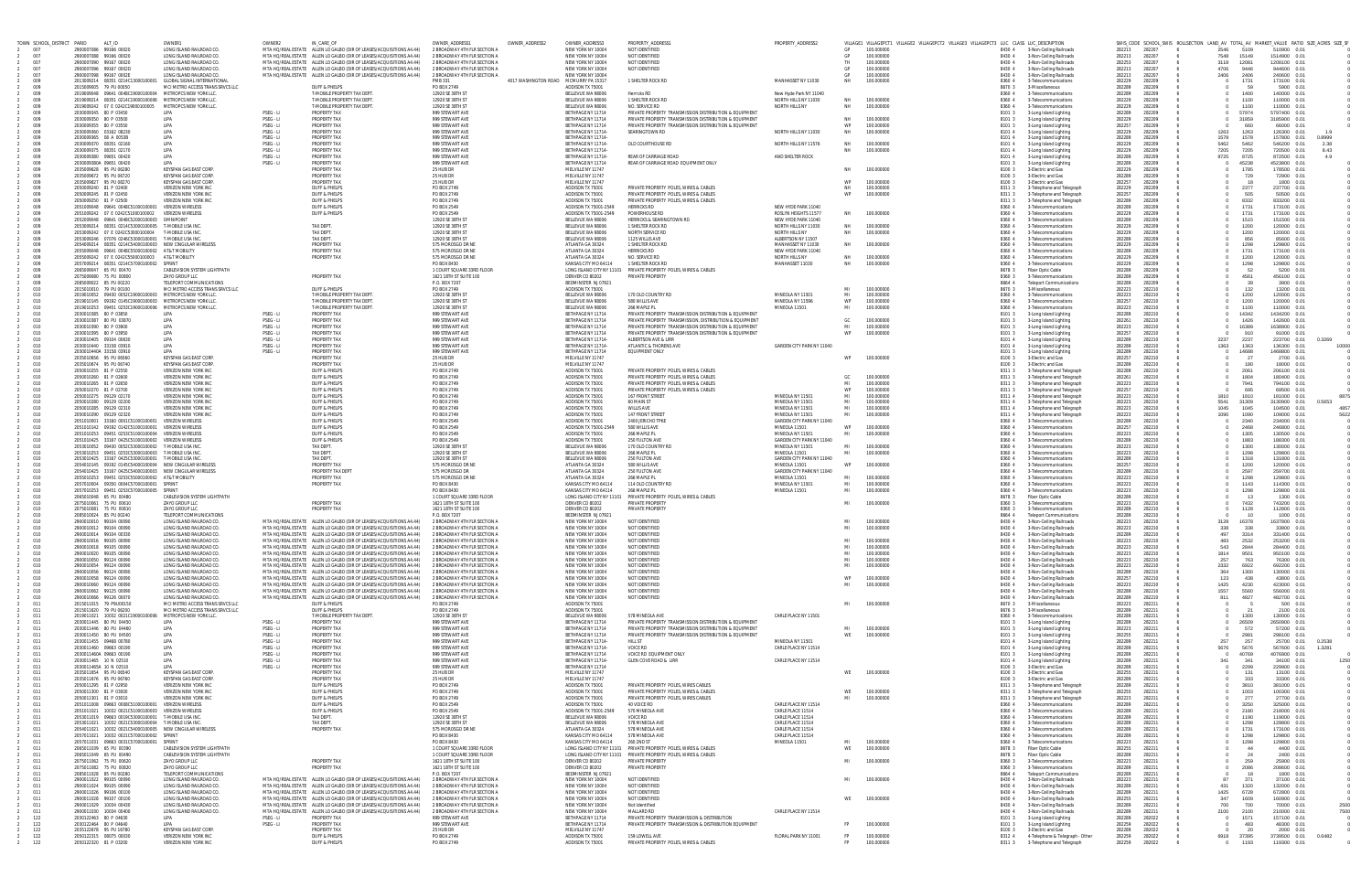| TOWN SCHOOL_DISTRICT PARID |                                                   | ALT_ID                                                                                                               | OWNER1                                                        | OWNER2                 | IN_CARE_OF                                                                                                                                                                                             | <b>OWNER ADDRESS</b>                                         | OWNER_ADDRESS2                        | OWNER_ADDRESS3                                 | PROPERTY_ADDRESS1                                                                                                | PROPERTY_ADDRESS2                                 |                 | VILLAGE1 VILLAGEPCT1 VILLAGE2 VILLAGEPCT2 VILLAGE3 VILLAGEPCT3 LUC CLASS LUC_DESCRIPTION |                  |                                                        |                  |                  | SWIS_CODE SCHOOL_SWIS ROLLSECTION LAND_AV TOTAL_AV MARKET_VALUE RATIO SIZE_ACRES SIZE_SF |                |                              |                |
|----------------------------|---------------------------------------------------|----------------------------------------------------------------------------------------------------------------------|---------------------------------------------------------------|------------------------|--------------------------------------------------------------------------------------------------------------------------------------------------------------------------------------------------------|--------------------------------------------------------------|---------------------------------------|------------------------------------------------|------------------------------------------------------------------------------------------------------------------|---------------------------------------------------|-----------------|------------------------------------------------------------------------------------------|------------------|--------------------------------------------------------|------------------|------------------|------------------------------------------------------------------------------------------|----------------|------------------------------|----------------|
| 007<br>007                 | 2900007086 99166 00020<br>2900007088 99166 00020  |                                                                                                                      | LONG ISLAND RAILROAD CO.<br>LONG ISLAND RAILROAD CO           |                        | MTA HO/REAL ESTATE ALLEN LO GALBO (DIR OF LEASES/ACQUISITIONS A4.44)<br>MTA HO/REAL ESTATE ALLEN LO GALBO (DIR OF LEASES/ACQUISITIONS A4.44)                                                           | 2 BROADWAY 4TH FLR SECTION<br>2 BROADWAY 4TH FLR SECTION A   |                                       | NEW YORK NY 10004<br>NFW YORK NY 10004         | NOT IDENTIFIED<br>NOT IDENTIFIED                                                                                 |                                                   | GP<br>GP        | 100,000000<br>100,000000                                                                 | 84304<br>8430 4  | 3-Non-Ceiling Railroads<br>3-Non-Ceiling Railroads     | 282213<br>282213 | 282207<br>282207 | 2546<br>7548                                                                             | 5109<br>15149  | 510900 0.01<br>1514900 0.01  |                |
| 007                        | 2900007090 99167 00020                            |                                                                                                                      | LONG ISLAND RAILROAD CO.                                      |                        | MTA HO/REAL ESTATE ALLEN LO GALBO (DIR OF LEASES/ACQUISITIONS A4.44)                                                                                                                                   | 2 BROADWAY 4TH FLR SECTION                                   |                                       | NEW YORK NY 10004                              | NOT IDENTIFIED                                                                                                   |                                                   | TH.             | 100.000000                                                                               | 8430 4           | 3-Non-Ceiling Railroads                                | 282253           | 282207           | 3118                                                                                     | 12081          | 1208100 0.01                 |                |
| 007<br>007                 | 2900007096 99167 00020<br>2900007098 99167 0002E  |                                                                                                                      | LONG ISLAND RAILROAD CO<br>LONG ISLAND RAILROAD CO            |                        | MTA HO/REAL ESTATE ALLEN LO GALBO (DIR OF LEASES/ACQUISITIONS A4.44)<br>MTA HO/REAL ESTATE ALLEN LO GALBO (DIR OF LEASES/ACQUISITIONS A4.44)                                                           | 2 BROADWAY 4TH FLR SECTION<br>2 BROADWAY 4TH FLR SECTION A   |                                       | NEW YORK NY 10004<br>NEW YORK NY 10004         | NOT IDENTIFIED                                                                                                   |                                                   | GP<br>GP        | 100,000000<br>100,000000                                                                 | 8430 4<br>8430 4 | 3-Non-Ceiling Railroads<br>3-Non-Ceiling Railroads     | 282213<br>282213 | 282207<br>282207 | 4706<br>2406                                                                             | 9446<br>2406   | 944600 0.01<br>240600 0.01   |                |
| 009                        |                                                   |                                                                                                                      | 2013009214 08351 0214C13000100001 GLOBAL SIGNAL INTERNATIONAL |                        |                                                                                                                                                                                                        | <b>PMR 331</b>                                               | 4017 WASHINGTON ROAD MCMURRY PA 15317 |                                                | 1 SHELTER ROCK RD                                                                                                | MANHASSET NY 11030                                | NH              | 100,000000                                                                               | 8360 4           | 3-Telecommunication:                                   | 282229           | 282209           |                                                                                          | 1731           | 173100 0.01                  |                |
| 009                        | 2015009005 79 PU 00050                            |                                                                                                                      | MCI METRO ACCESS TRANS SRVCS LLC                              |                        | DUFF & PHELPS                                                                                                                                                                                          | PO BOX 2749                                                  |                                       | ADDISON TX 75001                               |                                                                                                                  |                                                   |                 |                                                                                          | 8670 3           | 3-Miscellaneous                                        | 282289           | 282209           |                                                                                          |                | 5900 0.01                    |                |
| 009<br>009                 |                                                   | 2019009048  09641  0048C19000100004  METROPCS NEW YORK LL<br>2019009214 08351 0214C19000100006 METROPCS NEW YORK LL  |                                                               |                        | T-MOBILE PROPERTY TAX DEPT<br>T-MOBILE PROPERTY TAX DEPT                                                                                                                                               | 12920 SE 38TH ST<br>12920 SE 38TH ST                         |                                       | BELLEVUE WA 98006<br>BELLEVUE WA 98006         | Herricks RD<br>1 SHELTER ROCK RD                                                                                 | New Hyde Park NY 11040<br>NORTH HILLS NY 11030    | NH              | 100,000000                                                                               | 8360 4<br>8360 4 | 3-Telecommunication<br>3-Telecommunications            | 282289<br>282229 | 282209<br>282209 |                                                                                          | 1400<br>1100   | 140000 0.01<br>110000 0.01   |                |
| 009                        |                                                   |                                                                                                                      |                                                               |                        | T-MOBILE PROPERTY TAX DEPT                                                                                                                                                                             | 12920 SE 38TH ST                                             |                                       | BELLEVUE WA 98006                              | NO. SERVICE RD                                                                                                   | NORTH HILLS NY                                    | NH              | 100,000000                                                                               | 8360 4           | 3-Telecommunications                                   | 282229           | 282209           |                                                                                          | 1100           | 110000 0.01                  |                |
| 009<br>009                 | 2030009345 80 P 03450<br>2030009350 80 P 03500    |                                                                                                                      | LIPA<br>LIPA                                                  | PSEG - LI<br>PSEG - LI | PROPERTY TAX<br>PROPERTY TAX                                                                                                                                                                           | 999 STEWART AVE<br>999 STEWART AVE                           |                                       | BETHPAGE NY 11714<br>BETHPAGE NY 11714         | PRIVATE PROPERTY TRANSMISSION DISTRIBUTION & EQUIPMENT<br>PRIVATE PROPERTY TRANSMISSION DISTRIBUTION & EQUIPMENT |                                                   | <b>NH</b>       | 100,000000                                                                               | 8101 3<br>8101   | 3-Long Island Lighting<br>3-Long Island Lighting       | 282289<br>282229 | 282209<br>282209 |                                                                                          | 57974<br>31859 | 5797400 0.01<br>3185900 0.01 |                |
| 009                        | 2030009355 80 P 03550                             |                                                                                                                      | LIPA                                                          | PSEG - LI              | PROPERTY TAX                                                                                                                                                                                           | 999 STEWART AVE                                              |                                       | BETHPAGE NY 11714                              | PRIVATE PROPERTY TRANSMISSION DISTRIBUTION & EQUIPMENT                                                           |                                                   | WP              | 100,000000                                                                               | 8101 3           | 3-Long Island Lighting                                 | 282257           | 282209           |                                                                                          | 660            | 66000 0.01                   |                |
| 009                        | 2030009360 03162 08230                            |                                                                                                                      | I IPA                                                         | PSEG - LI              | PROPERTY TAX                                                                                                                                                                                           | 999 STFWART AVE                                              |                                       | BETHPAGE NY 11714-                             | SFARINGTOWN RD                                                                                                   | NORTH HILLS NY 11030                              | NH              | 100.000000                                                                               | 81014            | 3-Long Island Lighting                                 | 282229           | 282209           | 1263                                                                                     | 1263           | 126300 0.01                  | 1.9            |
| 009<br>009                 | 2030009365 08 A 0053B<br>2030009370 08351 02160   |                                                                                                                      | LIPA<br>LIPA                                                  | PSEG - LI<br>PSEG - LI | PROPERTY TAX<br>PROPERTY TAX                                                                                                                                                                           | 999 STEWART AVE<br>999 STEWART AVE                           |                                       | BETHPAGE NY 11714-<br>BETHPAGE NY 11714        | OLD COURTHOUSE RD                                                                                                | NORTH HILLS NY 11576                              | <b>NH</b>       | 100,000000                                                                               | 8101 4<br>8101 4 | 3-Long Island Lighting<br>3-Long Island Lighting       | 282289<br>282229 | 282209<br>282209 | 1578<br>5462                                                                             | 1578<br>5462   | 157800 0.01<br>546200 0.01   | 0.8999<br>2.38 |
| 009                        | 2030009375 08351 02170                            |                                                                                                                      | LIPA                                                          | PSEG - LI              | PROPERTY TAX                                                                                                                                                                                           | 999 STEWART AVE                                              |                                       | BETHPAGE NY 11714                              |                                                                                                                  |                                                   | NH              | 100,000000                                                                               | 8101 4           | 3-Long Island Lighting                                 | 282229           | 282209           | 7205                                                                                     | 7205           | 720500 0.01                  | 8.43           |
| 009<br>009                 | 2030009380 09651 00420<br>2030009380A 09651 00420 |                                                                                                                      | <b>I IPA</b><br><b>I IPA</b>                                  | PSEG - LI<br>PSEG - LI | PROPERTY TAX<br>PROPERTY TAX                                                                                                                                                                           | 999 STFWART AVE<br>999 STEWART AVE                           |                                       | <b>BETHPAGE NY 11714</b><br>BETHPAGE NY 11714  | <b>REAR OF CARRIAGE ROAD</b><br>REAR OF CARRIAGE ROAD EQUIPMENT ONLY                                             | AND SHELTER ROCK                                  |                 |                                                                                          | 8101 4<br>8101 3 | 3-Long Island Lighting                                 | 282289<br>282289 | 282209<br>282209 | 8725                                                                                     | 8725<br>45238  | 872500 0.01<br>4523800 0.01  | 4.9            |
| 009                        | 2035009628 95 PU 06280                            |                                                                                                                      | KEYSPAN GAS EAST CORP                                         |                        | PROPERTY TAX                                                                                                                                                                                           | 25 HUB DR                                                    |                                       | MELVILLE NY 11747                              |                                                                                                                  |                                                   | <b>NH</b>       | 100,000000                                                                               | 8100             | 3-Long Island Lighting<br>3-Electric and Gas           | 282229           | 282209           |                                                                                          | 1785           | 178500 0.01                  |                |
| 009                        | 2035009672 95 PU 06720                            |                                                                                                                      | <b>KEYSPAN GAS EAST CORE</b>                                  |                        | PROPERTY TAX                                                                                                                                                                                           | 25 HUB DR                                                    |                                       | MELVILLE NY 11747                              |                                                                                                                  |                                                   |                 |                                                                                          | 8100 3           | 3-Electric and Gas                                     | 282289           | 282209           |                                                                                          | 729            | 72900 0.01                   |                |
| 009<br>009                 | 2035009827 95 PU 08270<br>2050009240 81 P 02400   |                                                                                                                      | <b>KEYSPAN GAS EAST CORE</b><br>VERIZON NEW YORK INC          |                        | PROPERTY TAX<br>DUFF & PHELPS                                                                                                                                                                          | 25 HUB DR<br>PO BOX 2749                                     |                                       | MELVILLE NY 11747<br>ADDISON TX 75001          | PRIVATE PROPERTY POLES, WIRES & CABLES                                                                           |                                                   |                 | 100,000000<br>100.000000                                                                 | 8100 3<br>8311 3 | 3-Electric and Gas<br>3-Telephone and Telegraph        | 282257<br>282229 | 282209<br>282209 |                                                                                          | - 18<br>2377   | 1800 0.01<br>237700 0.01     |                |
| 009                        | 2050009245 81 P 02450                             |                                                                                                                      | VERIZON NEW YORK INC                                          |                        | DUFF & PHELPS                                                                                                                                                                                          | PO BOX 2749                                                  |                                       | ADDISON TX 75001                               | PRIVATE PROPERTY POLES, WIRES & CABLES                                                                           |                                                   |                 | 100,000000                                                                               | 8311 3           | 3-Telephone and Telegraph                              | 282257           | 282209           |                                                                                          | 505            | 50500 0.01                   |                |
| 009                        | 2050009250 81 P 02500                             |                                                                                                                      | VERIZON NEW YORK INC                                          |                        | DUFF & PHELP!                                                                                                                                                                                          | PO BOX 2749                                                  |                                       | ADDISON TX 75001                               | PRIVATE PROPERTY POLES, WIRES & CABLE:                                                                           |                                                   |                 |                                                                                          | 8311 3           | 3-Telephone and Telegraph                              | 282289           | 282209           |                                                                                          | 8332           | 833200 0.01                  |                |
| 009<br>009                 |                                                   | 2051009048  09641  0048C51000100001  VERIZON WIRELESS<br>2051009242 07 E 0242C51000100002                            | <b>VERIZON WIRELESS</b>                                       |                        | DUFF & PHELPS<br>DUFF & PHELPS                                                                                                                                                                         | PO BOX 2549<br>PO BOX 2549                                   |                                       | ADDISON TX 75001-2549<br>ADDISON TX 75001-2549 | <b>HERRICKS RD</b><br>POWERHOUSE RD                                                                              | NEW HYDE PARK 11040<br>ROSLYN HEIGHTS 11577       | <b>NH</b>       | 100,000000                                                                               | 8360 4<br>8360   | 3-Telecommunications<br>3-Telecommunication            | 282289<br>282229 | 282209<br>282209 |                                                                                          | 1731<br>1731   | 173100 0.01<br>173100 0.01   |                |
| 009                        |                                                   | 2052009048  09641  0048C52000100003  OMNIPOINT                                                                       |                                                               |                        |                                                                                                                                                                                                        | 12920 SE 38TH S                                              |                                       | BELLEVUE WA 98006                              | HERRICKS & SEARINGTOWN RD                                                                                        | NEW HYDE PARK 11040                               |                 |                                                                                          | 8360 4           | 3-Telecommunication                                    | 282289           | 282209           |                                                                                          | 1515           | 151500 0.01                  |                |
| 009<br>009                 |                                                   | 2053009214  08351  0214C53000100005  T-MOBILE USA IN<br>2053009242 07 E 0242C53000100004 T-MOBILE USA INC            |                                                               |                        | <b>TAX DFPT</b><br>TAX DEPT.                                                                                                                                                                           | 12920 SE 38TH ST<br>12920 SE 38TH ST                         |                                       | BELLEVUE WA 98006<br>BELLEVUE WA 98006         | 1 SHELTER ROCK RD<br>NORTH SERVICE RD                                                                            | NORTH HILLS NY 11030<br>NORTH HILLS NY            | NH<br><b>NH</b> | 100,000000<br>100.000000                                                                 | 8360 4<br>8360 4 | 3-Telecommunications<br>3-Telecommunications           | 282229<br>282229 | 282209<br>282209 |                                                                                          | 1200<br>1200   | 120000 0.01<br>120000 0.01   |                |
| 009                        |                                                   | 2053009246 07076 0246C53000100001 T-MOBILE USA INC                                                                   |                                                               |                        | <b>TAX DEPT.</b>                                                                                                                                                                                       | 12920 SE 38TH ST                                             |                                       | BELLEVUE WA 98006                              | 1125 WILLIS AVE                                                                                                  | ALBERTSON NY 11507                                |                 |                                                                                          | 8360 4           | 3-Telecommunication                                    | 282289           | 282209           |                                                                                          | 856            | 85600 0.01                   |                |
| 009                        |                                                   | 2054009214  08351  0214C54000100003  NEW CINGULAR WIRELESS                                                           |                                                               |                        | PROPERTY TAX                                                                                                                                                                                           | 575 MOROSGO DR NE                                            |                                       | ATLANTA GA 30324                               | 1 SHELTER ROCK RD                                                                                                | MANHASSET NY 11030                                | <b>NH</b>       | 100.000000                                                                               | 8360 4           | 3-Telecommunications                                   | 282229           | 282209           |                                                                                          | 1298           | 129800 0.01                  |                |
| 009<br>009                 |                                                   | 2055009048  09641  0048C55000100002  AT&T MOBILITY<br>2055009242 07 E 0242C55000100003 AT&T MOBILITY                 |                                                               |                        | PROPERTY TAX<br><b>PROPERTY TAX</b>                                                                                                                                                                    | 575 MOROSGO DR NI<br>575 MOROSGO DR NE                       |                                       | ATLANTA GA 30324<br>ATLANTA GA 30324           | <b>HERRICKS RD</b><br>NO. SERVICE RD                                                                             | NEW HYDE PARK 11040<br>NORTH HILLS NY             | <b>NH</b>       | 100.000000                                                                               | 8360 4<br>8360 4 | 3-Telecommunications<br>3-Telecommunication            | 282289<br>282229 | 282209<br>282209 |                                                                                          | 1731<br>1200   | 173100 0.01<br>120000 0.01   |                |
| 009                        |                                                   | 2057009214  08351  0214C57000100002  SPRINT                                                                          |                                                               |                        |                                                                                                                                                                                                        | PO BOX 8430                                                  |                                       | KANSAS CITY MO 64114                           | 1 SHELTER ROCK RD                                                                                                | MANHASSET 11030                                   | <b>NH</b>       | 100,000000                                                                               | 8360             | 3-Telecommunication                                    | 282229           | 282209           |                                                                                          | 1298           | 129800 0.01                  |                |
| 009                        | 2065009047 65 PU 00470                            |                                                                                                                      | <b>CABLEVISION SYSTEM LIGHTPATH</b>                           |                        |                                                                                                                                                                                                        | 1 COURT SOUARE 33RD ELOOR                                    |                                       | LONG ISLAND CITY NY 11101                      | PRIVATE PROPERTY POLES, WIRES & CABLES                                                                           |                                                   |                 |                                                                                          | 8678 3           | Fiber Optic Cable                                      | 282289           | 282209<br>282209 |                                                                                          | 52             | 5200 0.01                    |                |
| 009<br>009                 | 2075009080 75 PU 00800<br>2085009022 85 PU 00220  |                                                                                                                      | ZAYO GROUP LLC<br>TELEPORT COMMUNICATIONS                     |                        | PROPERTY TAX                                                                                                                                                                                           | 1621 18TH ST SUITE 100<br>P.O. BOX 7207                      |                                       | DENVER CO 80202<br>BEDMINSTER NJ 07921         | PRIVATE PROPERTY                                                                                                 |                                                   |                 |                                                                                          | 8360 3<br>8664 4 | 3-Telecommunication<br><b>Teleport Communications</b>  | 282289<br>282289 | 282209           |                                                                                          | 4561           | 456100 0.01<br>3900 0.01     |                |
| 010                        | 2015010010 79 PU 00100                            |                                                                                                                      | MCI METRO ACCESS TRANS SRVCS LLC                              |                        | DUFF & PHELPS                                                                                                                                                                                          | PO BOX 2749                                                  |                                       | ADDISON TX 75001                               |                                                                                                                  |                                                   | MI              | 100.000000                                                                               | 8670 3           | 3-Miscellaneous                                        | 282223           | 282210           |                                                                                          | 132            | 13200 0.01                   |                |
| 010                        |                                                   | 2019010052 09430 0052C19000100003 METROPCS NEW YORK LLC<br>2019010145  09192  0145C19000100003  METROPCS NEW YORK LL |                                                               |                        | <b>T-MORILE PROPERTY TAX DEPT</b><br>T-MOBILE PROPERTY TAX DEPT                                                                                                                                        | 12920 SE 38TH S<br>12920 SE 38TH S                           |                                       | BELLEVUE WA 98006<br>BELLEVUE WA 98006         | 170 OLD COUNTRY RD<br>580 WILLIS AVE                                                                             | MINEOLA NY 1150<br>MINFOLA NY 1159                | MI<br>WP        | 100,000000<br>100,000000                                                                 | 8360 4<br>8360 4 | 3-Telecommunications                                   | 282223<br>282257 | 282210<br>282210 |                                                                                          | 1200<br>1200   | 120000 0.01<br>120000 0.01   |                |
| 010<br>010                 |                                                   | 2019010253  09451  0253C19000100006  METROPCS NEW YORK LLO                                                           |                                                               |                        | T-MOBILE PROPERTY TAX DEPT                                                                                                                                                                             | 12920 SE 38TH ST                                             |                                       | BELLEVUE WA 98006                              | 266 MAPLE PL                                                                                                     | MINEOLA 11501                                     | MI              | 100.000000                                                                               | 8360 4           | 3-Telecommunications<br>3-Telecommunication:           | 282223           | 282210           |                                                                                          | 1100           | 110000 0.01                  |                |
| 010                        | 2030010385 80 P 03850                             |                                                                                                                      | LIPA                                                          | PSEG - LI              | PROPERTY TAX                                                                                                                                                                                           | 999 STEWART AVE                                              |                                       | BETHPAGE NY 11714                              | PRIVATE PROPERTY TRANSMISSION DISTRIBUTION & EQUIPMENT                                                           |                                                   |                 |                                                                                          | 8101             | 3-Long Island Lighting                                 | 282289           | 282210           |                                                                                          | 14342          | 1434200 0.01                 |                |
| 010                        | 2030010387 80 PU 03870<br>2030010390 80 P 03900   |                                                                                                                      | LIPA                                                          | PSEG - LI              | PROPERTY TAX<br>PROPERTY TAX                                                                                                                                                                           | 999 STEWART AVE<br>999 STFWART AVE                           |                                       | BETHPAGE NY 11714<br><b>BETHPAGE NY 11714</b>  | PRIVATE PROPERTY TRANSMISSION. DISTRIBUTION & FOURMENT<br>PRIVATE PROPERTY TRANSMISSION DISTRIBUTION & FOURMENT  |                                                   | GC              | 100,000000<br>100,000000                                                                 | 8101 3           | 3-Long Island Lighting                                 | 282261           | 282210<br>282210 |                                                                                          | 1426           | 142600 0.01                  |                |
| 010<br>010                 | 2030010395 80 P 03950                             |                                                                                                                      | LIPA<br>LIPA                                                  | PSEG - LI<br>PSEG - LI | PROPERTY TAX                                                                                                                                                                                           | 999 STEWART AVE                                              |                                       | BETHPAGE NY 11714                              | PRIVATE PROPERTY TRANSMISSION DISTRIBUTION & EQUIPMENT                                                           |                                                   | MI<br>WP        | 100.000000                                                                               | 8101<br>8101 3   | 3-Long Island Lighting<br>3-Long Island Lighting       | 282223<br>282257 | 282210           |                                                                                          | 16389<br>910   | 1638900 0.01<br>91000 0.01   |                |
| 010                        | 2030010405 09104 00630                            |                                                                                                                      | LIPA                                                          | PSEG - LI              | PROPERTY TAX                                                                                                                                                                                           | 999 STEWART AVE                                              |                                       | BETHPAGE NY 11714-                             | ALBERTSON AVE & LIRR                                                                                             |                                                   |                 |                                                                                          | 8101 4           | 3-Long Island Lighting                                 | 282289           | 282210           | 2237                                                                                     | 2237           | 223700 0.01                  | 0.3269         |
| 010<br>010                 | 2030010440 33158 03910                            |                                                                                                                      | LIPA<br><b>I IPA</b>                                          | PSEG - LI<br>PSEG - LI | PROPERTY TAX<br>PROPERTY TAX                                                                                                                                                                           | 999 STEWART AVE<br>999 STFWART AVF                           |                                       | BETHPAGE NY 11714-<br>BETHPAGE NY 11714        | ATLANTIC & THORENS AVE<br>EQUIPMENT ONLY                                                                         | GARDEN CITY PARK NY 11040                         |                 |                                                                                          | 8101 4           | 3-Long Island Lighting                                 | 282289<br>282289 | 282210<br>282210 | 1363                                                                                     | 1363<br>14688  | 136300 0.01<br>1468800 0.01  | 10000          |
| 010                        | 2030010440A 33158 03910<br>2035010656 95 PU 06560 |                                                                                                                      | KEYSPAN GAS EAST CORP                                         |                        | PROPERTY TAX                                                                                                                                                                                           | 25 HUB DR                                                    |                                       | MELVILLE NY 11747                              |                                                                                                                  |                                                   |                 | 100.000000                                                                               | 8101 3<br>8100 3 | 3-Long Island Lighting<br>3-Electric and Gas           | 282257           | 282210           |                                                                                          | - 27           | 2700 0.01                    |                |
| 010                        | 2035010674 95 PU 06740                            |                                                                                                                      | <b>KEYSPAN GAS EAST CORE</b>                                  |                        | PROPERTY TAX                                                                                                                                                                                           | 25 HUB DR                                                    |                                       | MELVILLE NY 11747                              |                                                                                                                  |                                                   |                 |                                                                                          | 8100             | 3-Electric and Gas                                     | 282289           | 282210           |                                                                                          | 180            | 18000 0.01                   |                |
| 010                        | 2050010255 81 P 02550                             |                                                                                                                      | <b>VERIZON NEW YORK INC</b>                                   |                        | DUFF & PHELP!                                                                                                                                                                                          | PO BOX 2749<br>PO BOX 2749                                   |                                       | ADDISON TX 75001                               | PRIVATE PROPERTY POLES, WIRES & CABLE:                                                                           |                                                   |                 |                                                                                          | 8311 3           | 3-Telephone and Telegraph                              | 282289           | 282210           |                                                                                          | 2061           | 206100 0.01                  |                |
| 010<br>010                 | 2050010260 81 P 02600<br>2050010265 81 P 02650    |                                                                                                                      | VERIZON NEW YORK INC<br>VERIZON NEW YORK INC                  |                        | DUFF & PHELPS<br>DUFF & PHELPS                                                                                                                                                                         | PO BOX 2749                                                  |                                       | ADDISON TX 75001<br>ADDISON TX 75001           | PRIVATE PROPERTY POLES, WIRES & CABLES<br>PRIVATE PROPERTY POLES, WIRES & CABLES                                 |                                                   | GC.             | 100,000000<br>100.000000                                                                 | 83113<br>8311 3  | 3-Telephone and Telegraph<br>3-Telephone and Telegraph | 282261<br>282223 | 282210<br>282210 |                                                                                          | 1804<br>7941   | 180400 0.01<br>794100 0.01   |                |
| 010                        | 2050010270 81 P 02700                             |                                                                                                                      | <b>VERIZON NEW YORK INC</b>                                   |                        | DUFF & PHELPS                                                                                                                                                                                          | PO BOX 2749                                                  |                                       | ADDISON TX 75001                               | PRIVATE PROPERTY POLES, WIRES & CABLES                                                                           |                                                   |                 | 100,000000                                                                               | 8311 3           | 3-Telephone and Telegraph                              | 282257           | 282210           |                                                                                          | 695            | 69500 0.01                   |                |
| 010                        | 2050010275 09129 02170                            |                                                                                                                      | <b>VERIZON NEW YORK INC</b>                                   |                        | DUFF & PHELPS                                                                                                                                                                                          | PO BOX 2749                                                  |                                       | ADDISON TX 75001                               | 167 FRONT STREET                                                                                                 | MINEOLA NY 11501                                  | MI              | 100,000000                                                                               | 8311 4           | 3-Telephone and Telegraph                              | 282223           | 282210           | 1810                                                                                     | 1810           | 181000 0.01                  | 8875           |
| 010<br>010                 | 2050010280 09129 02200<br>2050010285 09129 02310  |                                                                                                                      | VERIZON NEW YORK INC<br>VERIZON NEW YORK INC                  |                        | DUFF & PHELP!<br>DUFF & PHELPS                                                                                                                                                                         | PO BOX 2749<br>PO BOX 2749                                   |                                       | ADDISON TX 75001<br>ADDISON TX 75001           | 60 MAIN ST<br><b>WILLIS AVE</b>                                                                                  | MINEOLA NY 11501<br>MINEOLA NY 11501              | MI<br>MI        | 100,000000<br>100,000000                                                                 | 83114<br>8311 4  | 3-Telephone and Telegraph<br>3-Telephone and Telegraph | 282223<br>282223 | 282210<br>282210 | 5541<br>1045                                                                             | 31309<br>1045  | 3130900 0.01<br>104500 0.01  | 0.5653<br>4857 |
| 010                        | 2050010290 09129 02320                            |                                                                                                                      | VERIZON NEW YORK INC                                          |                        | DUFF & PHELPS                                                                                                                                                                                          | PO BOX 2749                                                  |                                       | ADDISON TX 75001                               | 147 FRONT STREET                                                                                                 | MINEOLA NY 1150°                                  | MI              | 100,000000                                                                               | 8311 4           | 3-Telephone and Telegraph                              | 282223           | 282210           | 1090                                                                                     | 1090           | 109000 0.01                  | 5622           |
| 010                        |                                                   | 2051010001 33160 0001C51000100001 VERIZON WIRELESS                                                                   |                                                               |                        | <b>DUFF &amp; PHELPS</b>                                                                                                                                                                               | PO BOX 2549                                                  |                                       | ADDISON TX 75001                               | 2400 JERICHO TPKE                                                                                                | GARDEN CITY PARK NY 11040                         |                 |                                                                                          | 8360 4           | 3-Telecommunications                                   | 282289           | 282210           |                                                                                          | 2340           | 234000 0.01                  |                |
| 010<br>010                 |                                                   | 2051010142  09192  0142C51000100001  VERIZON WIRELESS<br>2051010253  09451  0253C51000100004  VERIZON WIRELESS       |                                                               |                        | <b>DUFF &amp; PHELPS</b><br><b>DUFF &amp; PHELPS</b>                                                                                                                                                   | PO BOX 2549<br>PO BOX 2549                                   |                                       | ADDISON TX 75001-2549<br>ADDISON TX 75001      | 580 WILLIS AVE<br>266 MAPLE PL                                                                                   | MINFOLA 11501<br>MINEOLA NY 11501                 | WP<br>MI        | 100,000000<br>100.000000                                                                 | 8360 4<br>8360 4 | 3-Telecommunications<br>3-Telecommunications           | 282257<br>282223 | 282210<br>282210 |                                                                                          | 2468<br>1305   | 246800 0.01<br>130500 0.01   |                |
| 010                        |                                                   | 2051010425 33167 0425C51000100002 VERIZON WIRELESS                                                                   |                                                               |                        | DUFF & PHELPS                                                                                                                                                                                          | PO BOX 2549                                                  |                                       | ADDISON TX 75001                               | 250 FULTON AVE                                                                                                   | GARDEN CITY PARK NY 11040                         |                 |                                                                                          | 8360 4           | 3-Telecommunication                                    | 282289           | 282210           |                                                                                          | 1883           | 188300 0.01                  |                |
| 010                        |                                                   | 2053010052  09430  0052C53000100002  T-MOBILE USA INC.                                                               |                                                               |                        | <b>TAX DEPT.</b>                                                                                                                                                                                       | 12920 SE 38TH S                                              |                                       | BELLEVUE WA 98006                              | 170 OLD COUNTRY RD                                                                                               | MINEOLA NY 11501                                  | MI              | 100.000000                                                                               | 8360 4           | 3-Telecommunications                                   | 282223           | 282210           |                                                                                          | 1300           | 130000 0.01                  |                |
| 010<br>010                 |                                                   | 2053010253  09451  0253C53000100003  T-MOBILE USA INC<br>2053010425 33167 0425C53000100001 T-MOBILE USA INC          |                                                               |                        | <b>TAX DFPT</b><br><b>TAX DEPT.</b>                                                                                                                                                                    | 12920 SF 38TH S<br>12920 SE 38TH S                           |                                       | BELLEVUE WA 98006<br>BELLEVUE WA 98006         | 266 MAPI F PI<br>250 FULTON AVE                                                                                  | MINFOLA 11501<br><b>GARDEN CITY PARK NY 11040</b> | MI              | 100.000000                                                                               | 8360 4<br>8360 4 | 3-Telecommunications<br>3-Telecommunication            | 282223<br>282289 | 282210<br>282210 |                                                                                          | 1298<br>1318   | 129800 0.01<br>131800 0.01   |                |
| 010                        |                                                   | 2054010145  09192  0145C54000100004  NEW CINGULAR WIRELES                                                            |                                                               |                        | PROPERTY TAX                                                                                                                                                                                           | 575 MOROSGO DR NE                                            |                                       | ATLANTA GA 30324                               | 580 WILLIS AVE                                                                                                   | MINEOLA 11501                                     |                 | 100,000000                                                                               | 8360 4           | 3-Telecommunications                                   | 282257           | 282210           |                                                                                          | 1200           | 120000 0.01                  |                |
| 010                        |                                                   | 2054010425 33167 0425C54000100003 NEW CINGULAR WIRELESS                                                              |                                                               |                        | PROPERTY TAX DEE                                                                                                                                                                                       | 575 MOROSGO DR                                               |                                       | ATLANTA GA 30324                               | 250 FULTON AVE                                                                                                   | GARDEN CITY PARK NY 11040                         |                 |                                                                                          | 8360 4           | 3-Telecommunications                                   | 282289           | 282210           |                                                                                          | 2597           | 259700 0.01                  |                |
| 010<br>010                 |                                                   | 2055010253  09451  0253C55000100002  AT&T MOBILITY<br>2057010004  09350  0004C57000100001  SPRINT                    |                                                               |                        | PROPERTY TAX<br>PROPERTY TAX                                                                                                                                                                           | 575 MOROSGO DR NE<br>PO BOX 8430                             |                                       | ATLANTA GA 30324<br>KANSAS CITY MO 64114       | 266 MAPLE PL<br>114 OLD COUNTRY RD                                                                               | MINEOLA 11501<br>MINEOLA NY 1150                  | MI<br>MI        | 100.000000<br>100,000000                                                                 | 8360 4<br>8360 4 | 3-Telecommunications<br>3-Telecommunication            | 282223<br>282223 | 282210<br>282210 |                                                                                          | 1298<br>1143   | 129800 0.01<br>114300 0.01   |                |
| 010                        |                                                   | 2057010253  09451  0253C57000100005  SPRINT                                                                          |                                                               |                        |                                                                                                                                                                                                        | PO BOX 8430                                                  |                                       | KANSAS CITY MO 64114                           | 266 MAPLE PL                                                                                                     | MINEOLA 11501                                     | MI              | 100.000000                                                                               | 8360 4           | 3-Telecommunications                                   | 282223           | 282210           |                                                                                          | 1298           | 129800 0.01                  |                |
| 010                        | 2065010048 65 PU 00480                            |                                                                                                                      | CABLEVISION SYSTEM LIGHTPATH                                  |                        |                                                                                                                                                                                                        | 1 COURT SQUARE 33RD FLOOR                                    |                                       | LONG ISLAND CITY NY 11101                      | PRIVATE PROPERTY POLES, WIRES & CABLES                                                                           |                                                   |                 |                                                                                          | 86783            | Fiber Optic Cable                                      | 282289           | 282210           |                                                                                          | - 13           | 1300 0.01                    |                |
| 010<br>010                 | 2075010061 75 PU 00610<br>2075010081 75 PU 00810  |                                                                                                                      | ZAYO GROUP LLC<br>ZAYO GROUP LL                               |                        | PROPERTY TAX<br>PROPERTY TAX                                                                                                                                                                           | 1621 18TH ST SUITE 100<br>1621 18TH ST SUITE 100             |                                       | DENVER CO 80202<br>DENVER CO 80202             | PRIVATE PROPERTY<br>PRIVATE PROPERT                                                                              |                                                   |                 | 100.000000                                                                               | 8360 3<br>8360   | 3-Telecommunications<br>3-Telecommunication            | 282223<br>282289 | 282210<br>282210 |                                                                                          | 7432<br>1128   | 743200 0.01<br>112800 0.01   |                |
| 010                        | 2085010024 85 PU 00240                            |                                                                                                                      | <b>TELEPORT COMMUNICATIONS</b>                                |                        |                                                                                                                                                                                                        | P.O. BOX 7207                                                |                                       | BEDMINSTER NJ 07921                            |                                                                                                                  |                                                   |                 |                                                                                          | 8664 4           | <b>Teleport Communication</b>                          | 282289           | 282210           |                                                                                          | 10             | 1000 0.01                    |                |
| 010                        | 2900010010 99104 00090                            |                                                                                                                      | LONG ISLAND RAILROAD CO.                                      |                        | MTA HQ/REAL ESTATE ALLEN LO GALBO (DIR OF LEASES/ACQUISITIONS A4.44)                                                                                                                                   | 2 BROADWAY 4TH FLR SECTION                                   |                                       | NFW YORK NY 10004                              | NOT IDENTIFIED                                                                                                   |                                                   | MI              | 100,000000                                                                               | 8430 4           | 3-Non-Ceiling Railroads                                | 282223           | 282210           | 3128                                                                                     | 16378          | 1637800 0.01                 |                |
| 010<br>010                 | 2900010012 99104 00090<br>2900010014 99104 00330  |                                                                                                                      | LONG ISLAND RAILROAD CO.<br>LONG ISLAND RAILROAD CO.          |                        | MTA HO/REAL ESTATE ALLEN LO GALBO (DIR OF LEASES/ACQUISITIONS A4.44) 2 BROADWAY 4TH FLR SECTION A<br>MTA HO/REAL ESTATE ALLEN LO GALBO (DIR OF LEASES/ACQUISITIONS A4.44) 2 BROADWAY 4TH FLR SECTION A |                                                              |                                       | NEW YORK NY 10004<br>NEW YORK NY 10004         | NOT IDENTIFIED<br>NOT IDENTIFIED                                                                                 |                                                   | MI              | 100.000000                                                                               | 8430 4<br>8430 4 | 3-Non-Ceiling Railroads<br>3-Non-Ceiling Railroads     | 282223<br>282289 | 282210<br>282210 | 338<br>497                                                                               | 338<br>3314    | 33800 0.01<br>331400 0.01    |                |
| 010                        | 2900010016 99105 00090                            |                                                                                                                      | LONG ISLAND RAILROAD CO.                                      |                        | MTA HO/REAL ESTATE ALLEN LO GALBO (DIR OF LEASES/ACQUISITIONS A4.44) 2 BROADWAY 4TH FLR SECTION A                                                                                                      |                                                              |                                       | NEW YORK NY 10004                              | NOT IDENTIFIED                                                                                                   |                                                   | MI              | 100.000000                                                                               | 8430 4           | 3-Non-Ceiling Railroads                                | 282223           | 282210           | 483                                                                                      | 2532           | 253200 0.01                  |                |
|                            | 2900010018 99105 00090                            |                                                                                                                      | LONG ISLAND RAILROAD CO.                                      |                        | MTA HO/REAL ESTATE ALLEN LO GALBO (DIR OF LEASES/ACOUJISITIONS A 4.44)                                                                                                                                 | 2 BROADWAY 4TH FLR SECTION A<br>2 BROADWAY 4TH FLR SECTION   |                                       | NFW YORK NY 10004                              | NOT IDENTIFIED                                                                                                   |                                                   | MI<br>MI        | 100,000000                                                                               | 8430 4           | 3-Non-Ceiling Railroads                                | 282223           | 282210           | 543                                                                                      | 2844           | 284400 0.01                  |                |
| 010<br>010                 | 2900010020 99105 00090<br>2900010050 99124 00090  |                                                                                                                      | LONG ISLAND RAILROAD CO.<br>LONG ISLAND RAILROAD CO           |                        | MTA HO/REAL ESTATE ALLEN LO GALBO (DIR OF LEASES/ACQUISITIONS A4.44)<br>MTA HO/REAL ESTATE ALLEN LO GALBO (DIR OF LEASES/ACQUISITIONS A4.44)                                                           | 2 BROADWAY 4TH FLR SECTION                                   |                                       | NEW YORK NY 10004<br>NEW YORK NY 10004         | NOT IDENTIFIED<br>NOT IDENTIFIED                                                                                 |                                                   | MI              | 100.000000<br>100,000000                                                                 | 8430 4<br>8430 4 | 3-Non-Ceiling Railroads<br>3-Non-Ceiling Railroads     | 282223<br>282223 | 282210<br>282210 | 1814<br>257                                                                              | 9501<br>763    | 950100 0.01<br>76300 0.01    |                |
| 010                        | 2900010054 99124 00090                            |                                                                                                                      | LONG ISLAND RAILROAD CO                                       |                        | MTA HO/REAL ESTATE ALLEN LO GALBO (DIR OF LEASES/ACQUISITIONS A4.44)                                                                                                                                   | 2 BROADWAY 4TH FLR SECTION A                                 |                                       | NEW YORK NY 10004                              | NOT IDENTIFIED                                                                                                   |                                                   | MI              | 100.000000                                                                               | 8430 4           | 3-Non-Ceiling Railroads                                | 282223           | 282210           | 2332                                                                                     | 6922           | 692200 0.01                  |                |
| 010<br>010                 | 2900010056 99124 00090<br>2900010058 99124 00090  |                                                                                                                      | LONG ISLAND RAILROAD CO<br>LONG ISLAND RAILROAD CO.           |                        | MTA HO/REAL ESTATE ALLEN LO GALBO (DIR OF LEASES/ACQUISITIONS A4.44)<br>MTA HO/REAL ESTATE ALLEN LO GALBO (DIR OF LEASES/ACQUISITIONS A4.44)                                                           | 2 BROADWAY 4TH FLR SECTION A<br>2 BROADWAY 4TH FLR SECTION A |                                       | NEW YORK NY 10004<br>NEW YORK NY 10004         | NOT IDENTIFIED<br>NOT IDENTIFIED                                                                                 |                                                   |                 | 100.000000                                                                               | 8430 4<br>8430 4 | 3-Non-Ceiling Railroads<br>3-Non-Ceiling Railroads     | 282289<br>282257 | 282210<br>282210 | 364<br>123                                                                               | 1300<br>438    | 130000 0.01<br>43800 0.01    |                |
| 010                        | 2900010060 99124 00090                            |                                                                                                                      | LONG ISLAND RAILROAD CO.                                      |                        | MTA HO/REAL ESTATE ALLEN LO GALBO (DIR OF LEASES/ACQUISITIONS A4.44)                                                                                                                                   | 2 BROADWAY 4TH FLR SECTION A                                 |                                       | NEW YORK NY 10004                              | NOT IDENTIFIED                                                                                                   |                                                   | MI              | 100,000000                                                                               | 8430 4           | 3-Non-Ceiling Railroads                                | 282223           | 282210           | 1425                                                                                     | 4230           | 423000 0.01                  |                |
| 010                        | 2900010062 99125 00090                            |                                                                                                                      | LONG ISLAND RAILROAD CO.                                      |                        | MTA HO/REAL ESTATE ALLEN LO GALBO (DIR OF LEASES/ACQUISITIONS A4.44)                                                                                                                                   | 2 BROADWAY 4TH FLR SECTION A                                 |                                       | NEW YORK NY 10004                              | NOT IDENTIFIED                                                                                                   |                                                   |                 |                                                                                          | 8430 4           | 3-Non-Ceiling Railroads                                | 282289           | 282210           | 1557                                                                                     | 5560           | 556000 0.01                  |                |
| 010<br>011                 | 2900010066 99126 00070<br>2015011015 79 P9U00150  |                                                                                                                      | LONG ISLAND RAILROAD CO.<br>MCI METRO ACCESS TRANS SRVCS LLC  |                        | MTA HO/REAL ESTATE ALLEN LO GALBO (DIR OF LEASES/ACQUISITIONS A4.44)<br>DUFF & PHELPS                                                                                                                  | 2 BROADWAY 4TH FLR SECTION A<br>PO BOX 2749                  |                                       | NEW YORK NY 10004<br>ADDISON TX 75001          | NOT IDENTIFIED                                                                                                   |                                                   | MI              | 100.000000                                                                               | 8430 4<br>8670 3 | 3-Non-Ceiling Railroads<br>3-Miscellaneous             | 282289<br>282223 | 282210<br>282211 | 811                                                                                      | 4827<br>- 5    | 482700 0.01<br>500 0.01      |                |
| 011                        | 2015011620 79 PU 06200                            |                                                                                                                      | MCLMETRO ACCESS TRANS SRVCS LLC                               |                        | DUFF & PHELPS                                                                                                                                                                                          | PO BOX 2749                                                  |                                       | ADDISON TX 75001                               |                                                                                                                  |                                                   |                 |                                                                                          | 8676 3           | 3-Miscellaneous                                        | 282289           | 282211           |                                                                                          | 21             | 2100 0.01                    |                |
| 011                        |                                                   | 2019011021  10032  0021C19000100006  METROPCS NEW YORK LLC.                                                          |                                                               |                        | T-MOBILE PROPERTY TAX DEPT                                                                                                                                                                             | 12920 SE 38TH ST                                             |                                       | BELLEVUE WA 98006                              | 578 MINEOLA AVE<br>PRIVATE PROPERTY TRANSMISSION DISTRIBUTION & FOURMENT                                         | CARLE PLACE NY 11501                              |                 |                                                                                          | 8360             | 3-Telecommunications                                   | 282289           | 282211           |                                                                                          | 1300           | 130000 0.01                  |                |
| 011<br>011                 | 2030011445 80 PU 04450<br>2030011446 80 PU 04460  |                                                                                                                      | <b>I IPA</b><br>LIPA                                          | PSEG - LI<br>PSEG - LI | <b>PROPERTY TAX</b><br><b>PROPERTY TAX</b>                                                                                                                                                             | 999 STFWART AVE<br>999 STEWART AVE                           |                                       | BETHPAGE NY 11714<br>BETHPAGE NY 11714         | PRIVATE PROPERTY TRANSMISSION DISTRIBUTION & EQUIPMENT                                                           |                                                   | MI              | 100.000000                                                                               | 8101 3<br>8101 3 | 3-Long Island Lighting<br>3-Long Island Lighting       | 282289<br>282223 | 282211<br>282211 |                                                                                          | 26509<br>572   | 2650900 0.01<br>57200 0.01   |                |
| 011                        | 2030011450 80 PU 04500                            |                                                                                                                      | LIPA                                                          | PSEG - LI              | PROPERTY TAX                                                                                                                                                                                           | 999 STEWART AVE                                              |                                       | BETHPAGE NY 11714                              | PRIVATE PROPERTY TRANSMISSION DISTRIBUTION & EQUIPMENT                                                           |                                                   | WE              | 100,000000                                                                               | 8101 3           | 3-Long Island Lighting                                 | 282255           | 282211           |                                                                                          | 2981           | 298100 0.01                  |                |
| 011                        | 2030011455 09468 00780                            |                                                                                                                      | LIPA                                                          | PSEG - LI              | PROPERTY TAX                                                                                                                                                                                           | 999 STEWART AVE                                              |                                       | BETHPAGE NY 11714-                             | <b>HILL ST</b>                                                                                                   | MINEOLA NY 11501                                  |                 |                                                                                          | 8101 4           | 3-Long Island Lighting                                 | 282289           | 282211           | 257                                                                                      | 257            | 25700 0.01                   | 0.2538         |
| 011<br>011                 | 2030011460 09663 00190<br>2030011460A 09663 00190 |                                                                                                                      | <b>I IPA</b><br>LIPA                                          | PSEG - LI<br>PSEG - LI | PROPERTY TAX<br>PROPERTY TAX                                                                                                                                                                           | 999 STFWART AVF<br>999 STEWART AVE                           |                                       | <b>BFTHPAGF NY 11714-</b><br>BETHPAGE NY 11714 | <b>VOICE RD</b><br>VOICE RD EQUIPMENT ONLY                                                                       | CARLE PLACE NY 11514                              |                 |                                                                                          | 8101 4<br>8101 3 | 3-Long Island Lighting<br>3-Long Island Lighting       | 282289<br>282289 | 282211<br>282211 | 5676                                                                                     | 5676<br>40769  | 567600 0.01<br>4076900 0.01  | 1.3281         |
| 011                        | 2030011465 10 N 02510                             |                                                                                                                      | LIPA                                                          | PSEG - LI              | PROPERTY TAX                                                                                                                                                                                           | 999 STEWART AVE                                              |                                       | BETHPAGE NY 11714-                             | GLEN COVE ROAD & LIRR                                                                                            | CARLE PLACE NY 11514                              |                 |                                                                                          | 8101 4           | 3-Long Island Lighting                                 | 282289           | 282211           | 341                                                                                      | 341            | 34100 0.01                   | 1250           |
| 011                        | 2030011465A 10 N 02510                            |                                                                                                                      | LIPA                                                          | PSEG - LI              | PROPERTY TAX                                                                                                                                                                                           | 999 STEWART AVE                                              |                                       | BETHPAGE NY 11714                              |                                                                                                                  |                                                   |                 |                                                                                          | 8100 3           | 3-Electric and Gas                                     | 282289           | 282211           |                                                                                          | 2299           | 229900 0.01                  |                |
| 011<br>011                 | 2035011654 95 PU 06540<br>2035011676 95 PU 06760  |                                                                                                                      | <b>KEYSPAN GAS EAST CORE</b><br>KEYSPAN GAS EAST CORP         |                        | PROPERTY TAX<br>PROPERTY TAX                                                                                                                                                                           | 25 HUB DR<br>25 HUB DR                                       |                                       | MELVILLE NY 11747<br>MELVILLE NY 11747         |                                                                                                                  |                                                   | WF              | 100.000000                                                                               | 8100 3<br>8100 3 | 3-Electric and Gas<br>3-Electric and Gas               | 282255<br>282289 | 282211<br>282211 |                                                                                          | 131<br>333     | 13100 0.01<br>33300 0.01     |                |
| 011                        | 2050011295 81 P 02950                             |                                                                                                                      | <b>VERIZON NEW YORK INC</b>                                   |                        | DUFF & PHELPS                                                                                                                                                                                          | PO BOX 2749                                                  |                                       | ADDISON TX 75001                               | PRIVATE PROPERTY POLES, WIRES CABLES                                                                             |                                                   |                 |                                                                                          | 8311 3           | 3-Telephone and Telegraph                              | 282289           | 282211           |                                                                                          | 3810           | 381000 0.01                  |                |
| 011                        | 2050011300 81 P 03000                             |                                                                                                                      | <b>VERIZON NEW YORK INC</b>                                   |                        | DUFF & PHELPS                                                                                                                                                                                          | PO BOX 2749                                                  |                                       | ADDISON TX 75001                               | PRIVATE PROPERTY POLES, WIRES & CABLES                                                                           |                                                   |                 | 100,000000                                                                               | 8311 3           | 3-Telephone and Telegraph                              | 282255           | 282211           |                                                                                          | 1003           | 100300 0.01                  |                |
| 011<br>011                 | 2050011301 81 P 03010                             | 2051011008  09663  0008C51000100001  VERIZON WIRELESS                                                                | VERIZON NEW YORK INC                                          |                        | DUFF & PHELP!<br>DUFF & PHELPS                                                                                                                                                                         | PO BOX 2749<br>PO BOX 2549                                   |                                       | ADDISON TX 75001<br>ADDISON TX 75001           | PRIVATE PROPERTY POLES, WIRES CABLES<br>40 VOICE RD                                                              | CARLE PLACE NY 11514                              | MI              | 100.000000                                                                               | 8311 3<br>8360 4 | 3-Telephone and Telegraph<br>3-Telecommunications      | 282223<br>282289 | 282211<br>282211 |                                                                                          | 277<br>3250    | 27700 0.01<br>325000 0.01    |                |
| 011                        |                                                   | 2051011021  10032  0021C51000100003  VERIZON WIRELESS                                                                |                                                               |                        | DUFF & PHELPS                                                                                                                                                                                          | PO BOX 2549                                                  |                                       | ADDISON TX 75001-2549                          | 570 MINEOLA AVE                                                                                                  | CARLE PLACE 11514                                 |                 |                                                                                          | 8360 4           | 3-Telecommunication                                    | 282289           | 282211           |                                                                                          | 2180           | 218000 0.01                  |                |
| 011<br>011                 |                                                   | 2053011019  09663  0019C53000100001  T-MOBILE USA INC<br>2053011021  10032  0021C53000100004  T-MOBILE USA INC       |                                                               |                        | TAX DEPT.<br>TAX DEPT.                                                                                                                                                                                 | 12920 SE 38TH ST<br>12920 SE 38TH ST                         |                                       | BELLEVUE WA 98006<br>BELLEVUE WA 98006         | <b>VOICE RD</b><br>578 MINEOLA AVE                                                                               | CARLE PLACE 11514<br>CARLE PLACE 11514            |                 |                                                                                          | 8360 4           | 3-Telecommunication<br>3-Telecommunications            | 282289<br>282289 | 282211<br>282211 |                                                                                          | 1190<br>1298   | 119000 0.01<br>129800 0.01   |                |
| 011                        |                                                   | 2054011021  10032  0021C54000100005  NEW CINGULAR WIRELESS                                                           |                                                               |                        | PROPERTY TAX                                                                                                                                                                                           | 575 MOROSGO DR NE                                            |                                       | ATLANTA GA 30324                               | 578 MINEOLA AVE                                                                                                  | CARLE PLACE 11514                                 |                 |                                                                                          | 8360 4<br>8360 4 | 3-Telecommunication                                    | 282289           | 282211           |                                                                                          | 1731           | 173100 0.01                  |                |
| 011                        |                                                   | 2057011021  10032  0021C57000100002  SPRINT                                                                          |                                                               |                        |                                                                                                                                                                                                        | PO BOX 8430                                                  |                                       | KANSAS CITY MO 64114                           | 578 MINEOLA AVE                                                                                                  | CARLE PLACE 11514                                 |                 |                                                                                          | 8360 4           | 3-Telecommunications                                   | 282289           | 282211           |                                                                                          | 1298           | 129800 0.01                  |                |
| 011<br>011                 | 2065011039 65 PU 00390                            | 2057011031  09663  0031C57000100001  SPRINT                                                                          | CABLEVISION SYSTEM LIGHTPATH                                  |                        |                                                                                                                                                                                                        | PO BOX 8430<br>1 COURT SQUARE 33RD FLOOR                     |                                       | KANSAS CITY MO 64114                           | 260 2ND ST<br>LONG ISLAND CITY NY 11101 PRIVATE PROPERTY POLES, WIRES & CABLES                                   | MINEOLA 11501                                     | MI<br>WF        | 100,000000<br>100.000000                                                                 | 8360 4<br>8678 3 | 3-Telecommunication:<br>Fiber Optic Cable              | 282223<br>282255 | 282211<br>282211 |                                                                                          | 1298<br>-44    | 129800 0.01<br>4400 0.01     |                |
| 011                        | 2065011049 65 PU 00490                            |                                                                                                                      | <b>CABLEVISION SYSTEM LIGHTPATH</b>                           |                        |                                                                                                                                                                                                        | 1 COURT SQUARE 33RD FLOOR                                    |                                       |                                                | LONG ISLAND CITY NY 11101 PRIVATE PROPERTY POLES, WIRES & CABLES                                                 |                                                   |                 |                                                                                          | 8678 3           | Fiber Optic Cable                                      | 282289           | 282211           |                                                                                          |                | 2400 0.01                    |                |
| 011                        | 2075011062 75 PU 00620                            |                                                                                                                      | ZAYO GROUP LLC                                                |                        | PROPERTY TAX                                                                                                                                                                                           | 1621 18TH ST SUITE 100                                       |                                       | DENVER CO 80202                                | <b>PRIVATE PROPERT</b>                                                                                           |                                                   | MI              | 100.000000                                                                               | 8360 3           | 3-Telecommunication                                    | 282223           | 282211           |                                                                                          | 259            | 25900 0.01                   |                |
| 011<br>011                 | 2075011082 75 PU 00820<br>2085011028 85 PU 00280  |                                                                                                                      | ZAYO GROUP LLC<br>TELEPORT COMMUNICATIONS                     |                        | <b>PROPERTY TAX</b>                                                                                                                                                                                    | 1621 18TH ST SUITE 100<br>P.O. BOX 7207                      |                                       | DENVER CO 80202<br>BEDMINSTER NJ 07921         | PRIVATE PROPERTY                                                                                                 |                                                   |                 |                                                                                          | 8360 3<br>8664 4 | 3-Telecommunication<br><b>Teleport Communications</b>  | 282289<br>282289 | 282211<br>282211 |                                                                                          | 2086<br>18     | 208600 0.01<br>1800 0.01     |                |
| 011                        | 2900011022 99105 00090                            |                                                                                                                      | LONG ISLAND RAILROAD CO.                                      |                        | MTA HO/REAL ESTATE ALLEN LO GALBO (DIR OF LEASES/ACQUISITIONS A4.44)                                                                                                                                   | 2 BROADWAY 4TH FLR SECTION A                                 |                                       | NEW YORK NY 10004                              | NOT IDENTIFIED                                                                                                   |                                                   |                 | 100,000000                                                                               | 8430 4           | 3-Non-Ceiling Railroads                                | 282223           | 282211           | 87                                                                                       | 371            | 37100 0.01                   |                |
| 011                        | 2900011024 99105 00090                            |                                                                                                                      | LONG ISLAND RAILROAD CO.                                      |                        | MTA HO/REAL ESTATE ALLEN LO GALBO (DIR OF LEASES/ACQUISITIONS A4.44)                                                                                                                                   | 2 BROADWAY 4TH FLR SECTION A                                 |                                       | NEW YORK NY 10004                              | NOT IDENTIFIED                                                                                                   |                                                   |                 |                                                                                          | 8430 4           | 3-Non-Ceiling Railroads                                | 282289           | 282211           | 431                                                                                      | 1320           | 132000 0.01                  |                |
| 011<br>011                 | 2900011026 99106 00100<br>2900011028 99107 00100  |                                                                                                                      | LONG ISLAND RAILROAD CO.<br>LONG ISLAND RAILROAD CO.          |                        | MTA HO/REAL ESTATE ALLEN LO GALBO (DIR OF LEASES/ACQUISITIONS A4.44)<br>MTA HQ/REAL ESTATE ALLEN LO GALBO (DIR OF LEASES/ACQUISITIONS A4.44)                                                           | 2 BROADWAY 4TH FLR SECTION A<br>2 BROADWAY 4TH FLR SECTION A |                                       | NEW YORK NY 10004<br>NEW YORK NY 10004         | NOT IDENTIFIED<br>NOT IDENTIFIED                                                                                 |                                                   |                 | 100.000000                                                                               | 8430 4<br>8430 4 | 3-Non-Ceiling Railroads<br>3-Non-Ceiling Railroads     | 282289<br>282255 | 282211<br>282211 | 1425<br>347                                                                              | 6728<br>1609   | 672800 0.01<br>160900 0.01   |                |
| 011                        | 2900011029 10034 00430                            |                                                                                                                      | LONG ISLAND RAILROAD CO                                       |                        | MTA HO/REAL ESTATE ALLEN LO GALBO (DIR OF LEASES/ACQUISITIONS A4.44)                                                                                                                                   | 2 BROADWAY 4TH FLR SECTION A                                 |                                       | NEW YORK NY 10004                              | Not Identified                                                                                                   |                                                   |                 |                                                                                          | 8430 4           | 3-Non-Ceiling Railroads                                | 282289           | 282211           | 700                                                                                      | 700            | 70000 0.01                   | 2500           |
| 011                        | 2900011030 10034 00400                            |                                                                                                                      | LONG ISLAND RAILROAD CO.                                      |                        | MTA HO/REAL ESTATE ALLEN LO GALBO (DIR OF LEASES/ACQUISITIONS A4.44)                                                                                                                                   | 2 BROADWAY 4TH FLR SECTION A                                 |                                       | NEW YORK NY 10004                              | MALLARD RD                                                                                                       | CARLE PLACE NY 11514                              |                 |                                                                                          | 8430 4           | 3-Non-Ceiling Railroads                                | 282289           | 282211           | 2100                                                                                     | 2100           | 210000 0.01                  | 7500           |
| 122<br>122                 | 2030122463 80 P 04630<br>2030122464 80 P 04640    |                                                                                                                      | I IPA<br><b>I IPA</b>                                         | PSEG - LI<br>PSEG - LI | <b>PROPERTY TAX</b><br>PROPERTY TAX                                                                                                                                                                    | 999 STFWART AVF<br>999 STEWART AVE                           |                                       | BETHPAGE NY 11714<br>BETHPAGE NY 11714         | PRIVATE PROPERTY TRANSMISSION & DISTRIBUTION<br>PRIVATE PROPERTY TRANSMISSION & DISTRIBUTION EQUIPMENT           |                                                   | FP              | 100.000000                                                                               | 8101<br>8101 3   | 3-Long Island Lighting<br>3-Long Island Lighting       | 282289<br>282259 | 282022<br>282022 |                                                                                          | 1571<br>483    | 157100 0.01<br>48300 0.01    |                |
| 122                        | 2035122678 95 PU 16780                            |                                                                                                                      | KEYSPAN GAS EAST CORP.                                        |                        | PROPERTY TAX                                                                                                                                                                                           | 25 HUB DR                                                    |                                       | MELVILLE NY 11747                              |                                                                                                                  |                                                   |                 |                                                                                          | 8100 3           | 3-Electric and Gas                                     | 282289           | 282022           |                                                                                          | - 20           | 2000 0.01                    |                |
| 122                        | 2050122315 08075 00030                            |                                                                                                                      | <b>VERIZON NEW YORK INC</b>                                   |                        | DUFF & PHELPS                                                                                                                                                                                          | PO BOX 2749                                                  |                                       | ADDISON TX 75001                               | 159 LOWELL AVE                                                                                                   | FLORAL PARK NY 11001                              | <b>FP</b>       | 100.000000                                                                               | 8312 4           | 4-Telephone & Telegraph - Other                        | 282259           | 282022           | 6918                                                                                     | 37395          | 3739500 0.01                 | 0.6482         |
| 122                        | 2050122320 81 P 03200                             |                                                                                                                      | <b>VERIZON NEW YORK INC</b>                                   |                        | DUFF & PHELPS                                                                                                                                                                                          | <b>PO BOX 2749</b>                                           |                                       | ADDISON TX 75001                               | PRIVATE PROPERTY POLES, WIRES & CABLES                                                                           |                                                   | FP.             | 100,000000                                                                               |                  | 8311 3 3-Telephone and Telegraph                       | 282259           | 282022           | - 0                                                                                      | 1193           | 119300 0.01                  |                |